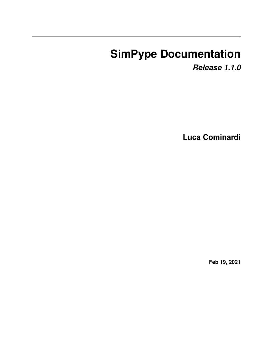# **SimPype Documentation**

*Release 1.1.0*

**Luca Cominardi**

**Feb 19, 2021**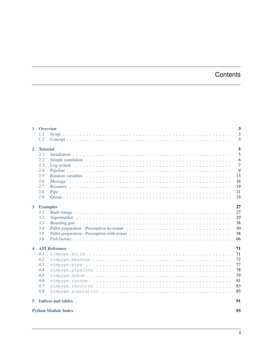# **Contents**

| $\mathbf{1}$         | <b>Overview</b>                  |                      | 3              |  |  |
|----------------------|----------------------------------|----------------------|----------------|--|--|
|                      | 1.1                              |                      | 3              |  |  |
|                      | 1.2                              |                      | 3              |  |  |
| $\mathbf{2}$         | 5<br><b>Tutorial</b>             |                      |                |  |  |
|                      | 2.1                              |                      | 5              |  |  |
|                      | 2.2                              |                      | 6              |  |  |
|                      | 2.3                              |                      | $\overline{7}$ |  |  |
|                      | 2.4                              |                      | 9              |  |  |
|                      | 2.5                              |                      | 13             |  |  |
|                      | 2.6                              |                      | 16             |  |  |
|                      | 2.7                              |                      | 19             |  |  |
|                      | 2.8                              |                      | 21             |  |  |
|                      | 2.9                              |                      | 24             |  |  |
| 3<br><b>Examples</b> |                                  |                      | 27             |  |  |
|                      | 3.1                              |                      | 27             |  |  |
|                      | 3.2                              |                      | 29             |  |  |
|                      | 3.3                              |                      | 38             |  |  |
|                      | 3.4                              |                      | 50             |  |  |
|                      | 3.5                              |                      | 58             |  |  |
|                      | 3.6                              |                      | 66             |  |  |
| $\blacktriangle$     |                                  | <b>API Reference</b> | 71             |  |  |
|                      | 4.1                              |                      | 71             |  |  |
|                      | 4.2                              |                      | 72             |  |  |
|                      | 4.3                              |                      | 77             |  |  |
|                      | 4.4                              |                      | 78             |  |  |
|                      | 4.5                              |                      | 79             |  |  |
|                      | 4.6                              |                      | 81             |  |  |
|                      | 4.7                              |                      | 83             |  |  |
|                      | 4.8                              |                      | 85             |  |  |
| 5.                   |                                  | Indices and tables   | 91             |  |  |
|                      | 93<br><b>Python Module Index</b> |                      |                |  |  |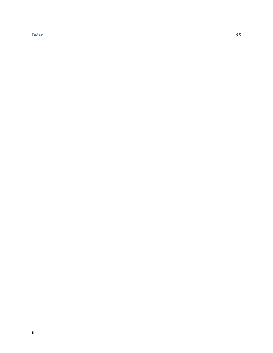[Index](#page-98-0) 95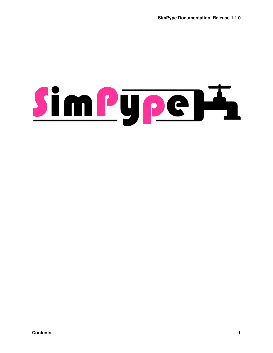# SimPype14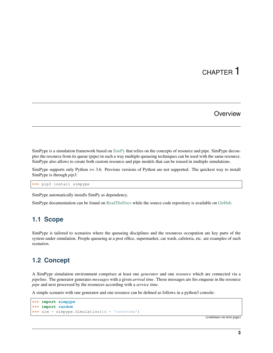# CHAPTER 1

# **Overview**

<span id="page-6-0"></span>SimPype is a simulation framework based on [SimPy](http://simpy.readthedocs.io) that relies on the concepts of resource and pipe. SimPype decouples the resource from its queue (pipe) in such a way multiple queueing techniques can be used with the same resource. SimPype also allows to create both custom resource and pipe models that can be reused in multiple simulations.

SimPype supports only Python >= 3.6. Previous versions of Python are not supported. The quickest way to install SimPype is through *pip3*:

**>>>** pip3 install simpype

SimPype automatically installs SimPy as dependency.

SimPype documentation can be found on [ReadTheDocs](http://simpype.readthedocs.io) while the source code repository is available on [GitHub.](https://github.com/Mallets/SimPype)

# <span id="page-6-1"></span>**1.1 Scope**

SimPype is tailored to scenarios where the queueing disciplines and the resources occupation are key parts of the system under simulation. People queueing at a post office, supermarket, car wash, cafeteria, etc. are examples of such scenarios.

# <span id="page-6-2"></span>**1.2 Concept**

A SimPype simulation environment comprises at least one *generator* and one *resource* which are connected via a *pipeline*. The generator generates *messages* with a given *arrival time*. Those messages are firs enqueue in the resource *pipe* and next processed by the resources according with a *service time*.

A simple scenario with one generator and one resource can be defined as follows in a python3 console:

```
>>> import simpype
>>> import random
>>> sim = simpype.Simulation(id = 'overview')
```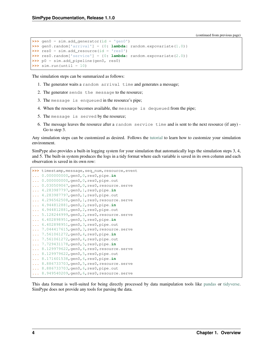```
>>> gen0 = sim.add_generator(id = 'gen0')
>>> gen0.random['arrival'] = {0: lambda: random.expovariate(1.0)}
>>> res0 = sim.add_resource(id = 'res0')
>>> res0.random['service'] = {0: lambda: random.expovariate(2.0)}
>>> p0 = sim.add_pipeline(gen0, res0)
\Rightarrow \sin \arctan(\text{until} = 10)
```
The simulation steps can be summarized as follows:

- 1. The generator waits a random arrival time and generates a message;
- 2. The generator sends the message to the resource;
- 3. The message is enqueued in the resource's pipe;
- 4. When the resource becomes available, the message is dequeued from the pipe;
- 5. The message is served by the resource;
- 6. The message leaves the resource after a random service time and is sent to the next resource (if any) Go to step 3.

Any simulation steps can be customized as desired. Follows the [tutorial](http://simpype.readthedocs.io/en/latest/tutorial/index.html) to learn how to customize your simulation environment.

SimPype also provides a built-in logging system for your simulation that automatically logs the simulation steps 3, 4, and 5. The built-in system produces the logs in a tidy format where each variable is saved in its own column and each observation is saved in its own row:

```
>>> timestamp, message, seq_num, resource, event
... 0.000000000,gen0,0,res0,pipe.in
... 0.000000000,gen0,0,res0,pipe.out
... 0.030509067,gen0,0,res0,resource.serve
... 4.283987797,gen0,1,res0,pipe.in
... 4.283987797,gen0,1,res0,pipe.out
... 4.296562508,gen0,1,res0,resource.serve
... 4.944812881,gen0,2,res0,pipe.in
... 4.944812881,gen0,2,res0,pipe.out
... 5.128244999,gen0,2,res0,resource.serve
... 6.402898951,gen0,3,res0,pipe.in
... 6.402898951,gen0,3,res0,pipe.out
... 7.044417615,gen0,3,res0,resource.serve
... 7.561061272,gen0,4,res0,pipe.in
... 7.561061272,gen0,4,res0,pipe.out
... 7.729431178,gen0,5,res0,pipe.in
... 8.129979622,gen0,4,res0,resource.serve
... 8.129979622,gen0,5,res0,pipe.out
... 8.171601538,gen0,6,res0,pipe.in
... 8.886733703,gen0,5,res0,resource.serve
... 8.886733703,gen0,6,res0,pipe.out
... 8.949540209,gen0,6,res0,resource.serve
```
This data format is well-suited for being directly processed by data manipulation tools like [pandas](http://pandas.pydata.org/) or [tidyverse.](https://www.tidyverse.org/) SimPype does not provide any tools for parsing the data.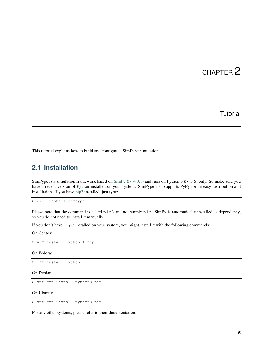# CHAPTER 2

# **Tutorial**

<span id="page-8-0"></span>This tutorial explains how to build and configure a SimPype simulation.

# <span id="page-8-1"></span>**2.1 Installation**

SimPype is a simulation framework based on SimPy ( $>=$ 4.0.1) and runs on Python 3 ( $>=$ 3.6) only. So make sure you have a recent version of Python installed on your system. SimPype also supports PyPy for an easy distribution and installation. If you have [pip3](http://pypi.python.org/pypi/pip) installed, just type:

\$ pip3 install simpype

Please note that the command is called pip3 and not simply pip. SimPy is automatically installed as dependency, so you do not need to install it manually.

If you don't have pip3 installed on your system, you might install it with the following commands:

On Centos:

\$ yum install python34-pip

On Fedora:

```
$ dnf install python3-pip
```
On Debian:

\$ apt-get install python3-pip

On Ubuntu:

\$ apt-get install python3-pip

For any other systems, please refer to their documentation.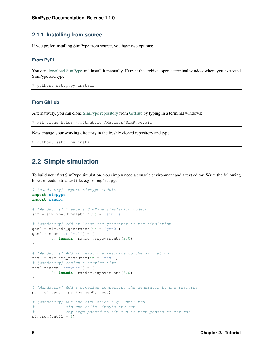#### **2.1.1 Installing from source**

If you prefer installing SimPype from source, you have two options:

#### **From PyPi**

You can [download SimPype](https://pypi.python.org/pypi/simpype/) and install it manually. Extract the archive, open a terminal window where you extracted SimPype and type:

```
$ python3 setup.py install
```
#### **From GitHub**

Alternatively, you can clone [SimPype repository](https://github.com/Mallets/SimPype) from [GitHub](https://github.com/) by typing in a terminal windows:

```
$ git clone https://github.com/Mallets/SimPype.git
```
Now change your working directory in the freshly cloned repository and type:

```
$ python3 setup.py install
```
# <span id="page-9-0"></span>**2.2 Simple simulation**

To build your first SimPype simulation, you simply need a console environment and a text editor. Write the following block of code into a text file, e.g. simple.py.

```
# [Mandatory] Import SimPype module
import simpype
import random
# [Mandatory] Create a SimPype simulation object
sim = simpype.Simulation(id = 'simple')
# [Mandatory] Add at least one generator to the simulation
gen0 = sim.add_generator(id = 'gen0')
gen0.random['arrival'] = {
       0: lambda: random.expovariate(2.0)
}
# [Mandatory] Add at least one resource to the simulation
res0 = sim.add resource(id = 'res0')# [Mandatory] Assign a service time
res0.random['service'] = {
       0: lambda: random.expovariate(3.0)
}
# [Mandatory] Add a pipeline connecting the generator to the resource
p0 = sim.add_pipeline(gen0, res0)
# [Mandatory] Run the simulation e.g. until t=5
# sim.run calls Simpy's env.run
# Any args passed to sim.run is then passed to env.run
sim.run(until = 5)
```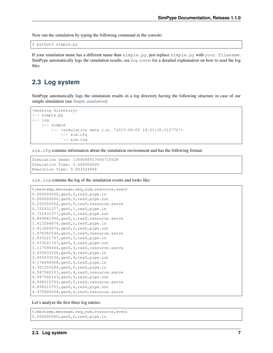Now run the simulation by typing the following command in the console:

\$ python3 simple.py

If your simulation name has a different name than simple.py, just replace simple.py with your filename. SimPype automatically logs the simulation results, see *[Log system](#page-10-0)* for a detailed explaination on how to read the log files.

# <span id="page-10-0"></span>**2.3 Log system**

SimPype automatically logs the simulation results in a log directory having the following structure in case of our simple simulation (see *[Simple simulation](#page-9-0)*):

```
<working directory>
|-- simple.py
|-- log
   |-- simple
        |-- <simulation date i.e. '2017-06-05 10:31:30.512772'>
            |-- sim.cfg
            `-- sim.log
```
 $\sin c \leq \cos c$  contains information about the simulation environment and has the following format:

```
Simulation Seed: 1369068917606710528
Simulation Time: 5.000000000
Execution Time: 0.003524998
```
sim.log contains the log of the simulation events and looks like:

```
timestamp, message, seq_num, resource, event
0.000000000,gen0,0,res0,pipe.in
0.000000000,gen0,0,res0,pipe.out
0.252555552,gen0,0,res0,resource.serve
0.722431377,gen0,1,res0,pipe.in
0.722431377,gen0,1,res0,pipe.out
0.869881996,gen0,1,res0,resource.serve
1.413266674,gen0,2,res0,pipe.in
1.413266674,gen0,2,res0,pipe.out
1.478382544,gen0,2,res0,resource.serve
2.833221707,gen0,3,res0,pipe.in
2.833221707,gen0,3,res0,pipe.out
3.117096444,gen0,3,res0,resource.serve
3.455033536,gen0,4,res0,pipe.in
3.455033536,gen0,4,res0,pipe.out
4.174690658,gen0,5,res0,pipe.in
4.301555284,gen0,6,res0,pipe.in
4.587560103,gen0,4,res0,resource.serve
4.587560103,gen0,5,res0,pipe.out
4.898210753,gen0,5,res0,resource.serve
4.898210753,gen0,6,res0,pipe.out
4.975600594,gen0,6,res0,resource.serve
```
Let's analyze the first three log entries:

```
timestamp, message, seq_num, resource, event
0.000000000,gen0,0,res0,pipe.in
```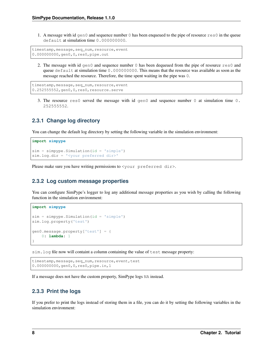1. A message with id gen0 and sequence number 0 has been enqueued to the pipe of resource res0 in the queue default at simulation time 0.000000000.

```
timestamp, message, seq_num, resource, event
0.000000000,gen0,0,res0,pipe.out
```
2. The message with id gen0 and sequence number 0 has been dequeued from the pipe of resource res0 and queue default at simulation time  $0.000000000$ . This means that the resource was available as soon as the message reached the resource. Therefore, the time spent waiting in the pipe was 0.

```
timestamp, message, seq_num, resource, event
0.252555552,gen0,0,res0,resource.serve
```
3. The resource res0 served the message with id gen0 and sequence number 0 at simulation time 0. 252555552.

## **2.3.1 Change log directory**

You can change the default log directory by setting the following variable in the simulation environment:

```
import simpype
sim = simpype.Simulation(id = 'simple')
sim.log.dir = '<your preferred dir>'
```
Please make sure you have writing permissions to <your preferred dir>.

#### **2.3.2 Log custom message properties**

You can configure SimPype's logger to log any additional message properties as you wish by calling the following function in the simulation environment:

```
import simpype
sim = simpype.Simulation(id = 'simple')
sim.log.property('test')
gen0.message.property['test'] = {
    0: lambda: 1
}
```
sim.log file now will containt a column containing the value of test message property:

```
timestamp, message, seq_num, resource, event, test
0.000000000,gen0,0,res0,pipe.in,1
```
If a message does not have the custom property, SimPype logs NA instead.

#### **2.3.3 Print the logs**

If you prefer to print the logs instead of storing them in a file, you can do it by setting the following variables in the simulation environment: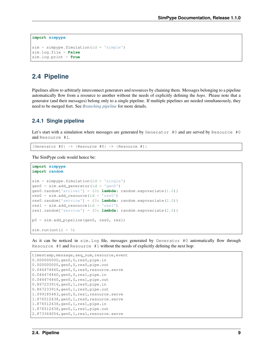```
import simpype
sim = simpype.Simulation(id = 'simple')
sim.log.file = False
sim.log.print = True
```
# <span id="page-12-0"></span>**2.4 Pipeline**

Pipelines allow to arbitrarly interconnect generators and resources by chaining them. Messages belonging to a pipeline automatically flow from a resource to another without the needs of explicitly defining the *hops*. Please note that a generator (and their messages) belong only to a single pipeline. If multiple pipelines are needed simultaneously, they need to be merged fisrt. See *[Branching pipeline](#page-14-0)* for more details.

#### **2.4.1 Single pipeline**

Let's start with a simulation where messages are generated by Generator  $#0$  and are served by Resource  $#0$ and Resource #1.

|Generator #0| -> |Resource #0| -> |Resource #1|

The SimPype code would hence be:

```
import simpype
import random
sim = simpype.Simulation(id = 'single')
gen0 = sim.add_generator(id = 'gen0')
gen0.random['arrival'] = {0: lambda: random.expovariate(1.0)}
res0 = sim.add\_resource(id = 'res0')res0.random['service'] = {0: lambda: random.expovariate(2.0)}
res1 = sim.add\_resource(id = 'res1')res1.random['service'] = {0: lambda: random.expovariate(2.0)}
p0 = \sin \cdot \text{add pipeline(qen0, res0, res1)}sim.run(until = 5)
```
As it can be noticed in  $sim.$  log file, messages generated by Generator  $#0$  automatically flow through Resource  $\#0$  and Resource  $\#1$  without the needs of explicitly defining the next hop:

timestamp, message, seq\_num, resource, event 0.000000000,gen0,0,res0,pipe.in 0.000000000,gen0,0,res0,pipe.out 0.044474460,gen0,0,res0,resource.serve 0.044474460,gen0,0,res1,pipe.in 0.044474460,gen0,0,res1,pipe.out 0.867233916,gen0,1,res0,pipe.in 0.867233916,gen0,1,res0,pipe.out 1.099185483,gen0,0,res1,resource.serve 1.876512438,gen0,1,res0,resource.serve 1.876512438,gen0,1,res1,pipe.in 1.876512438,gen0,1,res1,pipe.out 2.873364054,gen0,1,res1,resource.serve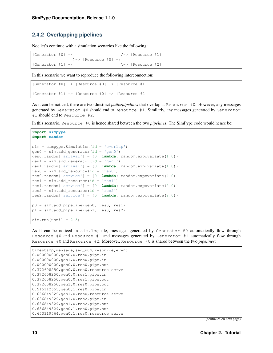#### **2.4.2 Overlapping pipelines**

Noe let's continue with a simulation scenarios like the following:

 $|Generator \neq 0$ |  $-\$  $)$  -> | Resource #0| -(  $|Generator #1|$  -/  $\rightarrow$  |Resource #2|

In this scenario we want to reproduce the following interconnection:

```
|Generator #0| -> |Resource #0| -> |Resource #1|
|Generator #1| -> |Resource #0| -> |Resource #2|
```
As it can be noticed, there are two dinstinct *paths/pipelines* that overlap at Resource #0. However, any messages generated by Generator #0 should end to Resource #1. Similarly, any messages generated by Generator #1 should end to Resource #2.

In this scenario, Resource #0 is hence shared between the two *pipelines*. The SimPype code would hence be:

```
import simpype
import random
sim = simpype.Simulation(id = 'overlap')
gen0 = sim.add_generator(id = 'gen0')
gen0.random['arrival'] = {0: lambda: random.expovariate(1.0)}
gen1 = sim.add_generator(id = 'gen1')
gen1.random['arrival'] = {0: lambda: random.expovariate(1.0)}
res0 = sim.add\_resource(id = 'res0')res0.random['service'] = {0: lambda: random.expovariate(4.0)}
res1 = sim.add\_resource(id = 'res1')res1.random['service'] = {0: lambda: random.expovariate(2.0)}
res2 = sim.add resource(id = 'res2')res2.random['service'] = {0: lambda: random.expovariate(2.0)}
p0 = sim.add_pipeline(gen0, res0, res1)
p1 = sim.add_pipeline(gen1, res0, res2)
sim.run(until = 2.5)
```
As it can be noticed in  $sim.$  log file, messages generated by Generator  $#0$  automatically flow through Resource  $#0$  and Resource  $#1$  and messages generated by Generator  $#1$  automatically flow through Resource #0 and Resource #2. Moreover, Resource #0 is shared between the two *pipelines*:

timestamp, message, seq\_num, resource, event 0.000000000,gen0,0,res0,pipe.in 0.000000000,gen1,0,res0,pipe.in 0.000000000,gen0,0,res0,pipe.out 0.372608250,gen0,0,res0,resource.serve 0.372608250,gen0,0,res1,pipe.in 0.372608250,gen0,0,res1,pipe.out 0.372608250,gen1,0,res0,pipe.out 0.515112655,gen0,1,res0,pipe.in 0.636849329,gen1,0,res0,resource.serve 0.636849329,gen1,0,res2,pipe.in 0.636849329,gen1,0,res2,pipe.out 0.636849329,gen0,1,res0,pipe.out 0.653319564,gen0,1,res0,resource.serve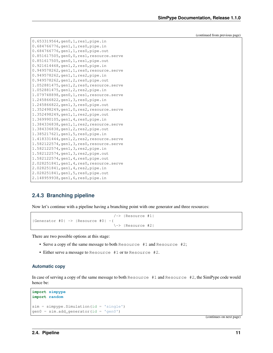| $0.653319564$ , gen $0, 1$ , res1, pipe.in                |
|-----------------------------------------------------------|
| $0.684766776$ , gen1, 1, res0, pipe.in                    |
| 0.684766776, gen1, 1, res0, pipe.out                      |
| $0.851617505$ , gen $0$ , $0$ , res $1$ , resource. serve |
| 0.851617505, gen0, 1, res1, pipe.out                      |
| $0.921614468$ , gen1, 2, res0, pipe.in                    |
| $0.949578262$ , gen $1, 1$ , res $0$ , resource. serve    |
| $0.949578262$ , gen1, 1, res2, pipe.in                    |
| 0.949578262, gen1, 2, res0, pipe.out                      |
| 1.052881475, gen1, 2, res0, resource. serve               |
| 1.052881475, gen1, 2, res2, pipe.in                       |
| 1.079748898, gen0, 1, res1, resource. serve               |
| 1.245866822, gen1, 3, res0, pipe.in                       |
| 1.245866822, gen1, 3, res0, pipe.out                      |
| 1.352498249, gen1, 0, res2, resource. serve               |
| 1.352498249, gen1, 1, res2, pipe.out                      |
| 1.369990105, gen1, 4, res0, pipe.in                       |
| 1.384336838, gen1, 1, res2, resource.serve                |
| 1.384336838, gen1, 2, res2, pipe.out                      |
| 1.385217621, gen1, 5, res0, pipe.in                       |
| 1.418331444, gen1, 2, res2, resource.serve                |
| 1.582122574, gen1, 3, res0, resource.serve                |
| 1.582122574, gen1, 3, res2, pipe.in                       |
| 1.582122574, gen1, 3, res2, pipe.out                      |
| 1.582122574, gen1, 4, res0, pipe.out                      |
| 2.028251841, gen1, 4, res0, resource.serve                |
| 2.028251841, gen1, 4, res2, pipe.in                       |
| 2.028251841, gen1, 5, res0, pipe.out                      |
| 2.148959938, gen1, 6, res0, pipe.in                       |

### <span id="page-14-0"></span>**2.4.3 Branching pipeline**

Now let's continue with a pipeline having a branching point with one generator and three resources:

```
/-> |Resource #1|
|Generator #0| -> |Resource #0| -(
                                  \-> |Resource #2|
```
There are two possible options at this stage:

- Serve a copy of the same message to both Resource #1 and Resource #2;
- Either serve a message to Resource #1 or to Resource #2.

#### **Automatic copy**

In case of serving a copy of the same message to both Resource #1 and Resource #2, the SimPype code would hence be:

```
import simpype
import random
sim = simpype.Simulation(id = 'single')
gen0 = sim.add_generator(id = 'gen0')
```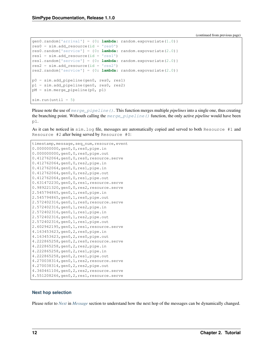```
gen0.random['arrival'] = {0: lambda: random.expovariate(1.0)}
res0 = sim.add_resource(id = 'res0')
res0.random['service'] = {0: lambda: random.expovariate(2.0)}
res1 = sim.add\_resource(id = 'res1')res1.random['service'] = {0: lambda: random.expovariate(2.0)}
res2 = sim.add\_resource(id = 'res2')res2.random['service'] = {0: lambda: random.expovariate(2.0)}
p0 = sim.add_pipeline(gen0, res0, res1)
p1 = sim.add_pipeline(gen0, res0, res2)
pM = sim.merge_pipeline(p0, p1)
sim.run(until = 5)
```
Please note the use of  $merge\_pipeline($ ). This function merges multiple *pipelines* into a single one, thus creating the branching point. Withouth calling the [merge\\_pipeline\(\)](#page-92-0) function, the only active *pipeline* would have been p1.

As it can be noticed in sim.log file, messages are automatically copied and served to both Resource #1 and Resource #2 after being served by Resource #0:

```
timestamp, message, seg_num, resource, event
0.000000000, gen0, 0, res0, pipe.in
0.000000000,gen0,0,res0,pipe.out
0.412762064,gen0,0,res0,resource.serve
0.412762064,gen0,0,res2,pipe.in
0.412762064,gen0,0,res1,pipe.in
0.412762064,gen0,0,res2,pipe.out
0.412762064,gen0,0,res1,pipe.out
0.631472230,gen0,0,res1,resource.serve
0.989221320,gen0,0,res2,resource.serve
2.545794865,gen0,1,res0,pipe.in
2.545794865,gen0,1,res0,pipe.out
2.572402316,gen0,1,res0,resource.serve
2.572402316,gen0,1,res2,pipe.in
2.572402316,gen0,1,res1,pipe.in
2.572402316,gen0,1,res2,pipe.out
2.572402316,gen0,1,res1,pipe.out
2.602942195,gen0,1,res1,resource.serve
4.163453623,gen0,2,res0,pipe.in
4.163453623,gen0,2,res0,pipe.out
4.222865258,gen0,2,res0,resource.serve
4.222865258,gen0,2,res2,pipe.in
4.222865258,gen0,2,res1,pipe.in
4.222865258,gen0,2,res1,pipe.out
4.270038314,gen0,1,res2,resource.serve
4.270038314,gen0,2,res2,pipe.out
4.360461106,gen0,2,res2,resource.serve
4.551208266,gen0,2,res1,resource.serve
```
#### **Next hop selection**

Please refer to *[Next](#page-21-0)* in *[Message](#page-19-0)* section to understand how the next hop of the messages can be dynamically changed.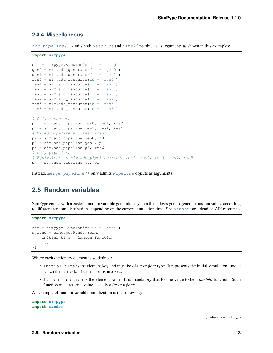#### **2.4.4 Miscellaneous**

[add\\_pipeline\(\)](#page-92-1) admits both [Resource](#page-86-1) and [Pipeline](#page-81-1) objects as arguments as shown in this examples:

```
import simpype
```

```
sim = simpype.Simulation(id = 'single')
gen0 = sim.add_generator(id = 'gen0')
gen1 = sim.add_generator(id = 'gen1')
res0 = sim.add_resource(id = 'res0')
res1 = sim.add_resource(id = 'res1')
res2 = sim.add resource(id = 'res2')res3 = sim.add resource(id = 'res3')res4 = sim.add resource(id = 'res4')res5 = sim.add\_resource(id = 'res5')res6 = sim.add\_resource(id = 'res6')# Only resources
p0 = sim.add_pipeline(res0, res1, res2)
p1 = sim.add_pipeline(res3, res4, res5)
# Mixed pipeline and resources
p2 = sim.add_pipeline(gen0, p0)
p3 = sim.add_pipeline(gen1, p1)
p4 = sim.add_pipeline(p3, res6)
# Only pipelines
# Equivalent to sim.add_pipeline(res0, res1, res2, res3, res4, res5)
p4 = sim.add_pipeline(p0, p1)
```
Instead, [merge\\_pipeline\(\)](#page-92-0) only admits [Pipeline](#page-81-1) objects as arguments.

# <span id="page-16-0"></span>**2.5 Random variables**

SimPype comes with a custom random variable generation system that allows you to generate random values according to different random distributions depending on the current simulation time. See [Random](#page-85-0) for a detailed API reference.

```
import simpype
sim = simpype.Simulation(id = 'test')
myrand = simpype.Random(sim, {
    initial_time : lambda_function
    ...
})
```
Where each dictionary element is so defined:

- initial\_time is the element key and must be of *int* or *float* type. It represents the initial simulation time at which the lambda\_function is invoked;
- lambda\_function is the element value. It is mandatory that for the value to be a *lambda* function. Such function must return a value, usually a *int* or a *float*;

An example of random variable initialization is the following:

```
import simpype
import random
```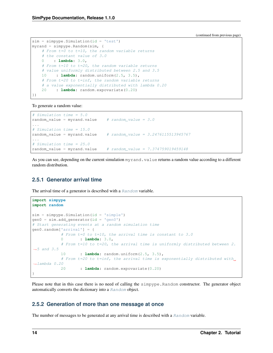```
sim = simpype. Simulation (id = 'test')
myrand = simpype.Random(sim, {
    # From t=0 to t=10, the random variable returns
    # the constant value of 3.0
   0 : lambda: 3.0,
    # From t=10 to t=20, the random variable returns
    # value uniformly distributed between 2.5 and 3.5
   10 : lambda: random.uniform(2.5, 3.5),
    # From t=20 to t=inf, the random variable returns
    # a value exponentially distributed with lambda 0.20
   20 : lambda: random.expovariate(0.20)
})
```
To generate a random value:

```
# Simulation time = 5.0
random_value = myrand.value # random_value = 3.0
...
# Simulation time = 15.0
random_value = myrand.value # random_value = 3.2476115513945767
...
# Simulation time = 25.0
random_value = myrand.value # random_value = 7.374759019459148
```
As you can see, depending on the current simulation myrand. value returns a random value according to a different random distribution.

#### **2.5.1 Generator arrival time**

The arrival time of a generator is described with a [Random](#page-85-0) variable.

```
import simpype
import random
sim = simpype.Simulation(id = 'simple')
gen0 = sim.add_generator(id = 'gen0')
# Start generating events at a random simulation time
gen0.random['arrival'] = {
            # From t=0 to t=10, the arrival time is constant to 3.0
            0 : lambda: 3.0,
            # From t=10 to t=20, the arrival time is uniformly distributed between 2.
\rightarrow 5 and 3.5
            10 : lambda: random.uniform(2.5, 3.5),
            # From t=20 to t=inf, the arrival time is exponentially distributed with.
\rightarrowlambda 0.20
            20 : lambda: random.expovariate(0.20)
}
```
Please note that in this case there is no need of calling the simpype.Random constructor. The generator object automatically converts the dictionary into a [Random](#page-85-0) object.

#### **2.5.2 Generation of more than one message at once**

The number of messages to be generated at any arrival time is described with a [Random](#page-85-0) variable.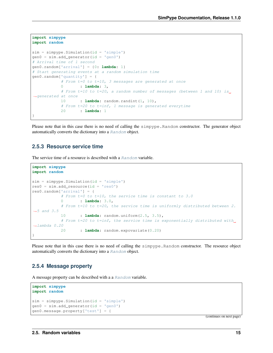```
import simpype
import random
sim = simpype.Simulation(id = 'simple')
qen0 = sim.add_qenerator(id = 'gen0')# Arrival time of 1 second
gen0.random['arrival'] = {0: lambda: 1}
# Start generating events at a random simulation time
gen0.random['quantity'] = {
            # From t=0 to t=10, 3 messages are generated at once
           0 : lambda: 3,
           # From t=10 to t=20, a random number of messages (between 1 and 10) is.
˓→generated at once
           10 : lambda: random.randint(1, 10),
            # From t=20 to t=inf, 1 message is generated everytime
           20 : lambda: 1
}
```
Please note that in this case there is no need of calling the simpype.Random constructor. The generator object automatically converts the dictionary into a [Random](#page-85-0) object.

#### **2.5.3 Resource service time**

The service time of a resource is described with a [Random](#page-85-0) variable.

```
import simpype
import random
sim = simpype.Simulation(id = 'simple')
res0 = sim.add\_resource(id = 'res0')res0.random['arrival'] = {
            # From t=0 to t=10, the service time is constant to 3.0
            0 : lambda: 3.0,
            # From t=10 to t=20, the service time is uniformly distributed between 2.
\rightarrow 5 and 3.5
            10 : lambda: random.uniform(2.5, 3.5),
            # From t=20 to t=inf, the service time is exponentially distributed with
˓→lambda 0.20
            20 : lambda: random.expovariate(0.20)
}
```
Please note that in this case there is no need of calling the simpype.Random constructor. The resource object automatically converts the dictionary into a [Random](#page-85-0) object.

#### **2.5.4 Message property**

A message property can be described with a a [Random](#page-85-0) variable.

```
import simpype
import random
sim = simpype.Simulation(id = 'simple')
gen0 = sim.add_generator(id = 'gen0')
gen0.message.property['test'] = {
```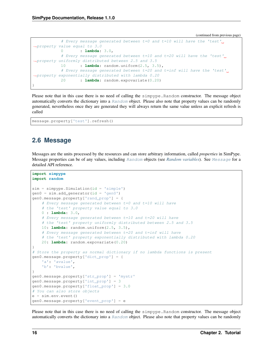```
# Every message generated between t=0 and t=10 will have the 'test'.
˓→property value equal to 3.0
           0 : lambda: 3.0,
           # Every message generated between t=10 and t=20 will have the 'test'
˓→property uniformly distributed between 2.5 and 3.5
           10 : lambda: random.uniform(2.5, 3.5),
           # Every message generated between t=20 and t=inf will have the 'test'.
˓→property exponentially distributed with lambda 0.20
           20 : lambda: random.expovariate(0.20)
}
```
Please note that in this case there is no need of calling the simpype.Random constructor. The message object automatically converts the dictionary into a [Random](#page-85-0) object. Please also note that property values can be randomly generated, nevertheless once they are generated they will always return the same value unless an explicit refresh is called

```
message.property['test'].refresh()
```
# <span id="page-19-0"></span>**2.6 Message**

Messages are the units processed by the resources and can store arbitrary information, called *properties* in SimPype. Message properties can be of any values, including [Random](#page-85-0) objects (see *[Random variables](#page-16-0)*). See [Message](#page-75-1) for a detailed API reference.

```
import simpype
import random
sim = simpype.Simulation(id = 'simple')
gen0 = sim.add_generator(id = 'gen0')
gen0.message.property['rand_prop'] = {
    # Every message generated between t=0 and t=10 will have
    # the 'test' property value equal to 3.0
   0 : lambda: 3.0,
    # Every message generated between t=10 and t=20 will have
    # the 'test' property uniformly distributed between 2.5 and 3.5
   10: lambda: random.uniform(2.5, 3.5),
    # Every message generated between t=20 and t=inf will have
    # the 'test' property exponentially distributed with lambda 0.20
    20: lambda: random.expovariate(0.20)
}
# Store the property as normal dictionary if no lambda functions is present
gen0.message.property['dict_prop'] = {
    'a': 'avalue',
    'b': 'bvalue',
}
gen0.message.property['str_prop'] = 'mystr'
gen0.message.property['int_prop'] = 3
gen0.message.property['float_prop'] = 3.0
# You can also store objects
e = sim.env.event()
gen0.message.property['event_prop'] = e
```
Please note that in this case there is no need of calling the simpype. Random constructor. The message object automatically converts the dictionary into a [Random](#page-85-0) object. Please also note that property values can be randomly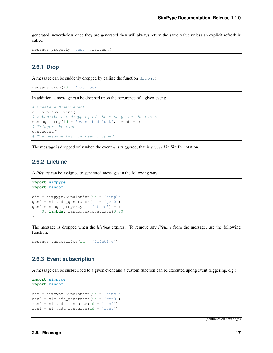generated, nevertheless once they are generated they will always return the same value unless an explicit refresh is called

```
message.property['test'].refresh()
```
#### **2.6.1 Drop**

A message can be suddenly dropped by calling the function  $\text{drop}(t)$ :

message.drop(id = 'bad luck')

In addition, a message can be dropped upon the occurence of a given event:

```
# Create a SimPy event
e = sim.env.event()
# Subscribe the dropping of the message to the event e
message.drop(id = 'event bad luck', event = e)
# Trigger the event
e.succeed()
# The message has now been dropped
```
The message is dropped only when the event e is triggered, that is *succeed* in SimPy notation.

#### **2.6.2 Lifetime**

A *lifetime* can be assigned to generated messages in the following way:

```
import simpype
import random
sim = simpype.Simulation(id = 'simple')
gen0 = sim.add_generator(id = 'gen0')
gen0.message.property['lifetime'] = {
    0: lambda: random.expovariate(0.20)
}
```
The message is dropped when the *lifetime* expires. To remove any *lifetime* from the message, use the following function:

message.unsubscribe(id = 'lifetime')

#### **2.6.3 Event subscription**

A message can be susbscribed to a given event and a custom function can be executed upong event triggering, e.g.:

```
import simpype
import random
sim = simpype.Simulation(id = 'simple')
gen0 = sim.add_generator(id = 'gen0')
res0 = sim.add\_resource(id = 'res0')res1 = sim.add\_resource(id = 'res1')
```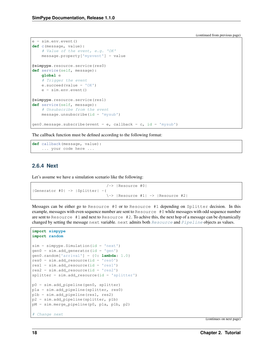```
e = sim.env.event()
def c(message, value):
   # Value of the event, e.g. 'OK'
   message.property['myevent'] = value
@simpype.resource.service(res0)
def service(self, message):
   global e
    # Trigger the event
   e.succeed(value = 'OK')e = sim.env.event()
@simpype.resource.service(res1)
def service(self, message):
   # Unsubscribe from the event
   message.unsubscribe(id = 'mysub')
gen0.message.subscribe(event = e, callback = c, id = 'mysub')
```
The callback function must be defined according to the following format:

```
def callback(message, value):
    ... your code here ...
```
#### <span id="page-21-0"></span>**2.6.4 Next**

Let's assume we have a simulation scenario like the following:

```
/-> |Resource #0|
|Generator #0| -> |Splitter| -(
                               \-> |Resource #1| -> |Resource #2|
```
Messages can be either go to Resource #0 or to Resource #1 depending on Splitter decision. In this example, messages with even sequence number are sent to Resource #0 while messages with odd sequence number are sent to Resource #1 and next to Resource #2. To achive this, the next hop of a message can be dynamically changed by setting the message next variable. next admits both [Resource](#page-86-1) and [Pipeline](#page-81-1) objects as values.

```
import simpype
import random
```

```
sim = simpype. Simulation (id = 'next')
gen0 = sim.add_generator(id = 'gen')
gen0.random['arrival'] = {0: lambda: 1.0}
res0 = sim.add resource(id = 'res0')res1 = sim.add_resource(id = 'res1')
res2 = sim.add_resource(id = 'res2')
splitter = sim.add\_resource(id = 'splitter')p0 = sim.add_pipeline(gen0, splitter)
p1a = sim.add_pipeline(splitter, res0)
p1b = sim.add_pipeline(res1, res2)
p2 = sim.add_pipeline(splitter, p1b)
pM = sim.merge_pipeline(p0, p1a, p1b, p2)
# Change next
```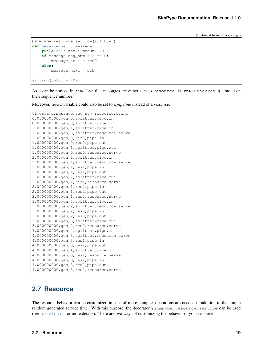```
@simpype.resource.service(splitter)
def service(self, message):
   yield self.env.timeout(1.0)
    if message.seq_num % 2 == 0:
        message.next = res0
    else:
        message.next = p1b
sim.run(until = 10)
```
As it can be noticed in sim.log file, messages are either sent to Resource #0 or to Resource #1 based on their sequence number:

Moreover, next variable could also be set to a *pipeline* instead of a *resource*.

```
timestamp, message, seq_num, resource, event
0.000000000,gen,0,splitter,pipe.in
0.000000000,gen,0,splitter,pipe.out
1.000000000,gen,1,splitter,pipe.in
1.000000000,gen,0,splitter,resource.serve
1.000000000,gen,0,res0,pipe.in
1.000000000,gen,0,res0,pipe.out
1.000000000,gen,1,splitter,pipe.out
1.000000000,gen,0,res0,resource.serve
2.000000000,gen,2,splitter,pipe.in
2.000000000,gen,1,splitter,resource.serve
2.000000000,gen,1,res1,pipe.in
2.000000000,gen,1,res1,pipe.out
2.000000000,gen,2,splitter,pipe.out
2.000000000,gen,1,res1,resource.serve
2.000000000,gen,1,res2,pipe.in
2.000000000,gen,1,res2,pipe.out
2.000000000,gen,1,res2,resource.serve
3.000000000,gen,3,splitter,pipe.in
3.000000000,gen,2,splitter,resource.serve
3.000000000,gen,2,res0,pipe.in
3.000000000,gen,2,res0,pipe.out
3.000000000,gen,3,splitter,pipe.out
3.000000000,gen,2,res0,resource.serve
4.000000000,gen,4,splitter,pipe.in
4.000000000,gen,3,splitter,resource.serve
4.000000000,gen,3,res1,pipe.in
4.000000000,gen,3,res1,pipe.out
4.000000000,gen,4,splitter,pipe.out
4.000000000,gen,3,res1,resource.serve
4.000000000,gen,3,res2,pipe.in
4.000000000,gen,3,res2,pipe.out
4.000000000,gen,3,res2,resource.serve
```
# <span id="page-22-0"></span>**2.7 Resource**

The resource behavior can be customized in case of more complex operations are needed in addition to the simple random generated service time. With this purpose, the decorator @simpype.resource.service can be used (see  $s$ e $\text{rvice}($ ) for more details). There are two ways of customizing the behavior of your resource: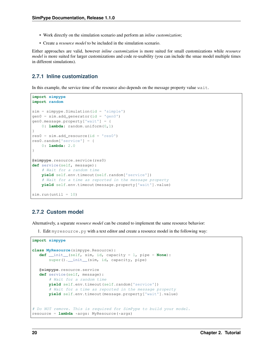- Work directly on the simulation scenario and perform an *inline customization*;
- Create a *resource model* to be included in the simulation scenario.

Either approaches are valid, however *inline customization* is more suited for small customizations while *resource model* is more suited for larger customizations and code re-usability (you can include the smae model multiple times in different simulations).

#### **2.7.1 Inline customization**

In this example, the service time of the resource also depends on the message property value wait.

```
import simpype
import random
sim = simpype.Simulation(id = 'simple')
qen0 = sim.add generator(id = 'gen0')gen0.message.property['wait'] = {
    0: lambda: random.uniform(0,1)
}
res0 = sim.add\_resource(id = 'res0')res0.random['service'] = {
   0: lambda: 2.0
}
@simpype.resource.service(res0)
def service(self, message):
    # Wait for a random time
   yield self.env.timeout(self.random['service'])
    # Wait for a time as reported in the message property
   yield self.env.timeout(message.property['wait'].value)
sim.run(until = 10)
```
#### **2.7.2 Custom model**

Alternatively, a separate *resource model* can be created to implement the same resource behavior:

1. Edit myresource.py with a text editor and create a resource model in the following way:

```
import simpype
class MyResource(simpype.Resource):
  def __init__(self, sim, id, capacity = 1, pipe = None):
       super(). __init__(sim, id, capacity, pipe)
   @simpype.resource.service
  def service(self, message):
       # Wait for a random time
      yield self.env.timeout(self.random['service'])
       # Wait for a time as reported in the message property
       yield self.env.timeout(message.property['wait'].value)
# Do NOT remove. This is required for SimPype to build your model.
resource = lambda *args: MyResource(*args)
```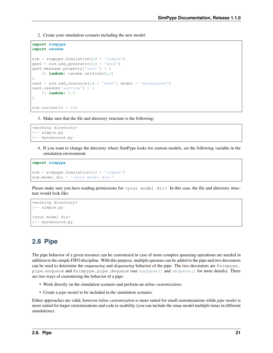2. Create your simulation scenario including the new model:

```
import simpype
import random
sim = simpype.Simulation(id = 'simple')
gen0 = sim.add_generator(id = 'gen0')
gen0.message.property['wait'] = {
    0: lambda: random.uniform(0,1)
}
res0 = sim.add\_resource(id = 'res0', model = 'myresource')res0.random['service'] = {
    0: lambda: 2.0
}
sim.run(until = 10)
```
3. Make sure that the file and directory structure is the following:

```
<working directory>
|-- simple.py
|-- myresource.py
```
4. If you want to change the directory where SimPype looks for custom models, set the following variable in the simulation environment:

```
import simpype
sim = simpype.Simulation(id = 'simple')
sim.model.dir = '<your model dir>'
```
Please make sure you have reading permissions for  $\langle \text{your model dir}\rangle$ . In this case, the file and directory structure would look like:

```
<working directory>
|-- simple.py
<your model dir>
|-- myresource.py
```
# <span id="page-24-0"></span>**2.8 Pipe**

The pipe behavior of a given resource can be customized in case of more complex queueing operations are needed in addition to the simple FIFO discipline. With this purpose, multiple queueus can be added to the pipe and two decorators can be used to determine the *enqueueing* and *dequeueing* behavior of the pipe. The two decorators are @simpype. pipe.enqueue and @simpype.pipe.dequeue (see enqueue () and [dequeue\(\)](#page-80-1) for more details). There are two ways of customizing the behavior of a pipe:

- Work directly on the simulation scenario and perform an *inline customization*;
- Create a *pipe model* to be included in the simulation scenario.

Either approaches are valid, however *inline customization* is more suited for small customizations while *pipe model* is more suited for larger customizations and code re-usability (you can include the smae model multiple times in different simulations).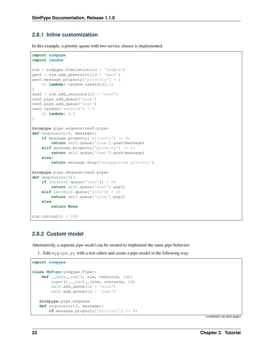#### **2.8.1 Inline customization**

In this example, a priority queue with two service classes is implemented.

```
import simpype
import random
sim = simpype.Simulation(id = 'simple')
gen0 = sim.add_generator(id = 'gen0')
gen0.message.property['priority'] = {
    0: lambda: random.randint(0,1)
}
res0 = sim.add resource(id = 'res0')res0.pipe.add_queue('slow')
res0.pipe.add_queue('fast')
res0.random['service'] = {
   0: lambda: 2.0
}
@simpype.pipe.enqueue(res0.pipe)
def enqueue(self, message):
    if message.property['priority'] == 0:
        return self.queue['slow'].push(message)
    elif message.property['priority'] == 1:
        return self.queue['fast'].push(message)
    else:
        return message.drop('unsupported priority')
@simpype.pipe.dequeue(res0.pipe)
def dequeue(self):
   if len(self.queue['fast']) > 0:
        return self.queue['fast'].pop()
    elif len(self.queue['slow']) > 0:
        return self.queue['slow'].pop()
    else
        return None
sim.run(until = 10)
```
#### **2.8.2 Custom model**

Alternatively, a separate *pipe model* can be created to implement the same pipe behavior:

1. Edit mypipe.py with a text editor and create a pipe model in the following way:

```
import simpype
class MyPipe(simpype.Pipe):
    def __init__(self, sim, resource, id):
        super().__init__(sim, resource, id)
        self.add_queue(id = 'slow')
        self.add_queue(id = 'fast')
   @simpype.pipe.enqueue
   def enqueue(self, message):
       if message.property['priority'] == 0:
```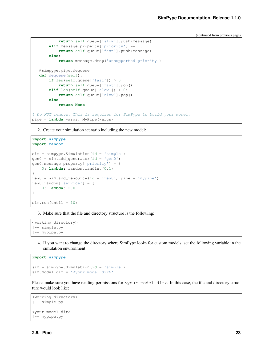```
return self.queue['slow'].push(message)
       elif message.property['priority'] == 1:
           return self.queue['fast'].push(message)
       else:
           return message.drop('unsupported priority')
   @simpype.pipe.dequeue
   def dequeue(self):
      if len(self.queue['fast']) > 0:
          return self.queue['fast'].pop()
      elif len(self.queue['slow']) > 0:
           return self.queue['slow'].pop()
       else
           return None
# Do NOT remove. This is required for SimPype to build your model.
pipe = lambda *args: MyPipe(*args)
```
2. Create your simulation scenario including the new model:

```
import simpype
import random
sim = simpype.Simulation(id = 'simple')
qen0 = sim.add_qenerator(id = 'gen0')gen0.message.property['priority'] = {
    0: lambda: random.randint(0,1)
}
res0 = sim.add\_resource(id = 'res0', pipe = 'mypipe')res0.random['service'] = {
    0: lambda: 2.0
}
sim.run(until = 10)
```
3. Make sure that the file and directory structure is the following:

```
<working directory>
|-- simple.py
|-- mypipe.py
```
4. If you want to change the directory where SimPype looks for custom models, set the following variable in the simulation environment:

```
import simpype
sim = simpype.Simulation(id = 'simple')
sim.model.dir = '<your model dir>'
```
Please make sure you have reading permissions for  $\langle \text{your model } \text{dir}\rangle$ . In this case, the file and directory structure would look like:

```
<working directory>
|-- simple.py
<your model dir>
|-- mypipe.py
```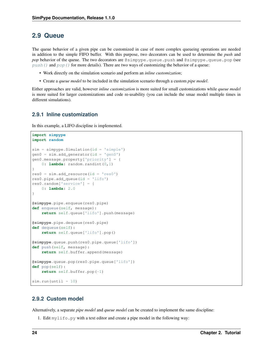## <span id="page-27-0"></span>**2.9 Queue**

The queue behavior of a given pipe can be customized in case of more complex queueing operations are needed in addition to the simple FIFO buffer. With this purpose, two decorators can be used to determine the *push* and *pop* behavior of the queue. The two decorators are @simpype.queue.push and @simpype.queue.pop (see  $push()$  and  $pop()$  for more details). There are two ways of customizing the behavior of a queue:

- Work directly on the simulation scenario and perform an *inline customization*;
- Create a *queue model* to be included in the simulation scenario through a custom *pipe model*.

Either approaches are valid, however *inline customization* is more suited for small customizations while *queue model* is more suited for larger customizations and code re-usability (you can include the smae model multiple times in different simulations).

#### **2.9.1 Inline customization**

In this example, a LIFO discipline is implemented.

```
import simpype
import random
sim = simpype.Simulation(id = 'simple')
gen0 = sim.add_generator(id = 'gen0')
gen0.message.property['priority'] = {
    0: lambda: random.randint(0,1)
}
res0 = sim.add\_resource(id = 'res0')res0.pipe.add_queue(id = 'lifo')
res0.random['service'] = {
    0: lambda: 2.0
}
@simpype.pipe.enqueue(res0.pipe)
def enqueue(self, message):
   return self.queue['lifo'].push(message)
@simpype.pipe.dequeue(res0.pipe)
def dequeue(self):
    return self.queue['lifo'].pop()
@simpype.queue.push(res0.pipe.queue['lifo'])
def push(self, message):
    return self.buffer.append(message)
@simpype.queue.pop(res0.pipe.queue['lifo'])
def pop(self):
   return self.buffer.pop(-1)
sim.run(until = 10)
```
#### **2.9.2 Custom model**

Alternatively, a separate *pipe model* and *queue model* can be created to implement the same discipline:

1. Edit mylifo.py with a text editor and create a pipe model in the following way: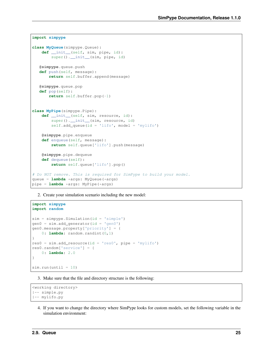```
import simpype
class MyQueue(simpype.Queue):
   def __init__(self, sim, pipe, id):
        super(). __init__(sim, pipe, id)
   @simpype.queue.push
   def push(self, message):
       return self.buffer.append(message)
   @simpype.queue.pop
   def pop(self):
       return self.buffer.pop(-1)
class MyPipe(simpype.Pipe):
    def __init__(self, sim, resource, id):
        super(). __init__(sim, resource, id)
        self.add_value(id = 'life', model = 'mylifo')@simpype.pipe.enqueue
   def enqueue(self, message):
        return self.queue['lifo'].push(message)
    @simpype.pipe.dequeue
    def dequeue(self):
        return self.queue['lifo'].pop()
# Do NOT remove. This is required for SimPype to build your model.
queue = lambda *args: MyQueue(*args)
pipe = lambda *args: MyPipe(*args)
```
2. Create your simulation scenario including the new model:

```
import simpype
import random
sim = simpype.Simulation(id = 'simple')
qen0 = sim.add\_generator(id = 'gen0')gen0.message.property['priority'] = {
    0: lambda: random.randint(0,1)
}
res0 = sim.add\_resource(id = 'res0', pipe = 'mylifo')res0.random['service'] = {
    0: lambda: 2.0
}
sim.run(until = 10)
```
3. Make sure that the file and directory structure is the following:

```
<working directory>
|-- simple.py
|-- mylifo.py
```
4. If you want to change the directory where SimPype looks for custom models, set the following variable in the simulation environment: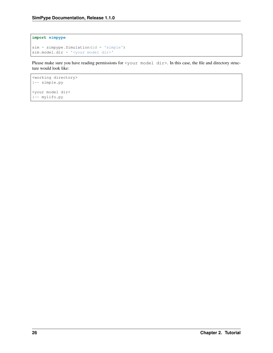#### **import simpype**

```
sim = simpype.Simulation(id = 'simple')
sim.model.dir = '<your model dir>'
```
Please make sure you have reading permissions for <your model dir>. In this case, the file and directory structure would look like:

```
<working directory>
|-- simple.py
<your model dir>
|-- mylifo.py
```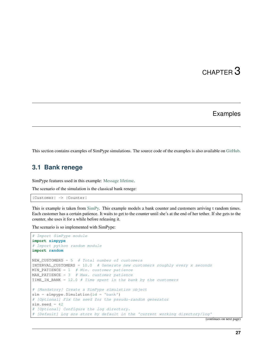# CHAPTER 3

# Examples

<span id="page-30-0"></span>This section contains examples of SimPype simulations. The source code of the examples is also available on [GitHub.](https://github.com/Mallets/SimPype/tree/master/examples)

# <span id="page-30-1"></span>**3.1 Bank renege**

SimPype features used in this example: [Message lifetime.](../tutorial/message.html#lifetime)

The scenario of the simulation is the classical bank renege:

|Customer| -> |Counter|

This is example is taken from [SimPy.](http://simpy.readthedocs.io/en/latest/examples/bank_renege.html) This example models a bank counter and customers arriving t random times. Each customer has a certain patience. It waits to get to the counter until she's at the end of her tether. If she gets to the counter, she uses it for a while before releasing it.

The scenario is so implemented with SimPype:

```
# Import SimPype module
import simpype
# Import python random module
import random
NEW CUSTOMERS = 5 # Total number of customers
INTERVAL_CUSTOMERS = 10.0 # Generate new customers roughly every x seconds
MIN_PATIENCE = 1 # Min. customer patience
MAX_PATIENCE = 3 # Max. customer patience
TIME_IN_BANK = 12.0 # Time spent in the bank by the customers
# [Mandatory] Create a SimPype simulation object
sim = simpype.Simulation(id = 'bank')
# [Optional] Fix the seed for the pseudo-random generator
sim.seed = 42
# [Optional] Configure the log directory.
# [Default] Log are store by default in the 'current working directory/log'
```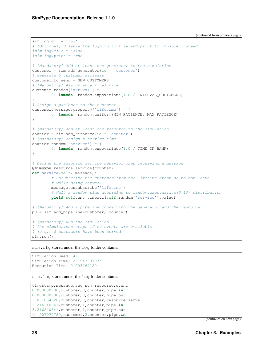```
sim.log.dir = 'log'
# [Optional] Disable the logging to file and print to console instead
#sim.log.file = False
#sim.log.print = True
# [Mandatory] Add at least one generator to the simulation
\text{customer} = \text{sim.add\_generator}(\text{id} = 'customer')# Generate 5 customer arrivals
customer.to_send = NEW_CUSTOMERS
# [Mandatory] Assign an arrival time
customer.random['arrival'] = {
        0: lambda: random.expovariate(1.0 / INTERVAL_CUSTOMERS)
}
# Assign a patience to the customer
customer.message.property['lifetime'] = {
        0: lambda: random.uniform(MIN_PATIENCE, MAX_PATIENCE)
}
# [Mandatory] Add at least one resource to the simulation
counter = sim.add\_resource(id = 'counter')# [Mandatory] Assign a service time
counter.random['service'] = {
        0: lambda: random.expovariate(1.0 / TIME IN BANK)
}
# Define the resource service behavior when receiving a message
@simpype.resource.service(counter)
def service(self, message):
        # Unsubscribe the customer from the lifetime event so to not leave
        # while being served.
       message.unsubscribe('lifetime')
        # Wait a random time according to random.expovariate(0.10) distribution
        yield self.env.timeout(self.random['service'].value)
# [Mandatory] Add a pipeline connecting the generator and the resource
p0 = sim.add_pipeline(customer, counter)
# [Mandatory] Run the simulation
# The simulations stops if no events are available
# (e.g., 5 customers have been served)
sim.run()
```
sim.cfg stored under the log folder contains:

Simulation Seed: 42 Simulation Time: 29.943697835 Execution Time: 0.003769120

sim.log stored under the log folder contains:

```
timestamp, message, seq_num, resource, event
0.000000000,customer,0,counter,pipe.in
0.000000000,customer,0,counter,pipe.out
3.031034228,customer,0,counter,resource.serve
3.216240641,customer,1,counter,pipe.in
3.216240641,customer,1,counter,pipe.out
14.507970729,customer,2,counter,pipe.in
```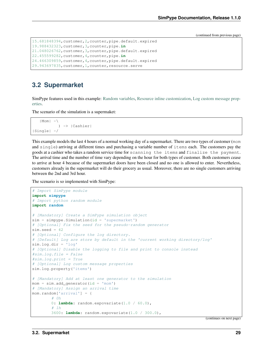```
15.681848394,customer,2,counter,pipe.default.expired
19.988432323,customer,3,counter,pipe.in
21.048026762,customer,3,counter,pipe.default.expired
22.455599282,customer,4,counter,pipe.in
24.466309859,customer,4,counter,pipe.default.expired
29.943697835,customer,1,counter,resource.serve
```
# <span id="page-32-0"></span>**3.2 Supermarket**

SimPype features used in this example: [Random variables,](../tutorial/random.html) [Resource inline customization,](../tutorial/resource.html#inline-customization) [Log custom message prop](../tutorial/logging.html#log-custom-message-properties)[erties.](../tutorial/logging.html#log-custom-message-properties)

The scenario of the simulation is a supermaket:

```
|Mom| - \langle) -> |Cashier|
|Single| -/
```
This example models the last 4 hours of a normal working day of a supermarket. There are two types of customer (mom and single) arriving at different times and purchasing a variable number of items each. The customers pay the goods at a cashier who takes a random service time for scanning the items and finalize the payment. The arrival time and the number of time vary depending on the hour for both types of customer. Both customers cease to arrive at hour 4 because of the supermarket doors have been closed and no one is allowed to enter. Nevertheless, customers already in the supermarket will do their grocery as usual. Moreover, there are no single customers arriving between the 2nd and 3rd hour.

The scenario is so implemented with SimPype:

```
# Import SimPype module
import simpype
# Import python random module
import random
# [Mandatory] Create a SimPype simulation object
sim = simpype. Simulation (id = 'supermarket')
# [Optional] Fix the seed for the pseudo-random generator
sim.seed = 42# [Optional] Configure the log directory.
# [Default] Log are store by default in the 'current working directory/log'
sim.log.dir = 'log'
# [Optional] Disable the logging to file and print to console instead
#sim.log.file = False
#sim.log.print = True
# [Optional] Log custom message properties
sim.log.property('items')
# [Mandatory] Add at least one generator to the simulation
mom = sim.add_qenerator(id = 'mom')# [Mandatory] Assign an arrival time
mom.random['arrival'] = {
        # 0h0: lambda: random.expovariate(1.0 / 60.0),
        # 1h
        3600: lambda: random.expovariate(1.0 / 300.0),
```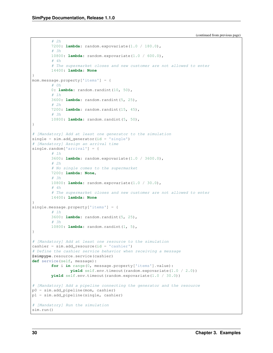```
# 2h
        7200: lambda: random.expovariate(1.0 / 180.0),
        # 3h
        10800: lambda: random.expovariate(1.0 / 600.0),
        # 4h
        # The supermarket closes and new customer are not allowed to enter
        14400: lambda: None
}
mom.message.property['items'] = {
        # \n0h0: lambda: random.randint(10, 50),
        # 1h
        3600: lambda: random.randint(5, 25),
        # 2h
        7200: lambda: random.randint(15, 45),
        # 3h
        10800: lambda: random.randint(5, 50),
}
# [Mandatory] Add at least one generator to the simulation
single = sim.add_generator(id = 'single')
# [Mandatory] Assign an arrival time
single.random['arrival'] = {
        # 1h
        3600: lambda: random.expovariate(1.0 / 3600.0),
        # 2h
        # No single comes to the supermarket
        7200: lambda: None,
        # 3h
        10800: lambda: random.expovariate(1.0 / 30.0),
        # 4h
        # The supermarket closes and new customer are not allowed to enter
        14400: lambda: None
}
single.message.property['items'] = {
        # 1h
        3600: lambda: random.randint(5, 25),
        # 3h
        10800: lambda: random.randint(1, 5),
}
# [Mandatory] Add at least one resource to the simulation
cashier = sim.add_resource(id = 'cashier')
# Define the cashier service behavior when receiving a message
@simpype.resource.service(cashier)
def service(self, message):
        for i in range(0, message.property['items'].value):
                yield self.env.timeout(random.expovariate(1.0 / 2.0))
        yield self.env.timeout(random.expovariate(1.0 / 30.0))
# [Mandatory] Add a pipeline connecting the generator and the resource
p0 = sim.add_pipeline(mom, cashier)
p1 = sim.add_pipeline(single, cashier)
# [Mandatory] Run the simulation
sim.run()
```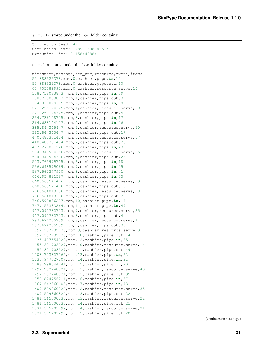sim.cfg stored under the log folder contains:

```
Simulation Seed: 42
Simulation Time: 14899.608748515
Execution Time: 0.158448884
```
sim.log stored under the log folder contains:

```
timestamp, message, seq_num, resource, event, items
53.388522378,mom,0,cashier,pipe.in,10
53.388522378,mom,0,cashier,pipe.out,10
63.705582990,mom,0,cashier,resource.serve,10
138.718083873,mom,1,cashier,pipe.in,39
138.718083873,mom,1,cashier,pipe.out,39
184.819829315,mom,2,cashier,pipe.in,50
221.256144325,mom,1,cashier,resource.serve,39
221.256144325,mom,2,cashier,pipe.out,50
254.736108725,mom,3,cashier,pipe.in,17
264.688144177,mom,4,cashier,pipe.in,26
385.844345447,mom,2,cashier,resource.serve,50
385.844345447,mom,3,cashier,pipe.out,17
440.480361404,mom,3,cashier,resource.serve,17
440.480361404,mom,4,cashier,pipe.out,26
477.278091226,mom,5,cashier,pipe.in,23
504.341904366,mom,4,cashier,resource.serve,26
504.341904366,mom,5,cashier,pipe.out,23
523.769979715,mom,6,cashier,pipe.in,18
556.648579069,mom,7,cashier,pipe.in,25
567.562277900,mom,8,cashier,pipe.in,41
606.954811567,mom,9,cashier,pipe.in,35
660.563541416,mom,5,cashier,resource.serve,23
660.563541416,mom,6,cashier,pipe.out,18
706.564013156,mom,6,cashier,resource.serve,18
706.564013156,mom,7,cashier,pipe.out,25
746.593836237,mom,10,cashier,pipe.in,14
747.155383264,mom,11,cashier,pipe.in,49
917.090782723, mom, 7, cashier, resource.serve, 25
917.090782723, mom, 8, cashier, pipe.out, 41
997.674205259, mom, 8, cashier, resource.serve, 41
997.674205259, mom, 9, cashier, pipe.out, 35
1094.237239136,mom,9,cashier,resource.serve,35
1094.237239136,mom,10,cashier,pipe.out,14
1135.497554920,mom,12,cashier,pipe.in,35
1155.321703927,mom,10,cashier,resource.serve,14
1155.321703927,mom,11,cashier,pipe.out,49
1203.773327065,mom,13,cashier,pipe.in,22
1230.947627207,mom,14,cashier,pipe.in,21
1288.298644241,mom,15,cashier,pipe.in,20
1297.292748821,mom,11,cashier,resource.serve,49
1297.292748821,mom,12,cashier,pipe.out,35
1352.824756211,mom,16,cashier,pipe.in,37
1367.643360603,mom,17,cashier,pipe.in,43
1409.579860824,mom,12,cashier,resource.serve,35
1409.579860824,mom,13,cashier,pipe.out,22
1481.165000235,mom,13,cashier,resource.serve,22
1481.165000235,mom,14,cashier,pipe.out,21
1531.515701299,mom,14,cashier,resource.serve,21
1531.515701299,mom,15,cashier,pipe.out,20
```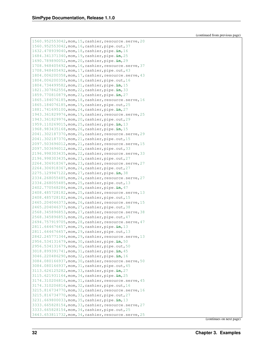| 1560.952553042, mom, 15, cashier, resource.serve, 20                                                   |  |
|--------------------------------------------------------------------------------------------------------|--|
| 1560.952553042, mom, 16, cashier, pipe.out, 37                                                         |  |
| 1632.478939040, mom, 18, cashier, pipe.in, 16                                                          |  |
| 1684.341371340, mom, 19, cashier, pipe.in, 25                                                          |  |
| 1690.789890052, mom, 20, cashier, pipe.in, 29                                                          |  |
| 1708.948405492, mom, 16, cashier, resource.serve, 37                                                   |  |
| 1708.948405492, mom, 17, cashier, pipe.out, 43                                                         |  |
| 1804.006200358, mom, 17, cashier, resource.serve, 43                                                   |  |
| 1804.006200358, mom, 18, cashier, pipe.out, 16                                                         |  |
| 1804.734499582, mom, 21, cashier, pipe.in, 15                                                          |  |
| 1821.307862556, mom, 22, cashier, pipe.in, 33                                                          |  |
| 1859.770810879, mom, 23, cashier, pipe.in, 27                                                          |  |
| 1865.184076185, mom, 18, cashier, resource.serve, 16                                                   |  |
| 1865.184076185, mom, 19, cashier, pipe.out, 25                                                         |  |
| 1881.741695100, mom, 24, cashier, pipe.in, 27                                                          |  |
| 1943.361829976, mom, 19, cashier, resource.serve, 25                                                   |  |
| 1943.361829976, mom, 20, cashier, pipe.out, 29                                                         |  |
| 1959.110269015, mom, 25, cashier, pipe.in, 13                                                          |  |
| 1968.983435168, mom, 26, cashier, pipe.in, 15                                                          |  |
| 2041.302187370, mom, 20, cashier, resource.serve, 29                                                   |  |
| 2041.302187370, mom, 21, cashier, pipe.out, 15                                                         |  |
| 2097.503696012, mom, 21, cashier, resource.serve, 15                                                   |  |
| 2097.503696012, mom, 22, cashier, pipe.out, 33                                                         |  |
| 2196.998303435, mom, 22, cashier, resource.serve, 33                                                   |  |
|                                                                                                        |  |
| 2196.998303435, mom, 23, cashier, pipe.out, 27<br>2264.306918367, mom, 23, cashier, resource.serve, 27 |  |
|                                                                                                        |  |
| 2264.306918367, mom, 24, cashier, pipe.out, 27                                                         |  |
| 2275.129947122, mom, 27, cashier, pipe.in, 38                                                          |  |
| 2334.268055485, mom, 24, cashier, resource.serve, 27<br>2334.268055485, mom, 25, cashier, pipe.out, 13 |  |
| 2402.770568286, mom, 28, cashier, pipe.in, 47                                                          |  |
|                                                                                                        |  |
| 2408.485728182, mom, 25, cashier, resource.serve, 13                                                   |  |
| 2408.485728182, mom, 26, cashier, pipe.out, 15<br>2465.204046373, mom, 26, cashier, resource.serve, 15 |  |
| 2465.204046373, mom, 27, cashier, pipe.out, 38                                                         |  |
| 2568.345896853, mom, 27, cashier, resource.serve, 38                                                   |  |
| 2568.345896853, mom, 28, cashier, pipe.out, 47                                                         |  |
| 2694.757919705, mom, 28, cashier, resource.serve, 47                                                   |  |
| 2811.644676457, mom, 29, cashier, pipe.in, 13                                                          |  |
| 2811.644676457, mom, 29, cashier, pipe.out, 13                                                         |  |
| 2842.245771344, mom, 29, cashier, resource.serve, 13                                                   |  |
| 2956.534131679, mom, 30, cashier, pipe.in, 50                                                          |  |
| 2956.534131679, mom, 30, cashier, pipe.out, 50                                                         |  |
| 3018.899391741, mom, 31, cashier, pipe.in, 45                                                          |  |
| 3046.220486290, mom, 32, cashier, pipe.in, 16                                                          |  |
| 3084.080166937, mom, 30, cashier, resource.serve, 50                                                   |  |
| 3084.080166937, mom, 31, cashier, pipe.out, 45                                                         |  |
| 3113.626125282, mom, 33, cashier, pipe.in, 27                                                          |  |
| 3115.621931164, mom, 34, cashier, pipe.in, 25                                                          |  |
| 3174.310206816, mom, 31, cashier, resource.serve, 45                                                   |  |
| 3174.310206816, mom, 32, cashier, pipe.out, 16                                                         |  |
| 3215.816734770, mom, 32, cashier, resource.serve, 16                                                   |  |
| 3215.816734770, mom, 33, cashier, pipe.out, 27                                                         |  |
| 3231.669800033, mom, 35, cashier, pipe.in, 13                                                          |  |
| 3333.665828154, mom, 33, cashier, resource.serve, 27                                                   |  |
| 3333.665828154, mom, 34, cashier, pipe.out, 25                                                         |  |
| 3443.653811732, mom, 34, cashier, resource.serve, 25                                                   |  |
|                                                                                                        |  |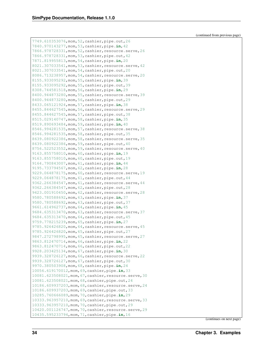| 7749.610353076, mom, 52, cashier, pipe.out, 26        |  |
|-------------------------------------------------------|--|
| 7840.970143277, mom, 53, cashier, pipe.in, 42         |  |
| 7866.978728331, mom, 52, cashier, resource.serve, 26  |  |
| 7866.978728331, mom, 53, cashier, pipe.out, 42        |  |
| 7871.819955813, mom, 54, cashier, pipe.in, 20         |  |
| 8021.307033541, mom, 53, cashier, resource.serve, 42  |  |
| 8021.307033541, mom, 54, cashier, pipe.out, 20        |  |
| 8086.713238957, mom, 54, cashier, resource.serve, 20  |  |
| 8155.933095292, mom, 55, cashier, pipe.in, 39         |  |
|                                                       |  |
| 8155.933095292, mom, 55, cashier, pipe.out, 39        |  |
| 8308.744581518, mom, 56, cashier, pipe.in, 29         |  |
| 8400.944873280, mom, 55, cashier, resource.serve, 39  |  |
| 8400.944873280, mom, 56, cashier, pipe.out, 29        |  |
| 8433.065121924, mom, 57, cashier, pipe.in, 38         |  |
| 8455.844627545, mom, 56, cashier, resource.serve, 29  |  |
| 8455.844627545, mom, 57, cashier, pipe.out, 38        |  |
| 8515.029140747, mom, 58, cashier, pipe.in, 35         |  |
| 8519.890693484, mom, 59, cashier, pipe.in, 40         |  |
| 8546.994281535, mom, 57, cashier, resource.serve, 38  |  |
| 8546.994281535, mom, 58, cashier, pipe.out, 35        |  |
| 8639.080922386, mom, 58, cashier, resource.serve, 35  |  |
| 8639.080922386, mom, 59, cashier, pipe.out, 40        |  |
| 8756.522523552, mom, 59, cashier, resource.serve, 40  |  |
| 9163.855758010, mom, 60, cashier, pipe.in, 19         |  |
| 9163.855758010, mom, 60, cashier, pipe.out, 19        |  |
| 9164.790843007, mom, 61, cashier, pipe.in, 44         |  |
| 9195.733794567, mom, 62, cashier, pipe.in, 28         |  |
| 9229.064878175, mom, 60, cashier, resource.serve, 19  |  |
| 9229.064878175, mom, 61, cashier, pipe.out, 44        |  |
| 9362.266384547, mom, 61, cashier, resource.serve, 44  |  |
| 9362.266384547, mom, 62, cashier, pipe.out, 28        |  |
| 9423.001910450, mom, 62, cashier, resource.serve, 28  |  |
| 9580.780588692, mom, 63, cashier, pipe.in, 37         |  |
| 9580.780588692, mom, 63, cashier, pipe.out, 37        |  |
| 9661.614962737, mom, 64, cashier, pipe.in, 45         |  |
| 9684.635313470, mom, 63, cashier, resource.serve, 37  |  |
| 9684.635313470, mom, 64, cashier, pipe.out, 45        |  |
| 9759.778215239, mom, 65, cashier, pipe.in, 27         |  |
| 9785.926426820, mom, 64, cashier, resource.serve, 45  |  |
| 9785.926426820, mom, 65, cashier, pipe.out, 27        |  |
| 9847.272798995, mom, 65, cashier, resource.serve, 27  |  |
| 9863.812470714, mom, 66, cashier, pipe.in, 22         |  |
| 9863.812470714, mom, 66, cashier, pipe.out, 22        |  |
| 9928.203425134, mom, 67, cashier, pipe.in, 30         |  |
| 9939.328726127, mom, 66, cashier, resource.serve, 22  |  |
| 9939.328726127, mom, 67, cashier, pipe.out, 30        |  |
| 9970.380503908, mom, 68, cashier, pipe.in, 24         |  |
| 10056.619170012, mom, 69, cashier, pipe.in, 33        |  |
| 10081.623508021, mom, 67, cashier, resource.serve, 30 |  |
| 10081.623508021, mom, 68, cashier, pipe.out, 24       |  |
| 10186.609937203, mom, 68, cashier, resource.serve, 24 |  |
| 10186.609937203, mom, 69, cashier, pipe.out, 33       |  |
| 10285.760666089, mom, 70, cashier, pipe.in, 29        |  |
| 10333.963957210, mom, 69, cashier, resource.serve, 33 |  |
| 10333.963957210, mom, 70, cashier, pipe.out, 29       |  |
| 10420.001126747, mom, 70, cashier, resource.serve, 29 |  |
| 10435.595233794, mom, 71, cashier, pipe.in, 16        |  |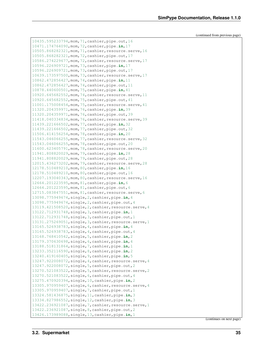| 10435.595233794, mom, 71, cashier, pipe.out, 16                                                      |
|------------------------------------------------------------------------------------------------------|
| 10471.174764090, mom, 72, cashier, pipe.in, 17                                                       |
| 10505.868282321, mom, 71, cashier, resource.serve, 16                                                |
| 10505.868282321, mom, 72, cashier, pipe.out, 17                                                      |
| 10586.274229677, mom, 72, cashier, resource.serve, 17                                                |
| 10596.226909721, mom, 73, cashier, pipe.in, 17                                                       |
| 10596.226909721, mom, 73, cashier, pipe.out, 17                                                      |
| 10639.173597500, mom, 73, cashier, resource.serve, 17                                                |
| 10862.472856427, mom, 74, cashier, pipe.in, 11                                                       |
| 10862.472856427, mom, 74, cashier, pipe.out, 11                                                      |
| 10878.440600501, mom, 75, cashier, pipe.in, 41                                                       |
| 10920.645682552, mom, 74, cashier, resource.serve, 11                                                |
| 10920.645682552, mom, 75, cashier, pipe.out, 41                                                      |
| 11001.175008454, mom, 75, cashier, resource.serve, 41                                                |
| 11320.204359971, mom, 76, cashier, pipe.in, 39                                                       |
| 11320.204359971, mom, 76, cashier, pipe.out, 39                                                      |
| 11418.040334834, mom, 76, cashier, resource.serve, 39                                                |
| 11439.221666502, mom, 77, cashier, pipe.in, 32                                                       |
| 11439.221666502, mom, 77, cashier, pipe.out, 32                                                      |
| 11506.414156254, mom, 78, cashier, pipe.in, 20                                                       |
| 11543.046066255, mom, 77, cashier, resource.serve, 32                                                |
| 11543.046066255, mom, 78, cashier, pipe.out, 20                                                      |
| 11600.623405791, mom, 78, cashier, resource.serve, 20                                                |
| 11941.808820029, mom, 79, cashier, pipe.in, 28                                                       |
| 11941.808820029, mom, 79, cashier, pipe.out, 28                                                      |
| 12015.436273202, mom, 79, cashier, resource.serve, 28                                                |
| 12178.510489210, mom, 80, cashier, pipe.in, 16                                                       |
| 12178.510489210, mom, 80, cashier, pipe.out, 16                                                      |
| 12207.193040343, mom, 80, cashier, resource.serve, 16                                                |
| 12664.201223595, mom, 81, cashier, pipe.in, 6                                                        |
| 12664.201223595, mom, 81, cashier, pipe.out, 6                                                       |
| 12715.083847551, mom, 81, cashier, resource.serve, 6                                                 |
| 13098.775949674, single, 2, cashier, pipe.in, 4                                                      |
| 13098.775949674, single, 2, cashier, pipe.out, 4                                                     |
| 13119.421508520, single, 2, cashier, resource.serve, 4                                               |
| 13122.712931748, single, 3, cashier, pipe.in, 1                                                      |
| 13122.712931748, single, 3, cashier, pipe.out, 1                                                     |
| 13131.275269051, single, 3, cashier, resource.serve, 1                                               |
| 13165.526938783, single, 4, cashier, pipe.in, 4                                                      |
| 13165.526938783, single, 4, cashier, pipe.out, 4                                                     |
| 13168.768410542, single, 5, cashier, pipe.in, 2                                                      |
| 13179.370630698, single, 6, cashier, pipe.in, 4                                                      |
| 13188.518131864, single, 7, cashier, pipe.in, 1                                                      |
| 13233.352116590, single, 8, cashier, pipe.in, 2                                                      |
| 13240.419160405, single, 9, cashier, pipe.in, 5                                                      |
| 13247.922008072, single, 4, cashier, resource.serve, 4                                               |
| 13247.922008072, single, 5, cashier, pipe.out, 2                                                     |
| 13270.521083522, single, 5, cashier, resource.serve, 2                                               |
| 13270.521083522, single, 6, cashier, pipe.out, 4                                                     |
| 13275.470920394, single, 10, cashier, pipe.in, 2                                                     |
| 13305.970959407, single, 6, cashier, resource.serve, 4                                               |
| 13305.970959407, single, 7, cashier, pipe.out, 1                                                     |
| 13324.581436875, single, 11, cashier, pipe.in, 3                                                     |
| 13334.827986552, single, 12, cashier, pipe.in, 3                                                     |
| 13422.236921087, single, 7, cashier, resource.serve, 1                                               |
|                                                                                                      |
| 13422.236921087, single, 8, cashier, pipe.out, 2<br>13426.173989088, single, 13, cashier, pipe.in, 1 |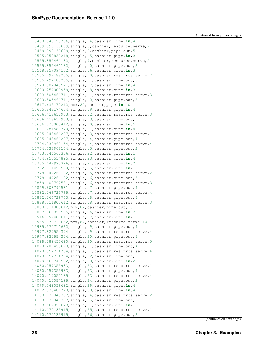| 13430.545193706, single, 14, cashier, pipe.in, 4                                                          |
|-----------------------------------------------------------------------------------------------------------|
| 13469.890130609, single, 8, cashier, resource.serve, 2                                                    |
| 13469.890130609, single, 9, cashier, pipe.out, 5                                                          |
| 13505.858837218, single, 15, cashier, pipe.in, 2                                                          |
| 13525.855461182, single, 9, cashier, resource.serve, 5                                                    |
| 13525.855461182, single, 10, cashier, pipe.out, 2                                                         |
| 13548.857094132, single, 16, cashier, pipe.in, 3                                                          |
| 13555.297188255, single, 10, cashier, resource.serve, 2                                                   |
| 13555.297188255, single, 11, cashier, pipe.out, 3                                                         |
| 13578.507845571, single, 17, cashier, pipe.in, 4                                                          |
| 13600.254007959, single, 18, cashier, pipe.in, 3                                                          |
| 13603.505461711, single, 11, cashier, resource.serve, 3                                                   |
| 13603.505461711, single, 12, cashier, pipe.out, 3                                                         |
| 13617.632172212, mom, 82, cashier, pipe.in, 10                                                            |
| 13635.848174634, single, 19, cashier, pipe.in, 4                                                          |
| 13636.418652953, single, 12, cashier, resource.serve, 3                                                   |
|                                                                                                           |
| 13636.418652953, single, 13, cashier, pipe.out, 1                                                         |
| 13666.070809412, single, 20, cashier, pipe.in, 5                                                          |
| 13681.281588370, single, 21, cashier, pipe.in, 4                                                          |
| 13695.743461287, single, 13, cashier, resource.serve, 1                                                   |
| 13695.743461287, single, 14, cashier, pipe.out, 4                                                         |
| 13704.338968154, single, 14, cashier, resource.serve, 4                                                   |
| 13704.338968154, single, 15, cashier, pipe.out, 2                                                         |
| 13733.544561336, single, 22, cashier, pipe.in, 1                                                          |
| 13734.955514825, single, 23, cashier, pipe.in, 4                                                          |
| 13735.447975326, single, 24, cashier, pipe.in, 2                                                          |
| 13752.911499520, single, 25, cashier, pipe.in, 1                                                          |
| 13778.644266192, single, 15, cashier, resource.serve, 2                                                   |
| 13778.644266192, single, 16, cashier, pipe.out, 3                                                         |
| 13859.608792531, single, 16, cashier, resource.serve, 3                                                   |
| 13859.608792531, single, 17, cashier, pipe.out, 4                                                         |
| 13882.266729765, single, 17, cashier, resource.serve, 4                                                   |
| 13882.266729765, single, 18, cashier, pipe.out, 3                                                         |
| 13888.311805612, single, 18, cashier, resource.serve, 3                                                   |
| 13888.311805612, mom, 82, cashier, pipe.out, 10                                                           |
| 13897.160358595, single, 26, cashier, pipe.in, 2                                                          |
| 13916.594487611, single, 27, cashier, pipe.in, 1<br>13935.970711662, mom, 82, cashier, resource.serve, 10 |
| 13935.970711662, single, 19, cashier, pipe.out, 4                                                         |
| 13977.829554394, single, 19, cashier, resource. serve, 4                                                  |
| 13977.829554394, single, 20, cashier, pipe.out, 5                                                         |
| 14028.289453620, single, 20, cashier, resource.serve, 5                                                   |
| 14028.289453620, single, 21, cashier, pipe.out, 4                                                         |
| 14040.557714784, single, 21, cashier, resource.serve, 4                                                   |
| 14040.557714784, single, 22, cashier, pipe.out, 1                                                         |
| 14049.669741552, single, 28, cashier, pipe.in, 2                                                          |
| 14060.057355983, single, 22, cashier, resource.serve, 1                                                   |
| 14060.057355983, single, 23, cashier, pipe.out, 4                                                         |
| 14070.419057185, single, 23, cashier, resource.serve, 4                                                   |
| 14070.419057185, single, 24, cashier, pipe.out, 2                                                         |
| 14079.342039692, single, 29, cashier, pipe.in, 4                                                          |
| 14092.336486740, single, 30, cashier, pipe.in, 4                                                          |
| 14100.139845307, single, 24, cashier, resource.serve, 2                                                   |
| 14100.139845307, single, 25, cashier, pipe.out, 1                                                         |
| 14103.664850673, single, 31, cashier, pipe.in, 1                                                          |
| 14110.170135915, single, 25, cashier, resource.serve, 1                                                   |
| 14110.170135915, single, 26, cashier, pipe.out, 2                                                         |
|                                                                                                           |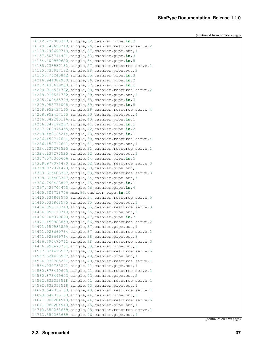| 14112.222083383, single, 32, cashier, pipe.in, 3                                                             |
|--------------------------------------------------------------------------------------------------------------|
| 14149.743690713, single, 26, cashier, resource.serve, 2                                                      |
| 14149.743690713, single, 27, cashier, pipe.out, 1                                                            |
| 14157.505741421, single, 33, cashier, pipe.in, 3                                                             |
| 14164.404960620, single, 34, cashier, pipe.in, 5                                                             |
| 14185.733937182, single, 27, cashier, resource.serve, 1                                                      |
| 14185.733937182, single, 28, cashier, pipe.out, 2                                                            |
| 14185.776240842, single, 35, cashier, pipe.in, 3                                                             |
| 14216.944382950, single, 36, cashier, pipe.in, 2                                                             |
| 14237.433619080, single, 37, cashier, pipe.in, 1                                                             |
| 14238.916531782, single, 28, cashier, resource.serve, 2                                                      |
|                                                                                                              |
| 14238.916531782, single, 29, cashier, pipe.out, 4                                                            |
| 14245.709455749, single, 38, cashier, pipe.in, 3<br>14249.955771005, single, 39, cashier, pipe.in, 5         |
|                                                                                                              |
| 14258.952437165, single, 29, cashier, resource.serve, 4                                                      |
| 14258.952437165, single, 30, cashier, pipe.out, 4                                                            |
| 14266.342285116, single, 40, cashier, pipe.in, 1                                                             |
| 14266.847192287, single, 41, cashier, pipe.in, 1                                                             |
| 14267.263875455, single, 42, cashier, pipe.in, 2                                                             |
| 14268.483125214, single, 43, cashier, pipe.in, 1                                                             |
| 14286.152717641, single, 30, cashier, resource.serve, 4                                                      |
| 14286.152717641, single, 31, cashier, pipe.out, 1                                                            |
| 14324.237273525, single, 31, cashier, resource.serve, 1                                                      |
| 14324.237273525, single, 32, cashier, pipe.out, 3                                                            |
| 14357.573365606, single, 44, cashier, pipe.in, 5                                                             |
| 14359.977074470, single, 32, cashier, resource.serve, 3                                                      |
| 14359.977074470, single, 33, cashier, pipe.out, 3                                                            |
| 14369.615403367, single, 33, cashier, resource.serve, 3                                                      |
| 14369.615403367, single, 34, cashier, pipe.out, 5                                                            |
| 14386.290423847, single, 45, cashier, pipe.in, 1                                                             |
| 14397.429704473, single, 46, cashier, pipe.in, 4                                                             |
| 14405.306718746, mom, 83, cashier, pipe.in, 20                                                               |
| 14415.336868575, single, 34, cashier, resource.serve, 5                                                      |
| 14415.336868575, single, 35, cashier, pipe.out, 3                                                            |
| 14434.896110713, single, 35, cashier, resource.serve, 3                                                      |
| 14434.896110713, single, 36, cashier, pipe.out, 2                                                            |
| 14436.705079699, single, 47, cashier, pipe.in, 3                                                             |
| 14471.159983859, single, 36, cashier, resource.serve, 2                                                      |
| 14471.159983859, single, 37, cashier, pipe.out, 1                                                            |
| 14471.928669764, single, 37, cashier, resource.serve, 1                                                      |
| 14471.928669764, single, 38, cashier, pipe.out, 3                                                            |
| 14486.390470761, single, 38, cashier, resource.serve, 3                                                      |
| 14486.390470761, single, 39, cashier, pipe.out, 5                                                            |
| 14557.621426597, single, 39, cashier, resource.serve, 5                                                      |
| 14557.621426597, single, 40, cashier, pipe.out, 1                                                            |
| 14564.030785291, single, 40, cashier, resource.serve, 1                                                      |
| 14564.030785291, single, 41, cashier, pipe.out, 1                                                            |
| 14580.873449642, single, 41, cashier, resource.serve, 1                                                      |
| 14580.873449642, single, 42, cashier, pipe.out, 2                                                            |
| 14592.632353518, single, 42, cashier, resource.serve, 2                                                      |
| 14592.632353518, single, 43, cashier, pipe.out, 1                                                            |
|                                                                                                              |
| 14629.642355160, single, 43, cashier, resource.serve, 1                                                      |
| 14629.642355160, single, 44, cashier, pipe.out, 5                                                            |
| 14641.980204918, single, 44, cashier, resource.serve, 5                                                      |
| 14641.980204918, single, 45, cashier, pipe.out, 1                                                            |
| 14712.354265669, single, 45, cashier, resource.serve, 1<br>14712.354265669, single, 46, cashier, pipe.out, 4 |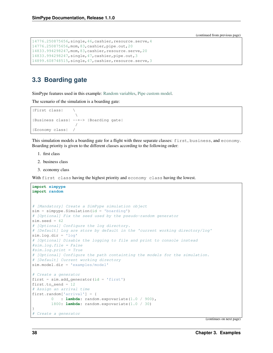```
14776.250875656,single,46,cashier,resource.serve,4
14776.250875656,mom,83,cashier,pipe.out,20
14833.994298247,mom,83,cashier,resource.serve,20
14833.994298247,single,47,cashier,pipe.out,3
14899.608748515,single,47,cashier,resource.serve,3
```
## **3.3 Boarding gate**

SimPype features used in this example: [Random variables,](../tutorial/random.html) [Pipe custom model.](../tutorial/pipe.html#custom-model)

The scenario of the simulation is a boarding gate:

```
|First class| \
                     \setminus|Business class| --+-> |Boarding gate|
                     /
|Economy class| /
```
This simulation models a boarding gate for a flight with three separate classes: first, business, and economy. Boarding priority is given to the different classes according to the following order:

- 1. first class
- 2. business class
- 3. economy class

With first class having the highest priority and economy class having the lowest.

```
import simpype
import random
# [Mandatory] Create a SimPype simulation object
sim = simpype.Simulation(id = 'boarding')
# [Optional] Fix the seed used by the pseudo-random generator
sim.seed = 42
# [Optional] Configure the log directory.
# [Default] Log are store by default in the 'current working directory/log'
sim.log.dir = 'log'
# [Optional] Disable the logging to file and print to console instead
#sim.log.file = False
#sim.log.print = True
# [Optional] Configure the path containting the models for the simulation.
# [Default] Current working directory
sim.model.dir = 'examples/model'
# Create a generator
first = sim.add_generator(id = 'first')
first.to_send = 12
# Assign an arrival time
first.random['arrival'] = {
       0 : lambda: random.expovariate(1.0 / 900),
       1800: lambda: random.expovariate(1.0 / 30)
}
# Create a generator
```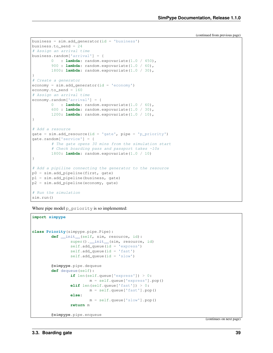```
business = sim.add_qenerator(id = 'business')business.to_send = 24
# Assign an arrival time
business.random['arrival'] = {
        0 : lambda: random.expovariate(1.0 / 450),
        900 : lambda: random.expovariate(1.0 / 60),
        1800: lambda: random.expovariate(1.0 / 30),
}
# Create a generator
economy = sim.add_generator(id = 'economy')
economy.to_send = 160
# Assign an arrival time
economy.random['arrival'] = {
        0 : lambda: random.expovariate(1.0 / 60),
        600 : lambda: random.expovariate(1.0 / 30),
        1200: lambda: random.expovariate(1.0 / 10),
}
# Add a resource
qate = sim.add\_resource(id = 'gate', pipe = 'p\_priority')gate.random['service'] = {
        # The gate opens 30 mins from the simulation start
        # Check boarding pass and passport takes ~10s
        1800: lambda: random.expovariate(1.0 / 10)
}
# Add a pipiline connecting the generator to the resource
p0 = sim.add_pipeline(first, gate)
p1 = sim.add_pipeline(business, gate)
p2 = sim.add_pipeline(economy, gate)
# Run the simulation
sim.run()
```
Where pipe model p\_priority is so implemented:

```
import simpype
class Priority(simpype.pipe.Pipe):
        def init (self, sim, resource, id):
                super(). __init__(sim, resource, id)
                self.add_queue(id = 'express')
                self.add_queue(id = 'fast')
                self.add queue(id = 'slow')@simpype.pipe.dequeue
        def dequeue(self):
                if len(self.queue['express']) > 0:
                        m = self.queue['express'].pop()
                elif len(self.queue['fast']) > 0:
                        m = self.queue['fast'].pop()else:
                       m = self.queue['slow'].pop()
                return m
        @simpype.pipe.enqueue
```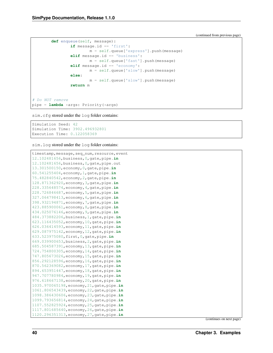```
def enqueue(self, message):
                if message.id == 'first':
                        m = self.queue['express'].push(message)
                elif message.id == 'business':
                       m = self.queue['fast'].push(message)
                elif message.id == 'economy':
                       m = self.queue['slow'].push(message)
                else:
                       m = self.queue['slow'].push(message)
                return m
# Do NOT remove
```
pipe = **lambda** \*args: Priority(\*args)

sim.cfg stored under the log folder contains:

Simulation Seed: 42 Simulation Time: 3902.496932801 Execution Time: 0.122058369

sim.log stored under the log folder contains:

```
timestamp, message, seq_num, resource, event
12.102481656,business,0,gate,pipe.in
12.102481656,business,0,gate,pipe.out
13.301500150,economy,0,gate,pipe.in
60.541255404,economy,1,gate,pipe.in
75.482840542,economy,2,gate,pipe.in
128.871362920,economy,3,gate,pipe.in
228.335648574,economy,4,gate,pipe.in
228.726846687,economy,5,gate,pipe.in
327.064798413,economy,6,gate,pipe.in
398.932194871,economy,7,gate,pipe.in
423.885900061,economy,8,gate,pipe.in
434.025076146,economy,9,gate,pipe.in
484.373882206,business,1,gate,pipe.in
623.116435052,economy,10,gate,pipe.in
626.036414593,economy,11,gate,pipe.in
629.087975142,economy,12,gate,pipe.in
633.523975080,first,0,gate,pipe.in
669.039900653,business,2,gate,pipe.in
685.504587391,economy,13,gate,pipe.in
724.754800305,economy,14,gate,pipe.in
747.805673026,economy,15,gate,pipe.in
856.292128596,economy,16,gate,pipe.in
870.562369082,economy,17,gate,pipe.in
894.653951447,economy,18,gate,pipe.in
947.707780984,economy,19,gate,pipe.in
976.618667138,economy,20,gate,pipe.in
1035.970065198,economy,21,gate,pipe.in
1061.806543439,economy,22,gate,pipe.in
1098.386430606,economy,23,gate,pipe.in
1099.793656814,economy,24,gate,pipe.in
1107.552825924,economy,25,gate,pipe.in
1117.801685640,economy,26,gate,pipe.in
1120.296351313,economy,27,gate,pipe.in
```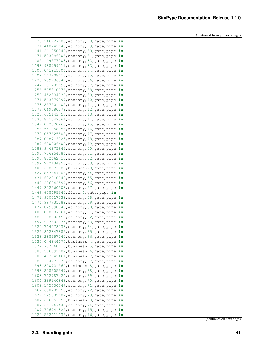| 1128.246227605, economy, 28, gate, pipe.in |
|--------------------------------------------|
|                                            |
| 1131.440442640, economy, 29, gate, pipe.in |
| 1141.211250040, economy, 30, gate, pipe.in |
| 1171.503296306, economy, 31, gate, pipe.in |
| 1185.119277203, economy, 32, gate, pipe.in |
| 1198.988959711, economy, 33, gate, pipe.in |
| 1206.041915204, economy, 34, gate, pipe.in |
| 1209.147708416, economy, 35, gate, pipe.in |
| 1236.739236349, economy, 36, gate, pipe.in |
| 1247.181482696, economy, 37, gate, pipe.in |
| 1256.575310976, economy, 38, gate, pipe.in |
| 1258.452334830, economy, 39, gate, pipe.in |
| 1271.513379397, economy, 40, gate, pipe.in |
| 1273.297501405, economy, 41, gate, pipe.in |
|                                            |
| 1278.069080072, economy, 42, gate, pipe.in |
| 1323.655143756, economy, 43, gate, pipe.in |
| 1333.871649561, economy, 44, gate, pipe.in |
| 1342.012370263, economy, 45, gate, pipe.in |
| 1353.551958156, economy, 46, gate, pipe.in |
| 1372.057625503, economy, 47, gate, pipe.in |
| 1387.018713825, economy, 48, gate, pipe.in |
| 1389.620006400, economy, 49, gate, pipe.in |
| 1389.946273948, economy, 50, gate, pipe.in |
| 1393.736254384, economy, 51, gate, pipe.in |
| 1396.852462715, economy, 52, gate, pipe.in |
| 1399.222134853, economy, 53, gate, pipe.in |
| 1409.618373385, business, 3, gate, pipe.in |
| 1427.853347906, economy, 54, gate, pipe.in |
| 1431.632010948, economy, 55, gate, pipe.in |
|                                            |
| 1442.286842594, economy, 56, gate, pipe.in |
| 1447.322560908, economy, 57, gate, pipe.in |
| 1466.608495340, first, 1, gate, pipe.in    |
| 1471.920517539, economy, 58, gate, pipe.in |
| 1474.997735082, economy, 59, gate, pipe.in |
| 1477.829690040, economy, 60, gate, pipe.in |
| 1486.070637961, economy, 61, gate, pipe.in |
| 1489.118806453, economy, 62, gate, pipe.in |
| 1497.903602875, economy, 63, gate, pipe.in |
| 1520.714078238, economy, 64, gate, pipe.in |
| 1525.812347882, economy, 65, gate, pipe.in |
| 1528.288257049,economy,66,gate,pipe.in     |
| 1535.044944176, business, 4, gate, pipe.in |
| 1577.787960613, business, 5, gate, pipe.in |
| 1583.506592604, business, 6, gate, pipe.in |
| 1586.402342461, business, 7, gate, pipe.in |
|                                            |
| 1588.354471375, economy, 67, gate, pipe.in |
| 1593.370721964, business, 8, gate, pipe.in |
| 1598.228205347, economy, 68, gate, pipe.in |
| 1603.712787424, economy, 69, gate, pipe.in |
| 1604.369140848, economy, 70, gate, pipe.in |
| 1609.175650547, economy, 71, gate, pipe.in |
| 1664.698409753, economy, 72, gate, pipe.in |
| 1672.229809607, economy, 73, gate, pipe.in |
| 1687.606651856, business, 9, gate, pipe.in |
| 1707.661467448, economy, 74, gate, pipe.in |
| 1707.776941825, economy, 75, gate, pipe.in |
| 1720.532411132, economy, 76, gate, pipe.in |
|                                            |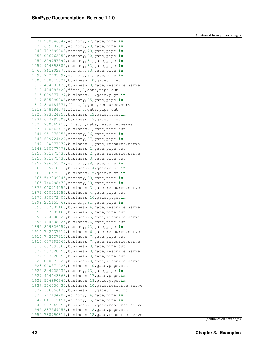| 1731.980346347, economy, 77, gate, pipe.in         |
|----------------------------------------------------|
| 1739.679987805, economy, 78, gate, pipe.in         |
| 1742.783699003, economy, 79, gate, pipe.in         |
| 1753.026963858, economy, 80, gate, pipe.in         |
| 1754.209757399, economy, 81, gate, pipe.in         |
| 1759.914898885, economy, 82, gate, pipe.in         |
| 1765.961202873, economy, 83, gate, pipe.in         |
| 1796.712405792, economy, 84, gate, pipe.in         |
| 1805.908515321, business, 10, gate, pipe.in        |
| 1812.404983428, business, 0, gate, resource.serve  |
| 1812.404983428, first, 0, gate, pipe.out           |
| 1815.079377637, business, 11, gate, pipe.in        |
| 1817.575290306,economy,85,gate,pipe.in             |
| 1819.348184371, first, 0, gate, resource.serve     |
| 1819.348184371, first, 1, gate, pipe.out           |
| 1820.983624853, business, 12, gate, pipe.in        |
| 1831.617295308, business, 13, gate, pipe.in        |
| 1839.790362416, first, 1, gate, resource.serve     |
| 1839.790362416, business, 1, gate, pipe.out        |
| 1841.951076056, economy, 86, gate, pipe.in         |
| 1843.609724424, economy, 87, gate, pipe.in         |
|                                                    |
| 1849.180077779, business, 1, gate, resource.serve  |
| 1849.180077779, business, 2, gate, pipe.out        |
| 1856.931875433, business, 2, gate, resource.serve  |
| 1856.931875433, business, 3, gate, pipe.out        |
| 1857.986055729, economy, 88, gate, pipe.in         |
| 1862.179418118, business, 14, gate, pipe.in        |
| 1862.196579910, business, 15, gate, pipe.in        |
| 1865.543809345, economy, 89, gate, pipe.in         |
| 1865.740498479, economy, 90, gate, pipe.in         |
| 1872.010914055, business, 3, gate, resource.serve  |
| 1872.010914055, business, 4, gate, pipe.out        |
| 1873.950372405, business, 16, gate, pipe.in        |
| 1892.205151769, economy, 91, gate, pipe.in         |
| 1893.107602460, business, 4, gate, resource.serve  |
| 1893.107602460, business, 5, gate, pipe.out        |
| 1893.704308125, business, 5, gate, resource.serve  |
| 1893.704308125, business, 6, gate, pipe.out        |
| 1895.879826157, economy, 92, gate, pipe.in         |
| 1914.742437319, business, 6, gate, resource.serve  |
| 1914.742437319, business, 7, gate, pipe.out        |
| 1915.637893560, business, 7, gate, resource.serve  |
| 1915.637893560, business, 8, gate, pipe.out        |
| 1922.293028158, business, 8, gate, resource.serve  |
| 1922.293028158, business, 9, gate, pipe.out        |
| 1923.010271126, business, 9, gate, resource.serve  |
| 1923.010271126, business, 10, gate, pipe.out       |
| 1925.244925735, economy, 93, gate, pipe.in         |
| 1927.404443868, business, 17, gate, pipe.in        |
| 1931.526890360, business, 18, gate, pipe.in        |
| 1937.306556430, business, 10, gate, resource.serve |
| 1937.306556430, business, 11, gate, pipe.out       |
| 1939.762194202, economy, 94, gate, pipe.in         |
| 1942.841812491, economy, 95, gate, pipe.in         |
| 1945.287269756, business, 11, gate, resource.serve |
| 1945.287269756, business, 12, gate, pipe.out       |
| 1950.788790811, business, 12, gate, resource.serve |
|                                                    |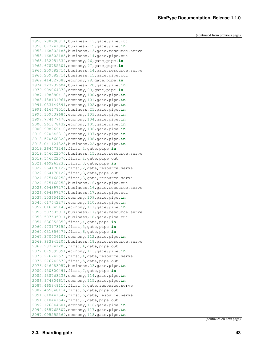| 1950.788790811, business, 13, gate, pipe.out        |
|-----------------------------------------------------|
| 1950.873741084, business, 19, gate, pipe.in         |
| 1953.168802185, business, 13, gate, resource.serve  |
| 1953.168802185, business, 14, gate, pipe.out        |
| 1963.432951334, economy, 96, gate, pipe.in          |
| 1965.678785501, economy, 97, gate, pipe.in          |
| 1966.259582714, business, 14, gate, resource. serve |
| 1966.259582714, business, 15, gate, pipe.out        |
| 1969.414327088, economy, 98, gate, pipe.in          |
| 1974.123732604, business, 20, gate, pipe.in         |
| 1979.909064873, economy, 99, gate, pipe.in          |
| 1987.198380413, economy, 100, gate, pipe.in         |
| 1988.488131961, economy, 101, gate, pipe.in         |
| 1991.033149891, economy, 102, gate, pipe.in         |
| 1991.416678510, business, 21, gate, pipe.in         |
| 1995.159339684, economy, 103, gate, pipe.in         |
| 1997.774477470, economy, 104, gate, pipe.in         |
| 2000.261878432, economy, 105, gate, pipe.in         |
| 2000.998269410, economy, 106, gate, pipe.in         |
| 2010.970646319, economy, 107, gate, pipe.in         |
| 2013.570560328, economy, 108, gate, pipe.in         |
| 2018.041124325, business, 22, gate, pipe.in         |
| 2019.264473246, first, 2, gate, pipe.in             |
| 2019.546022070, business, 15, gate, resource.serve  |
| 2019.546022070, first, 2, gate, pipe.out            |
| 2021.469263235, first, 3, gate, pipe.in             |
| 2022.264170122, first, 2, gate, resource.serve      |
| 2022.264170122, first, 3, gate, pipe.out            |
| 2024.675168258, first, 3, gate, resource.serve      |
| 2024.675168258, business, 16, gate, pipe.out        |
| 2026.094397274, business, 16, gate, resource.serve  |
| 2026.094397274, business, 17, gate, pipe.out        |
| 2037.153654120, economy, 109, gate, pipe.in         |
| 2045.617642278, economy, 110, gate, pipe.in         |
| 2052.016949145, economy, 111, gate, pipe.in         |
| 2053.507505911, business, 17, gate, resource.serve  |
| 2053.507505911, business, 18, gate, pipe.out        |
| 2054.636356359, first, 4, gate, pipe.in             |
| 2060.973173155, first, 5, gate, pipe.in             |
| 2064.031856479, first, 6, gate, pipe.in             |
| 2067.370436106, economy, 112, gate, pipe.in         |
| 2069.983941205, business, 18, gate, resource.serve  |
| 2069.983941205, first, 4, gate, pipe.out            |
| 2072.879599391, economy, 113, gate, pipe.in         |
| 2076.276742579, first, 4, gate, resource.serve      |
| 2076.276742579, first, 5, gate, pipe.out            |
| 2076.946483057, business, 23, gate, pipe.in         |
| 2080.950800491, first, 7, gate, pipe.in             |
| 2085.938763236, economy, 114, gate, pipe.in         |
| 2086.974804617, economy, 115, gate, pipe.in         |
| 2087.465848114, first, 5, gate, resource.serve      |
| 2087.465848114, first, 6, gate, pipe.out            |
| 2091.610441547, first, 6, gate, resource.serve      |
| 2091.610441547, first, 7, gate, pipe.out            |
| 2092.126844601, economy, 116, gate, pipe.in         |
| 2094.985765807, economy, 117, gate, pipe.in         |
| 2097.095555569, economy, 118, gate, pipe.in         |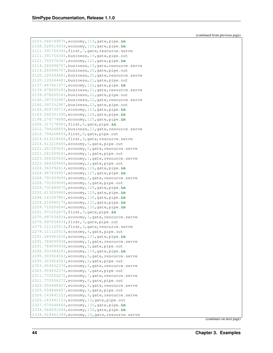2103.048749075,economy,119,gate,pipe.**in** 2108.528515634,economy,120,gate,pipe.**in** 2111.391756345,first,7,gate,resource.serve 2111.391756345,business,19,gate,pipe.out 2111.793370367,economy,121,gate,pipe.**in** 2114.265996707,business,19,gate,resource.serve 2114.265996707,business,20,gate,pipe.out 2120.120244681,business,20,gate,resource.serve 2120.120244681,business,21,gate,pipe.out 2137.467421977,economy,122,gate,pipe.**in** 2139.878205183,business,21,gate,resource.serve 2139.878205183,business,22,gate,pipe.out 2140.397332987,business,22,gate,resource.serve 2140.397332987,business,23,gate,pipe.out 2145.459730719,economy,123,gate,pipe.**in** 2163.540301390,economy,124,gate,pipe.**in** 2198.276774880,economy,125,gate,pipe.**in** 2205.317178905,first,8,gate,pipe.**in** 2212.794268859,business,23,gate,resource.serve 2212.794268859,first,8,gate,pipe.out 2214.613218665,first,8,gate,resource.serve 2214.613218665,economy,0,gate,pipe.out 2221.261559241,economy,0,gate,resource.serve 2221.261559241,economy,1,gate,pipe.out 2223.666329600,economy,1,gate,resource.serve 2223.666329600,economy,2,gate,pipe.out 2224.363392414,economy,126,gate,pipe.**in** 2224.967639957,economy,127,gate,pipe.**in** 2228.791939095,economy,2,gate,resource.serve 2228.791939095,economy,3,gate,pipe.out 2229.731449070,economy,128,gate,pipe.**in** 2232.813059945,economy,129,gate,pipe.**in** 2248.141097801,economy,130,gate,pipe.**in** 2254.210946175,economy,131,gate,pipe.**in** 2259.710206040,economy,132,gate,pipe.**in** 2261.971052875,first,9,gate,pipe.**in** 2270.997034934,economy,3,gate,resource.serve 2270.997034934,first,9,gate,pipe.out 2279.111125519,first,9,gate,resource.serve 2279.111125519,economy,4,gate,pipe.out 2291.249901830,economy,133,gate,pipe.**in** 2291.784095938,economy,4,gate,resource.serve 2291.784095938,economy,5,gate,pipe.out 2292.931684201,economy,134,gate,pipe.**in** 2295.303924563,economy,5,gate,resource.serve 2295.303924563,economy,6,gate,pipe.out 2303.959432376,economy,6,gate,resource.serve 2303.959432376,economy,7,gate,pipe.out 2311.772556272,economy,7,gate,resource.serve 2311.772556272,economy,8,gate,pipe.out 2325.554848407,economy,8,gate,resource.serve 2325.554848407,economy,9,gate,pipe.out 2326.143491153,economy,9,gate,resource.serve 2326.143491153,economy,10,gate,pipe.out 2327.576048466,economy,135,gate,pipe.**in** 2334.564691044,economy,136,gate,pipe.**in** 2334.918461349,economy,10,gate,resource.serve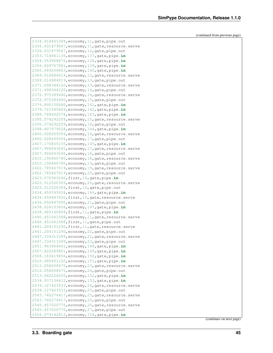| 2334.918461349, economy, 11, gate, pipe.out                                                    |
|------------------------------------------------------------------------------------------------|
| 2336.631479067, economy, 11, gate, resource.serve                                              |
| 2336.631479067, economy, 12, gate, pipe.out                                                    |
| 2353.718881135, economy, 137, gate, pipe.in                                                    |
| 2354.553908876, economy, 138, gate, pipe.in                                                    |
| 2356.609707881, economy, 139, gate, pipe.in                                                    |
| 2365.649256863, economy, 140, gate, pipe.in                                                    |
| 2369.016884019, economy, 12, gate, resource.serve                                              |
| 2369.016884019, economy, 13, gate, pipe.out                                                    |
| 2371.698344120, economy, 13, gate, resource.serve                                              |
| 2371.698344120, economy, 14, gate, pipe.out                                                    |
| 2372.975389440, economy, 14, gate, resource.serve                                              |
| 2372.975389440, economy, 15, gate, pipe.out                                                    |
| 2376.895100080, economy, 141, gate, pipe.in                                                    |
| 2379.721585669, economy, 142, gate, pipe.in                                                    |
| 2388.748402078, economy, 143, gate, pipe.in                                                    |
| 2395.074292209, economy, 15, gate, resource.serve                                              |
| 2395.074292209, economy, 16, gate, pipe.out                                                    |
| 2398.407979528, economy, 144, gate, pipe.in                                                    |
| 2400.508209356, economy, 16, gate, resource.serve                                              |
| 2400.508209356, economy, 17, gate, pipe.out                                                    |
| 2407.170805155, economy, 145, gate, pipe.in                                                    |
| 2407.906043045, economy, 17, gate, resource.serve                                              |
| 2407.906043045, economy, 18, gate, pipe.out                                                    |
| 2410.190860780, economy, 18, gate, resource.serve                                              |
| 2410.190860780, economy, 19, gate, pipe.out                                                    |
| 2422.785427019, economy, 19, gate, resource.serve                                              |
| 2422.785427019, economy, 20, gate, pipe.out                                                    |
| 2423.570363240,first,10,gate,pipe.in                                                           |
| 2425.512520309, economy, 20, gate, resource.serve                                              |
| 2425.512520309, first, 10, gate, pipe.out                                                      |
| 2434.459395934,economy,146,gate,pipe.in                                                        |
| 2436.650497050,first,10,gate,resource.serve                                                    |
| 2436.650497050, economy, 21, gate, pipe.out                                                    |
| 2438.026103656, economy, 147, gate, pipe.in                                                    |
| 2438.685160808, first, 11, gate, pipe.in                                                       |
|                                                                                                |
| 2440.451061588, economy, 21, gate, resource.serve                                              |
| 2440.451061588, first, 11, gate, pipe.out                                                      |
| 2441.204151290, first, 11, gate, resource.serve<br>2441.204151290, economy, 22, gate, pipe.out |
| 2447.334313399, economy, 22, gate, resource.serve                                              |
|                                                                                                |
| 2447.334313399, economy, 23, gate, pipe.out                                                    |
| 2451.963906461, economy, 148, gate, pipe.in                                                    |
| 2507.422589801, economy, 149, gate, pipe.in                                                    |
| 2508.183419856, economy, 150, gate, pipe.in                                                    |
| 2510.580651120, economy, 151, gate, pipe.in                                                    |
| 2512.058008675, economy, 23, gate, resource.serve                                              |
| 2512.058008675, economy, 24, gate, pipe.out                                                    |
| 2513.662226020, economy, 152, gate, pipe.in                                                    |
| 2534.937136412, economy, 153, gate, pipe.in                                                    |
| 2539.127423533, economy, 24, gate, resource.serve                                              |
| 2539.127423533, economy, 25, gate, pipe.out                                                    |
| 2543.740274417, economy, 25, gate, resource.serve                                              |
| 2543.740274417, economy, 26, gate, pipe.out                                                    |
| 2545.457020775, economy, 26, gate, resource.serve                                              |
| 2545.457020775, economy, 27, gate, pipe.out                                                    |
| 2556.079142813, economy, 154, gate, pipe.in                                                    |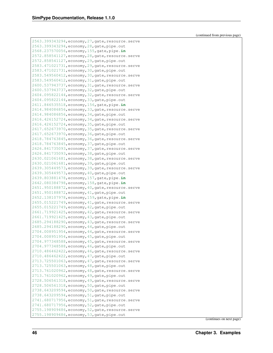| 2563.399343294, economy, 27, gate, resource.serve |  |
|---------------------------------------------------|--|
| 2563.399343294, economy, 28, gate, pipe.out       |  |
| 2568.237570056, economy, 155, gate, pipe.in       |  |
|                                                   |  |
| 2572.858541127, economy, 28, gate, resource.serve |  |
| 2572.858541127, economy, 29, gate, pipe.out       |  |
| 2583.471021731, economy, 29, gate, resource.serve |  |
| 2583.471021731, economy, 30, gate, pipe.out       |  |
| 2583.549560412, economy, 30, gate, resource.serve |  |
| 2583.549560412, economy, 31, gate, pipe.out       |  |
| 2600.537943737, economy, 31, gate, resource.serve |  |
| 2600.537943737, economy, 32, gate, pipe.out       |  |
| 2604.095822144, economy, 32, gate, resource.serve |  |
| 2604.095822144, economy, 33, gate, pipe.out       |  |
| 2611.846535518, economy, 156, gate, pipe.in       |  |
| 2614.984086856, economy, 33, gate, resource.serve |  |
| 2614.984086856, economy, 34, gate, pipe.out       |  |
| 2616.426152724, economy, 34, gate, resource.serve |  |
| 2616.426152724, economy, 35, gate, pipe.out       |  |
| 2617.652673970, economy, 35, gate, resource.serve |  |
| 2617.652673970, economy, 36, gate, pipe.out       |  |
|                                                   |  |
| 2618.784763845, economy, 36, gate, resource.serve |  |
| 2618.784763845, economy, 37, gate, pipe.out       |  |
| 2626.841735093, economy, 37, gate, resource.serve |  |
| 2626.841735093, economy, 38, gate, pipe.out       |  |
| 2630.021061681, economy, 38, gate, resource.serve |  |
| 2630.021061681, economy, 39, gate, pipe.out       |  |
| 2639.305449573, economy, 39, gate, resource.serve |  |
| 2639.305449573, economy, 40, gate, pipe.out       |  |
| 2639.803881478, economy, 157, gate, pipe.in       |  |
| 2642.080384798, economy, 158, gate, pipe.in       |  |
| 2651.950188872, economy, 40, gate, resource.serve |  |
| 2651.950188872, economy, 41, gate, pipe.out       |  |
| 2652.138107978, economy, 159, gate, pipe.in       |  |
| 2655.015221749, economy, 41, gate, resource.serve |  |
| 2655.015221749, economy, 42, gate, pipe.out       |  |
| 2661.719921425, economy, 42, gate, resource.serve |  |
| 2661.719921425, economy, 43, gate, pipe.out       |  |
| 2685.294188290, economy, 43, gate, resource.serve |  |
| 2685.294188290, economy, 44, gate, pipe.out       |  |
| 2704.008951954, economy, 44, gate, resource.serve |  |
| 2704.008951954, economy, 45, gate, pipe.out       |  |
| 2704.977348588, economy, 45, gate, resource.serve |  |
| 2704.977348588, economy, 46, gate, pipe.out       |  |
| 2710.486462422, economy, 46, gate, resource.serve |  |
| 2710.486462422, economy, 47, gate, pipe.out       |  |
| 2713.725501063, economy, 47, gate, resource.serve |  |
| 2713.725501063, economy, 48, gate, pipe.out       |  |
| 2713.761020962, economy, 48, gate, resource.serve |  |
| 2713.761020962, economy, 49, gate, pipe.out       |  |
| 2728.506561318, economy, 49, gate, resource.serve |  |
| 2728.506561318, economy, 50, gate, pipe.out       |  |
| 2738.643209594, economy, 50, gate, resource.serve |  |
| 2738.643209594, economy, 51, gate, pipe.out       |  |
| 2741.680717956, economy, 51, gate, resource.serve |  |
| 2741.680717956, economy, 52, gate, pipe.out       |  |
| 2755.198909486, economy, 52, gate, resource.serve |  |
| 2755.198909486, economy, 53, gate, pipe.out       |  |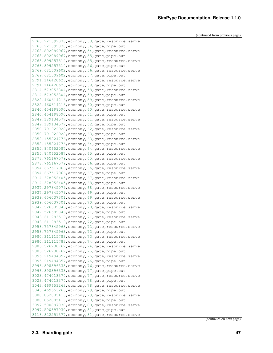| 2763.221399038, economy, 53, gate, resource.serve |
|---------------------------------------------------|
| 2763.221399038, economy, 54, gate, pipe.out       |
| 2768.802089967, economy, 54, gate, resource.serve |
| 2768.802089967, economy, 55, gate, pipe.out       |
| 2768.899257514, economy, 55, gate, resource.serve |
| 2768.899257514, economy, 56, gate, pipe.out       |
|                                                   |
| 2769.681509602, economy, 56, gate, resource.serve |
| 2769.681509602, economy, 57, gate, pipe.out       |
| 2791.146420625, economy, 57, gate, resource.serve |
| 2791.146420625, economy, 58, gate, pipe.out       |
| 2814.573053804, economy, 58, gate, resource.serve |
| 2814.573053804, economy, 59, gate, pipe.out       |
| 2822.460614216, economy, 59, gate, resource.serve |
| 2822.460614216, economy, 60, gate, pipe.out       |
| 2840.454198090, economy, 60, gate, resource.serve |
| 2840.454198090, economy, 61, gate, pipe.out       |
| 2849.189134577, economy, 61, gate, resource.serve |
| 2849.189134577, economy, 62, gate, pipe.out       |
| 2850.791922928, economy, 62, gate, resource.serve |
| 2850.791922928, economy, 63, gate, pipe.out       |
| 2852.155224776, economy, 63, gate, resource.serve |
| 2852.155224776, economy, 64, gate, pipe.out       |
| 2855.840652087, economy, 64, gate, resource.serve |
| 2855.840652087, economy, 65, gate, pipe.out       |
| 2878.765167079, economy, 65, gate, resource.serve |
| 2878.765167079, economy, 66, gate, pipe.out       |
| 2894.667517066, economy, 66, gate, resource.serve |
| 2894.667517066, economy, 67, gate, pipe.out       |
| 2914.378956405, economy, 67, gate, resource.serve |
| 2914.378956405, economy, 68, gate, pipe.out       |
| 2937.297845079, economy, 68, gate, resource.serve |
| 2937.297845079, economy, 69, gate, pipe.out       |
| 2939.656037301, economy, 69, gate, resource.serve |
| 2939.656037301, economy, 70, gate, pipe.out       |
| 2942.526589846, economy, 70, gate, resource.serve |
| 2942.526589846, economy, 71, gate, pipe.out       |
| 2943.611283519, economy, 71, gate, resource.serve |
| 2943.611283519, economy, 72, gate, pipe.out       |
| 2958.757845963, economy, 72, gate, resource.serve |
| 2958.757845963, economy, 73, gate, pipe.out       |
| 2980.311115783, economy, 73, gate, resource.serve |
| 2980.311115783, economy, 74, gate, pipe.out       |
| 2985.526230762, economy, 74, gate, resource.serve |
| 2985.526230762, economy, 75, gate, pipe.out       |
| 2995.219494357, economy, 75, gate, resource.serve |
|                                                   |
| 2995.219494357, economy, 76, gate, pipe.out       |
| 2996.898396333, economy, 76, gate, resource.serve |
| 2996.898396333, economy, 77, gate, pipe.out       |
| 3023.474013374, economy, 77, gate, resource.serve |
| 3023.474013374, economy, 78, gate, pipe.out       |
| 3043.469653263, economy, 78, gate, resource.serve |
| 3043.469653263, economy, 79, gate, pipe.out       |
| 3080.852885413, economy, 79, gate, resource.serve |
| 3080.852885413, economy, 80, gate, pipe.out       |
| 3097.500897030, economy, 80, gate, resource.serve |
| 3097.500897030, economy, 81, gate, pipe.out       |
| 3118.822251377, economy, 81, gate, resource.serve |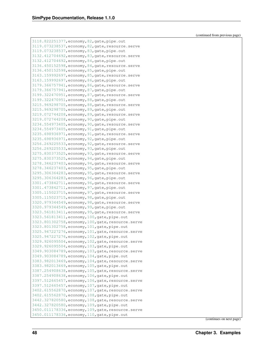| 3118.822251377, economy, 82, gate, pipe.out                                                        |
|----------------------------------------------------------------------------------------------------|
| 3119.073238537, economy, 82, gate, resource.serve                                                  |
| 3119.073238537, economy, 83, gate, pipe.out                                                        |
| 3132.412704692, economy, 83, gate, resource.serve                                                  |
| 3132.412704692, economy, 84, gate, pipe.out                                                        |
| 3136.450152598, economy, 84, gate, resource.serve                                                  |
| 3136.450152598, economy, 85, gate, pipe.out                                                        |
| 3163.159992697, economy, 85, gate, resource.serve                                                  |
| 3163.159992697, economy, 86, gate, pipe.out                                                        |
| 3179.366757941, economy, 86, gate, resource.serve                                                  |
| 3179.366757941, economy, 87, gate, pipe.out                                                        |
| 3199.322470951, economy, 87, gate, resource.serve                                                  |
| 3199.322470951, economy, 88, gate, pipe.out                                                        |
| 3215.969298705, economy, 88, gate, resource.serve                                                  |
| 3215.969298705, economy, 89, gate, pipe.out                                                        |
| 3219.072744208, economy, 89, gate, resource.serve                                                  |
| 3219.072744208, economy, 90, gate, pipe.out                                                        |
| 3234.554973405, economy, 90, gate, resource.serve                                                  |
| 3234.554973405, economy, 91, gate, pipe.out                                                        |
| 3235.698936971, economy, 91, gate, resource.serve                                                  |
| 3235.698936971, economy, 92, gate, pipe.out                                                        |
| 3256.269225533, economy, 92, gate, resource.serve                                                  |
| 3256.269225533, economy, 93, gate, pipe.out                                                        |
| 3275.830373525, economy, 93, gate, resource.serve                                                  |
| 3275.830373525, economy, 94, gate, pipe.out                                                        |
| 3278.346237403, economy, 94, gate, resource.serve                                                  |
|                                                                                                    |
| 3278.346237403, economy, 95, gate, pipe.out<br>3295.306364283, economy, 95, gate, resource.serve   |
|                                                                                                    |
| 3295.306364283, economy, 96, gate, pipe.out<br>3301.473842711, economy, 96, gate, resource.serve   |
| 3301.473842711, economy, 97, gate, pipe.out                                                        |
|                                                                                                    |
| 3305.115023715, economy, 97, gate, resource.serve<br>3305.115023715, economy, 98, gate, pipe.out   |
| 3320.979344549, economy, 98, gate, resource.serve                                                  |
| 3320.979344549, economy, 99, gate, pipe.out                                                        |
| 3323.561813411, economy, 99, gate, resource.serve                                                  |
|                                                                                                    |
| 3323.561813411, economy, 100, gate, pipe.out                                                       |
| 3323.801302758, economy, 100, gate, resource.serve                                                 |
| 3323.801302758, economy, 101, gate, pipe.out<br>3325.947227276, economy, 101, gate, resource.serve |
| 3325.947227276, economy, 102, gate, pipe.out                                                       |
| 3329.926095504, economy, 102, gate, resource.serve                                                 |
| 3329.926095504, economy, 103, gate, pipe.out                                                       |
| 3349.903084789, economy, 103, gate, resource.serve                                                 |
|                                                                                                    |
| 3349.903084789, economy, 104, gate, pipe.out<br>3383.982013469, economy, 104, gate, resource.serve |
| 3383.982013469, economy, 105, gate, pipe.out                                                       |
| 3387.254908638, economy, 105, gate, resource.serve                                                 |
| 3387.254908638, economy, 106, gate, pipe.out                                                       |
| 3397.512665457, economy, 106, gate, resource. serve                                                |
| 3397.512665457, economy, 107, gate, pipe.out                                                       |
| 3402.615562870, economy, 107, gate, resource.serve                                                 |
| 3402.615562870, economy, 108, gate, pipe.out                                                       |
| 3442.327820580, economy, 108, gate, resource.serve                                                 |
| 3442.327820580, economy, 109, gate, pipe.out                                                       |
| 3450.011178336, economy, 109, gate, resource.serve                                                 |
| 3450.011178336, economy, 110, gate, pipe.out                                                       |
|                                                                                                    |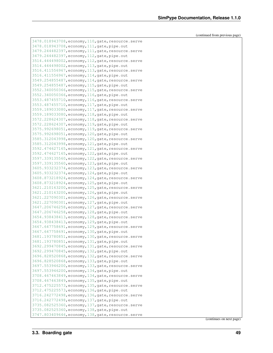| 3478.018943708, economy, 110, gate, resource.serve |
|----------------------------------------------------|
| 3478.018943708, economy, 111, gate, pipe.out       |
| 3479.244482397, economy, 111, gate, resource.serve |
| 3479.244482397, economy, 112, gate, pipe.out       |
| 3514.444498002, economy, 112, gate, resource.serve |
| 3514.444498002, economy, 113, gate, pipe.out       |
| 3516.411556967, economy, 113, gate, resource.serve |
| 3516.411556967, economy, 114, gate, pipe.out       |
| 3549.254855487, economy, 114, gate, resource.serve |
| 3549.254855487, economy, 115, gate, pipe.out       |
| 3552.340050366, economy, 115, gate, resource.serve |
| 3552.340050366, economy, 116, gate, pipe.out       |
| 3553.487455710, economy, 116, gate, resource.serve |
| 3553.487455710, economy, 117, gate, pipe.out       |
| 3559.189033080, economy, 117, gate, resource.serve |
| 3559.189033080, economy, 118, gate, pipe.out       |
| 3572.228624307, economy, 118, gate, resource.serve |
| 3572.228624307, economy, 119, gate, pipe.out       |
| 3575.992698051, economy, 119, gate, resource.serve |
| 3575.992698051, economy, 120, gate, pipe.out       |
| 3585.312043998, economy, 120, gate, resource.serve |
| 3585.312043998, economy, 121, gate, pipe.out       |
| 3592.474627165, economy, 121, gate, resource.serve |
| 3592.474627165, economy, 122, gate, pipe.out       |
| 3597.339135560, economy, 122, gate, resource.serve |
| 3597.339135560, economy, 123, gate, pipe.out       |
|                                                    |
| 3605.933232374, economy, 123, gate, resource.serve |
| 3605.933232374, economy, 124, gate, pipe.out       |
| 3608.873218924, economy, 124, gate, resource.serve |
| 3608.873218924, economy, 125, gate, pipe.out       |
| 3621.210163200, economy, 125, gate, resource.serve |
| 3621.210163200, economy, 126, gate, pipe.out       |
| 3621.227090301, economy, 126, gate, resource.serve |
| 3621.227090301, economy, 127, gate, pipe.out       |
| 3647.206746258, economy, 127, gate, resource.serve |
| 3647.206746258, economy, 128, gate, pipe.out       |
| 3654.938438413, economy, 128, gate, resource.serve |
| 3654.938438413, economy, 129, gate, pipe.out       |
| 3667.647758691, economy, 129, gate, resource.serve |
| 3667.647758691, economy, 130, gate, pipe.out       |
| 3681.193780851, economy, 130, gate, resource.serve |
| 3681.193780851, economy, 131, gate, pipe.out       |
| 3692.299470845, economy, 131, gate, resource.serve |
| 3692.299470845, economy, 132, gate, pipe.out       |
| 3696.828520868, economy, 132, gate, resource.serve |
| 3696.828520868, economy, 133, gate, pipe.out       |
| 3697.553946200, economy, 133, gate, resource.serve |
| 3697.553946200, economy, 134, gate, pipe.out       |
| 3708.467463849, economy, 134, gate, resource.serve |
| 3708.467463849, economy, 135, gate, pipe.out       |
| 3712.475225573, economy, 135, gate, resource.serve |
| 3712.475225573, economy, 136, gate, pipe.out       |
| 3716.242772498, economy, 136, gate, resource.serve |
| 3716.242772498, economy, 137, gate, pipe.out       |
| 3735.082525360, economy, 137, gate, resource.serve |
| 3735.082525360, economy, 138, gate, pipe.out       |
| 3747.803409646, economy, 138, gate, resource.serve |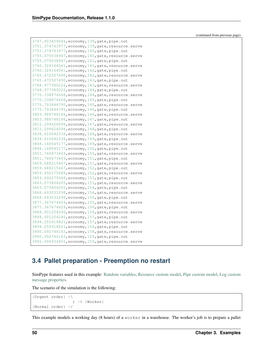| 3747.803409646, economy, 139, gate, pipe.out        |
|-----------------------------------------------------|
| 3751.374763977, economy, 139, gate, resource.serve  |
| 3751.374763977, economy, 140, gate, pipe.out        |
| 3755.075038947, economy, 140, gate, resource.serve  |
| 3755.075038947, economy, 141, gate, pipe.out        |
| 3760.324164561, economy, 141, gate, resource.serve  |
| 3760.324164561, economy, 142, gate, pipe.out        |
| 3765.472507490, economy, 142, gate, resource.serve  |
| 3765.472507490, economy, 143, gate, pipe.out        |
| 3768.977380226, economy, 143, gate, resource.serve  |
| 3768.977380226, economy, 144, gate, pipe.out        |
| 3770.338874668, economy, 144, gate, resource.serve  |
| 3770.338874668, economy, 145, gate, pipe.out        |
| 3775.793844795, economy, 145, gate, resource. serve |
| 3775.793844795, economy, 146, gate, pipe.out        |
| 3803.988748186, economy, 146, gate, resource.serve  |
| 3803.988748186, economy, 147, gate, pipe.out        |
| 3815.299626098, economy, 147, gate, resource.serve  |
| 3815.299626098, economy, 148, gate, pipe.out        |
| 3838.610042338, economy, 148, gate, resource.serve  |
| 3838.610042338, economy, 149, gate, pipe.out        |
| 3848.168545177, economy, 149, gate, resource.serve  |
| 3848.168545177, economy, 150, gate, pipe.out        |
| 3851.748873469, economy, 150, gate, resource.serve  |
| 3851.748873469, economy, 151, gate, pipe.out        |
| 3859.688215467, economy, 151, gate, resource.serve  |
| 3859.688215467, economy, 152, gate, pipe.out        |
| 3859.692275688, economy, 152, gate, resource.serve  |
| 3859.692275688, economy, 153, gate, pipe.out        |
| 3863.073804205, economy, 153, gate, resource.serve  |
| 3863.073804205, economy, 154, gate, pipe.out        |
| 3868.693031298, economy, 154, gate, resource.serve  |
| 3868.693031298, economy, 155, gate, pipe.out        |
| 3877.367674629, economy, 155, gate, resource.serve  |
| 3877.367674629, economy, 156, gate, pipe.out        |
| 3888.001254240, economy, 156, gate, resource.serve  |
| 3888.001254240, economy, 157, gate, pipe.out        |
| 3894.255918821, economy, 157, gate, resource.serve  |
| 3894.255918821, economy, 158, gate, pipe.out        |
| 3900.092746183, economy, 158, gate, resource.serve  |
| 3900.092746183, economy, 159, gate, pipe.out        |
| 3902.496932801, economy, 159, gate, resource.serve  |

## **3.4 Pallet preparation - Preemption no restart**

SimPype features used in this example: [Random variables,](../tutorial/random.html) [Resource custom model,](../tutorial/resource.html#custom-model) [Pipe custom model,](../tutorial/pipe.html#custom-model) [Log custom](../tutorial/logging.html#log-custom-message-properties) [message properties.](../tutorial/logging.html#log-custom-message-properties)

The scenario of the simulation is the following:

|Urgent order| -\ ) -> |Worker| |Normal order| -/

This example models a working day (8 hours) of a worker in a warehouse. The worker's job is to prepare a pallet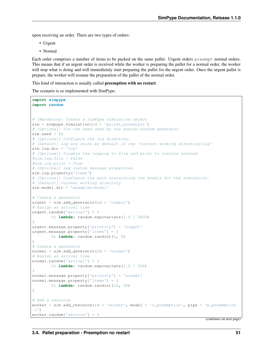upon receiving an order. There are two types of orders:

- Urgent
- Normal

Each order comprises a number of items to be packed on the same pallet. Urgent orders preempt normal orders. This means that if an urgent order is received while the worker is preparing the pallet for a normal order, the worker will stop what is doing and will immedietaly start preparing the pallet for the urgent order. Once the urgent pallet is prepare, the worker will resume the preparation of the pallet of the normal order.

This kind of interaction is usually called preemption with no restart.

The scenario is so implemented with SimPype:

```
import simpype
import random
# [Mandatory] Create a SimPype simulation object
sim = simpype.Simulation(id = 'pallet_norestart')# [Optional] Fix the seed used by the pseudo-random generator
sim.seed = 42
# [Optional] Configure the log directory.
# [Default] Log are store by default in the 'current working directory/log'
sim.log.dir = 'log'
# [Optional] Disable the logging to file and print to console instead
#sim.log.file = False
#sim.log.print = True
# [Optional] Log custom message properties
sim.log.property('items')
# [Optional] Configure the path containting the models for the simulation.
# [Default] Current working directory
sim.model.dir = 'examples/model'
# Create a generator
urgent = sim.add generator(id = 'urgent')# Assign an arrival time
urgent.random['arrival'] = {
       0: lambda: random.expovariate(1.0 / 3600)
}
urgent.message.property['priority'] = 'urgent'
urgent.message.property['items'] = {
       0: lambda: random.randint(1, 5)
}
# Create a generator
normal = sim.add\_generator(id = 'normal')# Assign an arrival time
normal.random['arrival'] = {
        0: lambda: random.expovariate(1.0 / 300)
}
normal.message.property['priority'] = 'normal'
normal.message.property['items'] = {
       0: lambda: random.randint(10, 30)
}
# Add a resource
worker = sim.add_resource(id = 'worker', model = 'r_preemption', pipe = 'p_preemption
˓→')
worker.random['service'] = {
```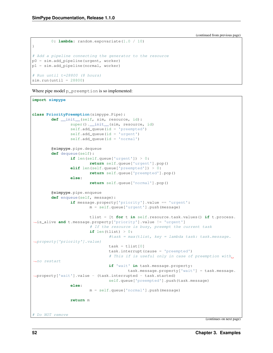```
0: lambda: random.expovariate(1.0 / 10)
}
# Add a pipeline connecting the generator to the resource
p0 = sim.add_pipeline(urgent, worker)
p1 = sim.add_pipeline(normal, worker)
# Run until t=28800 (8 hours)
sim.run(until = 28800)
```
Where pipe model p\_preemption is so implemented:

```
import simpype
class PriorityPreemption(simpype.Pipe):
        def __init__(self, sim, resource, id):
                super().__init_(sim, resource, id)
                self.add_queue(id = 'preempted')
                self.add_queue(id = 'urgent')
                self.add_queue(id = 'normal')
        @simpype.pipe.dequeue
        def dequeue(self):
                if len(self.queue['urgent']) > 0:
                        return self.queue['urgent'].pop()
                elif len(self.queue['preempted']) > 0:
                        return self.queue['preempted'].pop()
                else:
                        return self.queue['normal'].pop()
        @simpype.pipe.enqueue
        def enqueue(self, message):
                if message.property['priority'].value == 'urgent':
                        m = self.queue['urgent'].push(message)
                        tlist = [t for t in self.resource.task.values() if t.process.
˓→is_alive and t.message.property['priority'].value != 'urgent']
                        # If the resource is busy, preempt the current task
                        if len(tlist) > 0:
                                #task = max(tlist, key = lambda task: task.message.˓→property['priority'].value)
                                task = tlist[0]task.interrupt(cause = 'preempted')
                                # This if is useful only in case of preemption with
˓→no restart
                                if 'wait' in task.message.property:
                                        task.message.property['wait'] = task.message.
˓→property['wait'].value - (task.interrupted - task.started)
                                self.queue['preempted'].push(task.message)
                else:
                        m = self.queue['normal'].push(message)
                return m
# Do NOT remove
```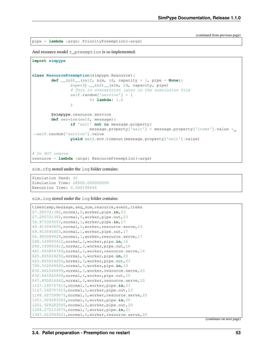```
pipe = lambda *args: PriorityPreemption(*args)
```
And resource model r\_preemption is so implemented:

```
import simpype
class ResourcePreemption(simpype.Resource):
        def __init__(self, sim, id, capacity = 1, pipe = None):
                super(). __init__(sim, id, capacity, pipe)
                # This is overwritten later in the simulaiton file
                self.random['service'] = {
                        0: lambda: 1.0
                }
        @simpype.resource.service
        def service(self, message):
                if 'wait' not in message.property:
                        message.property['wait'] = message.property['items'].value *_u˓→self.random['service'].value
                yield self.env.timeout(message.property['wait'].value)
# Do NOT remove
resource = lambda *args: ResourcePreemption(*args)
```
sim.cfg stored under the log folder contains:

Simulation Seed: 42 Simulation Time: 28800.000000000 Execution Time: 0.060198644

sim.log stored under the log folder contains:

```
timestamp, message, seq_num, resource, event, items
27.285721382,normal,0,worker,pipe.in,23
27.285721382,normal,0,worker,pipe.out,23
36.975335053,normal,1,worker,pipe.in,17
49.913040803,normal,0,worker,resource.serve,23
49.913040803,normal,1,worker,pipe.out,17
54.485089429,normal,1,worker,resource.serve,17
248.149993412,normal,2,worker,pipe.in,16
248.149993412,normal,2,worker,pipe.out,16
441.493859789, normal, 2, worker, resource.serve, 16
625.805024250,normal,3,worker,pipe.in,23
625.805024250,normal,3,worker,pipe.out,23
700.512949940,normal,4,worker,pipe.in,10
830.461026699, normal, 3, worker, resource.serve, 23
830.461026699, normal, 4, worker, pipe.out, 10
847.855816062, normal, 4, worker, resource.serve, 10
1127.160757415,normal,5,worker,pipe.in,23
1127.160757415,normal,5,worker,pipe.out,23
1166.027599075,normal,5,worker,resource.serve,23
1251.929283365,normal,6,worker,pipe.in,20
1251.929283365,normal,6,worker,pipe.out,20
1284.275103075,normal,7,worker,pipe.in,21
1347.512993521,normal,6,worker,resource.serve,20
```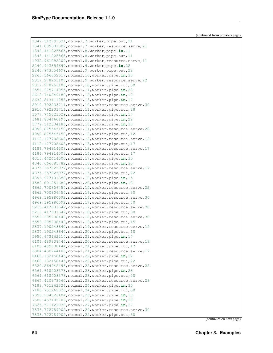```
1347.512993521,normal,7,worker,pipe.out,21
1541.899381582,normal,7,worker,resource.serve,21
1848.441225565,normal,8,worker,pipe.in,11
1848.441225565,normal,8,worker,pipe.out,11
1932.961092209,normal,8,worker,resource.serve,11
2240.943354699,normal,9,worker,pipe.in,22
2240.943354699,normal,9,worker,pipe.out,22
2265.566852517,normal,10,worker,pipe.in,30
2317.278253108,normal,9,worker,resource.serve,22
2317.278253108,normal,10,worker,pipe.out,30
2554.675714055,normal,11,worker,pipe.in,28
2618.740849180,normal,12,worker,pipe.in,12
2632.813111258,normal,13,worker,pipe.in,17
2910.792233711,normal,10,worker,resource.serve,30
2910.792233711,normal,11,worker,pipe.out,28
3077.745021529,normal,14,worker,pipe.in,17
3681.804460196,normal,15,worker,pipe.in,22
3779.512534186,normal,16,worker,pipe.in,30
4090.875545150,normal,11,worker,resource.serve,28
4090.875545150,normal,12,worker,pipe.out,12
4112.177708608, normal, 12, worker, resource.serve, 12
4112.177708608,normal,13,worker,pipe.out,17
4186.794914503, normal, 13, worker, resource.serve, 17
4186.794914503,normal,14,worker,pipe.out,17
4318.442414000,normal,17,worker,pipe.in,30
4340.666385782,normal,18,worker,pipe.in,30
4375.357825977,normal,14,worker,resource.serve,17
4375.357825977,normal,15,worker,pipe.out,22
4396.977101389,normal,19,worker,pipe.in,15
4583.091251682,normal,20,worker,pipe.in,18
4662.700806454,normal,15,worker,resource.serve,22
4662.700806454,normal,16,worker,pipe.out,30
4969.195980592,normal,16,worker,resource.serve,30
4969.195980592,normal,17,worker,pipe.out,30
5213.417601642,normal,17,worker,resource.serve,30
5213.417601642,normal,18,worker,pipe.out,30
5559.605238443,normal,18,worker,resource.serve,30
5559.605238443,normal,19,worker,pipe.out,15
5837.190248640,normal,19,worker,resource.serve,15
5837.190248640,normal,20,worker,pipe.out,18
5950.673162214,normal,21,worker,pipe.in,17
6106.489838444,normal,20,worker,resource.serve,18
6106.489838444,normal,21,worker,pipe.out,17
6384.438244483,normal,21,worker,resource.serve,17
6468.132158445,normal,22,worker,pipe.in,22
6468.132158445,normal,22,worker,pipe.out,22
6520.264945496,normal,22,worker,resource.serve,22
6561.618408373,normal,23,worker,pipe.in,28
6561.618408373,normal,23,worker,pipe.out,28
6667.420973560,normal,23,worker,resource.serve,28
7188.751262326,normal,24,worker,pipe.in,30
7188.751262326,normal,24,worker,pipe.out,30
7396.234526404,normal,25,worker,pipe.in,30
7580.453185706,normal,26,worker,pipe.in,18
7625.571122030,normal,27,worker,pipe.in,27
7836.772789002,normal,24,worker,resource.serve,30
7836.772789002,normal,25,worker,pipe.out,30
```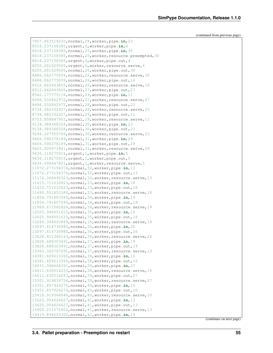| 7857.863514232, normal, 28, worker, pipe.in, 23             |
|-------------------------------------------------------------|
| 8018.237158385, urgent, 0, worker, pipe.in, 4               |
| 8018.237158385, normal, 25, worker, pipe.in, 30             |
| 8018.237158385, normal, 25, worker, resource. preempted, 30 |
| 8018.237158385, urgent, 0, worker, pipe.out, 4              |
| 8255.201029505, urgent, 0, worker, resource. serve, 4       |
| 8255.201029505, normal, 25, worker, pipe.out, 30            |
| 8486.062775099, normal, 25, worker, resource.serve, 30      |
| 8486.062775099, normal, 26, worker, pipe.out, 18            |
| 8512.862063805, normal, 26, worker, resource.serve, 18      |
| 8512.862063805, normal, 27, worker, pipe.out, 27            |
| 8542.177775118, normal, 29, worker, pipe.in, 11             |
| 8696.532862972, normal, 27, worker, resource.serve, 27      |
| 8696.532862972, normal, 28, worker, pipe.out, 23            |
| 8734.682332207, normal, 28, worker, resource.serve, 23      |
| 8734.682332207, normal, 29, worker, pipe.out, 11            |
| 8753.858847901, normal, 29, worker, resource.serve, 11      |
| 9134.384368328, normal, 30, worker, pipe.in, 23             |
| 9134.384368328, normal, 30, worker, pipe.out, 23            |
| 9246.107955706, normal, 30, worker, resource.serve, 23      |
| 9406.590378189, normal, 31, worker, pipe.in, 29             |
| 9406.590378189, normal, 31, worker, pipe.out, 29            |
| 9625.000973941, normal, 31, worker, resource.serve, 29      |
| 9636.118275916, urgent, 1, worker, pipe.in, 5               |
| 9636.118275916, urgent, 1, worker, pipe.out, 5              |
| 9636.695647801, urgent, 1, worker, resource.serve, 5        |
| 11072.273154374, normal, 32, worker, pipe.in, 13            |
| 11072.273154374, normal, 32, worker, pipe.out, 13           |
| 11172.368493323, normal, 32, worker, resource.serve, 13     |
| 11415.711210823, normal, 33, worker, pipe.in, 18            |
| 11415.711210823, normal, 33, worker, pipe.out, 18           |
| 11490.551853380, normal, 33, worker, resource.serve, 18     |
| 11854.791807040, normal, 34, worker, pipe.in, 19            |
| 11854.791807040, normal, 34, worker, pipe.out, 19           |
| 11969.671582824, normal, 34, worker, resource.serve, 19     |
| 12025.946051615, normal, 35, worker, pipe.in, 18            |
| 12025.946051615, normal, 35, worker, pipe.out, 18           |
| 12284.304693889, normal, 35, worker, resource.serve, 18     |
| 13097.414730980, normal, 36, worker, pipe.in, 26            |
| 13097.414730980, normal, 36, worker, pipe.out, 26           |
| 13628.911360163, normal, 36, worker, resource.serve, 26     |
| 13828.688303491, normal, 37, worker, pipe.in, 19            |
| 13828.688303491, normal, 37, worker, pipe.out, 19           |
| 13963.320707091, normal, 37, worker, resource.serve, 19     |
| 14381.609213366, normal, 38, worker, pipe.in, 16            |
| 14381.609213366, normal, 38, worker, pipe.out, 16           |
| 14431.368664391, normal, 39, worker, pipe.in, 27            |
| 14611.630514253, normal, 38, worker, resource.serve, 16     |
| 14611.630514253, normal, 39, worker, pipe.out, 27           |
| 15301.919839754, normal, 39, worker, resource.serve, 27     |
| 15351.857926270, normal, 40, worker, pipe.in, 10            |
| 15351.857926270, normal, 40, worker, pipe.out, 10           |
| 15418.919364046, normal, 40, worker, resource.serve, 10     |
| 15625.954626627, normal, 41, worker, pipe.in, 13            |
| 15625.954626627, normal, 41, worker, pipe.out, 13           |
| 15900.211575902, normal, 41, worker, resource.serve, 13     |
| 16419.894225302, normal, 42, worker, pipe.in, 19            |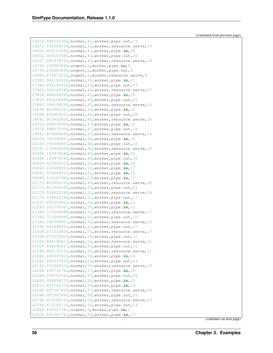| 16419.894225302, normal, 42, worker, pipe.out, 19       |
|---------------------------------------------------------|
| 16472.255249139, normal, 42, worker, resource.serve, 19 |
| 16502.009163586, normal, 43, worker, pipe.in, 28        |
| 16502.009163586, normal, 43, worker, pipe.out, 28       |
| 16527.081938335, normal, 43, worker, resource.serve, 28 |
| 16734.230083868, urgent, 2, worker, pipe.in, 4          |
| 16734.230083868, urgent, 2, worker, pipe.out, 4         |
| 16886.870413510, urgent, 2, worker, resource.serve, 4   |
| 17382.962150916, normal, 44, worker, pipe.in, 27        |
| 17382.962150916, normal, 44, worker, pipe.out, 27       |
| 17420.064169340, normal, 44, worker, resource.serve, 27 |
| 17818.480204946, normal, 45, worker, pipe.in, 25        |
| 17818.480204946, normal, 45, worker, pipe.out, 25       |
| 17863.599108038, normal, 45, worker, resource.serve, 25 |
|                                                         |
| 18698.863905021, normal, 46, worker, pipe.in, 26        |
| 18698.863905021, normal, 46, worker, pipe.out, 26       |
| 18841.903452458, normal, 46, worker, resource.serve, 26 |
| 19316.598070304, normal, 47, worker, pipe.in, 16        |
| 19316.598070304, normal, 47, worker, pipe.out, 16       |
| 19541.810884695, normal, 47, worker, resource.serve, 16 |
| 20109.755390857, normal, 48, worker, pipe.in, 16        |
| 20109.755390857, normal, 48, worker, pipe.out, 16       |
| 20191.218996064, normal, 48, worker, resource.serve, 16 |
| 20484.183976048, normal, 49, worker, pipe.in, 30        |
| 20484.183976048, normal, 49, worker, pipe.out, 30       |
| 20624.427862433, normal, 50, worker, pipe.in, 24        |
| 20663.120408863, normal, 51, worker, pipe.in, 17        |
| 20682.970649833, normal, 52, worker, pipe.in, 10        |
| 20949.215107980, normal, 53, worker, pipe.in, 17        |
| 21173.803986105, normal, 49, worker, resource.serve, 30 |
| 21173.803986105, normal, 50, worker, pipe.out, 24       |
| 21175.536022348, normal, 50, worker, resource.serve, 24 |
| 21175.536022348, normal, 51, worker, pipe.out, 17       |
| 21215.555329820, normal, 54, worker, pipe.in, 11        |
| 21293.552750087, normal, 55, worker, pipe.in, 11        |
| 21384.713698988, normal, 51, worker, resource.serve, 17 |
| 21384.713698988, normal, 52, worker, pipe.out, 10       |
| 21392.062998951, normal, 52, worker, resource.serve, 10 |
| 21392.062998951, normal, 53, worker, pipe.out, 17       |
| 21438.271515829, normal, 53, worker, resource.serve, 17 |
| 21438.271515829, normal, 54, worker, pipe.out, 11       |
| 21559.884190617, normal, 54, worker, resource.serve, 11 |
| 21559.884190617, normal, 55, worker, pipe.out, 11       |
| 21586.405170112, normal, 55, worker, resource.serve, 11 |
| 21882.606337410, normal, 56, worker, pipe.in, 14        |
| 21882.606337410, normal, 56, worker, pipe.out, 14       |
| 22182.251464310, normal, 56, worker, resource.serve, 14 |
| 22268.109752762, normal, 57, worker, pipe.in, 28        |
| 22268.109752762, normal, 57, worker, pipe.out, 28       |
| 22460.088958772, normal, 58, worker, pipe.in, 23        |
| 22523.457126729, normal, 59, worker, pipe.in, 13        |
| 22698.007387668, normal, 57, worker, resource.serve, 28 |
| 22698.007387668, normal, 58, worker, pipe.out, 23       |
| 22798.613185133, normal, 58, worker, resource.serve, 23 |
| 22798.613185133, normal, 59, worker, pipe.out, 13       |
| 22828.835347781, urgent, 3, worker, pipe.in, 1          |
| 22828.835347781, normal, 59, worker, pipe.in, 13        |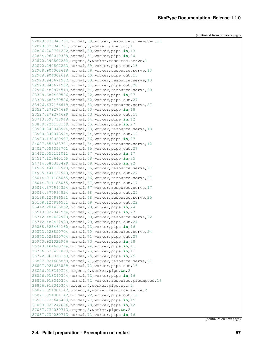| 22828.835347781, normal, 59, worker, resource. preempted, 13                                       |
|----------------------------------------------------------------------------------------------------|
| 22828.835347781, urgent, 3, worker, pipe.out, 1                                                    |
| 22846.203791242, normal, 60, worker, pipe.in, 13                                                   |
| 22864.962010388, normal, 61, worker, pipe.in, 20                                                   |
| 22870.290807252, urgent, 3, worker, resource.serve, 1                                              |
| 22870.290807252, normal, 59, worker, pipe.out, 13                                                  |
| 22908.904002618, normal, 59, worker, resource.serve, 13                                            |
| 22908.904002618, normal, 60, worker, pipe.out, 13                                                  |
| 22923.946671982, normal, 60, worker, resource.serve, 13                                            |
| 22923.946671982, normal, 61, worker, pipe.out, 20                                                  |
| 22966.483874513, normal, 61, worker, resource.serve, 20                                            |
| 23348.683469526, normal, 62, worker, pipe.in, 27                                                   |
| 23348.683469526, normal, 62, worker, pipe.out, 27                                                  |
| 23496.637166619, normal, 62, worker, resource.serve, 27                                            |
| 23527.279274699, normal, 63, worker, pipe.in, 18                                                   |
| 23527.279274699, normal, 63, worker, pipe.out, 18                                                  |
| 23713.598718948, normal, 64, worker, pipe.in, 12                                                   |
| 23889.226158169, normal, 65, worker, pipe.in, 27                                                   |
| 23900.840043944, normal, 63, worker, resource.serve, 18                                            |
| 23900.840043944, normal, 64, worker, pipe.out, 12                                                  |
| 23920.138030907, normal, 66, worker, pipe.in, 27                                                   |
| 24027.556353701, normal, 64, worker, resource.serve, 12                                            |
| 24027.556353701, normal, 65, worker, pipe.out, 27                                                  |
| 24462.555151011, normal, 67, worker, pipe.in, 17                                                   |
| 24517.123645165, normal, 68, worker, pipe.in, 25                                                   |
| 24714.086313499, normal, 69, worker, pipe.in, 22                                                   |
| 24965.441137940, normal, 65, worker, resource.serve, 27                                            |
| 24965.441137940, normal, 66, worker, pipe.out, 27                                                  |
| 25014.011185055, normal, 66, worker, resource.serve, 27                                            |
| 25014.011185055, normal, 67, worker, pipe.out, 17                                                  |
| 25014.377994824, normal, 67, worker, resource.serve, 17                                            |
| 25014.377994824, normal, 68, worker, pipe.out, 25                                                  |
| 25138.124986531, normal, 68, worker, resource.serve, 25                                            |
| 25138.124986531, normal, 69, worker, pipe.out, 22                                                  |
| 25412.281436852, normal, 70, worker, pipe.in, 24                                                   |
| 25513.027847554, normal, 71, worker, pipe.in, 27                                                   |
| 25712.482462920, normal, 69, worker, resource.serve, 22                                            |
| 25712.482462920, normal, 70, worker, pipe.out, 24                                                  |
| 25838.326464180, normal, 72, worker, pipe.in, 16                                                   |
| 25872.523850704, normal, 70, worker, resource.serve, 24                                            |
| 25872.523850704, normal, 71, worker, pipe.out, 27                                                  |
| 25943.921322946, normal, 73, worker, pipe.in, 28                                                   |
| 26343.164663794, normal, 74, worker, pipe.in, 11                                                   |
| 26756.633427859, normal, 75, worker, pipe.in, 11                                                   |
| 26772.066368153, normal, 76, worker, pipe.in, 25                                                   |
| 26807.921685859, normal, 71, worker, resource.serve, 27                                            |
| 26807.921685859, normal, 72, worker, pipe.out, 16                                                  |
| 26856.913340344, urgent, 4, worker, pipe.in, 2                                                     |
| 26856.913340344, normal, 72, worker, pipe.in, 16                                                   |
| 26856.913340344, normal, 72, worker, resource.preempted, 16                                        |
| 26856.913340344, urgent, 4, worker, pipe.out, 2                                                    |
| 26871.091901142, urgent, 4, worker, resource.serve, 2                                              |
| 26871.091901142, normal, 72, worker, pipe.out, 16                                                  |
| 26981.725645489, normal, 77, worker, pipe.in, 15                                                   |
| 27003.020242686, normal, 78, worker, pipe.in, 12                                                   |
| 27067.734039713, urgent, 5, worker, pipe.in, 2<br>27067.734039713, normal, 72, worker, pipe.in, 16 |
|                                                                                                    |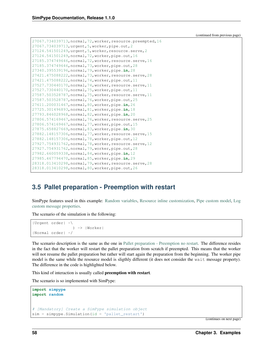```
(continued from previous page)
27067.734039713,normal,72,worker,resource.preempted,16
27067.734039713,urgent,5,worker,pipe.out,2
27124.541501249, urgent, 5, worker, resource.serve, 2
27124.541501249,normal,72,worker,pipe.out,16
27185.374749646,normal,72,worker,resource.serve,16
27185.374749646,normal,73,worker,pipe.out,28
27340.395539196,normal,79,worker,pipe.in,28
27421.475088222,normal,73,worker,resource.serve,28
27421.475088222,normal,74,worker,pipe.out,11
27527.730440170,normal,74,worker,resource.serve,11
27527.730440170,normal,75,worker,pipe.out,11
27587.503528787,normal,75,worker,resource.serve,11
27587.503528787,normal,76,worker,pipe.out,25
27611.200031467,normal,80,worker,pipe.in,26
27725.301496893,normal,81,worker,pipe.in,18
27793.846028968,normal,82,worker,pipe.in,20
27806.574169467, normal, 76, worker, resource.serve, 25
27806.574169467,normal,77,worker,pipe.out,15
27875.658827669,normal,83,worker,pipe.in,30
27882.148157306, normal, 77, worker, resource.serve, 15
27882.148157306,normal,78,worker,pipe.out,12
27927.754931762, normal, 78, worker, resource.serve, 12
27927.754931762,normal,79,worker,pipe.out,28
27982.660059338,normal,84,worker,pipe.in,12
27985.467794470,normal,85,worker,pipe.in,29
28318.013410298,normal,79,worker,resource.serve,28
28318.013410298,normal,80,worker,pipe.out,26
```
## **3.5 Pallet preparation - Preemption with restart**

SimPype features used in this example: [Random variables,](../tutorial/random.html) [Resource inline customization,](../tutorial/resource.html#inline-customization) [Pipe custom model,](../tutorial/pipe.html#custom-model) [Log](../tutorial/logging.html#log-custom-message-properties) [custom message properties.](../tutorial/logging.html#log-custom-message-properties)

The scenario of the simulation is the following:

```
|Urgent order| -\
                 ) -> |Worker|
|Normal order| -/
```
The scenario description is the same as the one in [Pallet preparation - Preemption no restart.](pallet_norestart.html) The difference resides in the fact that the worker will restart the pallet preparation from scratch if preempted. This means that the worker will not resume the pallet preparation but rather will start again the preparation from the beginning. The worker pipe model is the same while the resource model is sligthly different (it does not consider the wait message property). The difference in the code is highlighted below.

This kind of interaction is usually called preemption with restart.

The scenario is so implemented with SimPype:

```
import simpype
import random
# [Mandatory] Create a SimPype simulation object
sim = simpype.Simulation(id = 'pallet_restart')
```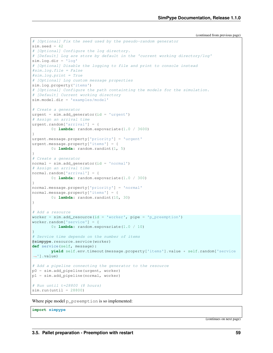```
(continued from previous page)
```

```
# [Optional] Fix the seed used by the pseudo-random generator
sim.seed = 42# [Optional] Configure the log directory.
# [Default] Log are store by default in the 'current working directory/log'
sim.log.dir = 'log'
# [Optional] Disable the logging to file and print to console instead
#sim.log.file = False
#sim.log.print = True
# [Optional] Log custom message properties
sim.log.property('items')
# [Optional] Configure the path containting the models for the simulation.
# [Default] Current working directory
sim.model.dir = 'examples/model'
# Create a generator
urgent = sim.add generator(id = 'urgent')# Assign an arrival time
urgent.random['arrival'] = {0: lambda: random.expovariate(1.0 / 3600)
}
urgent.message.property['priority'] = 'urgent'
urgent.message.property['items'] = {
        0: lambda: random.randint(1, 5)
}
# Create a generator
normal = sim.add\_generator(id = 'normal')# Assign an arrival time
normal.random['arrival'] = {
        0: lambda: random.expovariate(1.0 / 300)
}
normal.message.property['priority'] = 'normal'
normal.message.property['items'] = {
       0: lambda: random.randint(10, 30)
}
# Add a resource
worker = sim.add_resource(id = 'worker', pipe = 'p_preemption')
worker.random['service'] = {
        0: lambda: random.expovariate(1.0 / 10)
}
# Service time depends on the number of items
@simpype.resource.service(worker)
def service(self, message):
        yield self.env.timeout(message.property['items'].value * self.random['service
\leftrightarrow'].value)
# Add a pipeline connecting the generator to the resource
p0 = sim.add_pipeline(urgent, worker)
p1 = sim.add_pipeline(normal, worker)
# Run until t=28800 (8 hours)
sim.run(until = 28800)
```
Where pipe model  $p$  preemption is so implemented:

**import simpype**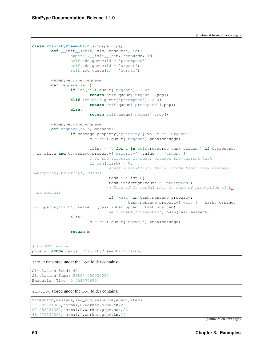```
class PriorityPreemption(simpype.Pipe):
        def __init__(self, sim, resource, id):
                super(). __init__(sim, resource, id)
                self.add_queue(id = 'preempted')
                self.add_queue(id = 'urgent')
                self.add_queue(id = 'normal')
        @simpype.pipe.dequeue
        def dequeue(self):
                if len(self.queue['urgent']) > 0:
                        return self.queue['urgent'].pop()
                elif len(self.queue['preempted']) > 0:
                        return self.queue['preempted'].pop()
                else:
                        return self.queue['normal'].pop()
        @simpype.pipe.enqueue
        def enqueue(self, message):
                if message.property['priority'].value == 'urgent':
                        m = self.queue['urgent'].push(message)
                        tlist = [t for t in self.resource.task.values() if t.process.
˓→is_alive and t.message.property['priority'].value != 'urgent']
                        # If the resource is busy, preempt the current task
                        if len(tlist) > 0:
                                #task = max(tlist, key = lambda task: task.message.˓→property['priority'].value)
                                task = tlist[0]task.interrupt(cause = 'preempted')
                                # This if is useful only in case of preemption with
˓→no restart
                                if 'wait' in task.message.property:
                                        task.message.property['wait'] = task.message.
˓→property['wait'].value - (task.interrupted - task.started)
                                self.queue['preempted'].push(task.message)
                else:
                        m = self.queue['normal'].push(message)
                return m
# Do NOT remove
pipe = lambda *args: PriorityPreemption(*args)
```
sim.cfg stored under the log folder contains:

```
Simulation Seed: 42
Simulation Time: 28800.000000000
Execution Time: 0.058570670
```
sim. log stored under the log folder contains:

```
timestamp, message, seg_num, resource, event, items
27.285721382,normal,0,worker,pipe.in,23
27.285721382,normal,0,worker,pipe.out,23
36.975335053,normal,1,worker,pipe.in,17
```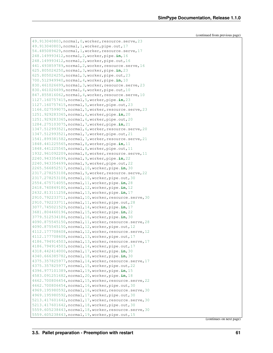| 49.913040803, normal, 0, worker, resource.serve, 23                                                        |
|------------------------------------------------------------------------------------------------------------|
| 49.913040803, normal, 1, worker, pipe.out, 17                                                              |
| 54.485089429, normal, 1, worker, resource.serve, 17                                                        |
| 248.149993412, normal, 2, worker, pipe.in, 16                                                              |
| 248.149993412, normal, 2, worker, pipe.out, 16                                                             |
| 441.493859789, normal, 2, worker, resource.serve, 16                                                       |
| 625.805024250, normal, 3, worker, pipe.in, 23                                                              |
| 625.805024250, normal, 3, worker, pipe.out, 23                                                             |
| 700.512949940, normal, 4, worker, pipe.in, 10                                                              |
| 830.461026699, normal, 3, worker, resource.serve, 23                                                       |
| 830.461026699, normal, 4, worker, pipe.out, 10                                                             |
| 847.855816062, normal, 4, worker, resource.serve, 10                                                       |
| 1127.160757415, normal, 5, worker, pipe.in, 23                                                             |
| 1127.160757415, normal, 5, worker, pipe.out, 23                                                            |
| 1166.027599075, normal, 5, worker, resource.serve, 23                                                      |
| 1251.929283365, normal, 6, worker, pipe.in, 20                                                             |
| 1251.929283365, normal, 6, worker, pipe.out, 20                                                            |
| 1284.275103075, normal, 7, worker, pipe.in, 21                                                             |
| 1347.512993521, normal, 6, worker, resource.serve, 20                                                      |
| 1347.512993521, normal, 7, worker, pipe.out, 21                                                            |
| 1541.899381582, normal, 7, worker, resource.serve, 21                                                      |
| 1848.441225565, normal, 8, worker, pipe.in, 11                                                             |
| 1848.441225565, normal, 8, worker, pipe.out, 11                                                            |
| 1932.961092209, normal, 8, worker, resource.serve, 11                                                      |
| 2240.943354699, normal, 9, worker, pipe.in, 22                                                             |
| 2240.943354699, normal, 9, worker, pipe.out, 22                                                            |
| 2265.566852517, normal, 10, worker, pipe.in, 30                                                            |
| 2317.278253108, normal, 9, worker, resource.serve, 22                                                      |
| 2317.278253108, normal, 10, worker, pipe.out, 30                                                           |
| 2554.675714055, normal, 11, worker, pipe.in, 28                                                            |
| 2618.740849180, normal, 12, worker, pipe.in, 12                                                            |
| 2632.813111258, normal, 13, worker, pipe.in, 17                                                            |
| 2910.792233711, normal, 10, worker, resource.serve, 30                                                     |
| 2910.792233711, normal, 11, worker, pipe.out, 28                                                           |
| 3077.745021529, normal, 14, worker, pipe.in, 17                                                            |
| 3681.804460196, normal, 15, worker, pipe.in, 22                                                            |
| 3779.512534186, normal, 16, worker, pipe.in, 30                                                            |
| 4090.875545150, normal, 11, worker, resource.serve, 28                                                     |
| 4090.875545150, normal, 12, worker, pipe.out, 12                                                           |
| 4112.177708608, normal, 12, worker, resource.serve, 12<br>4112.177708608, normal, 13, worker, pipe.out, 17 |
|                                                                                                            |
| 4186.794914503, normal, 13, worker, resource.serve, 17<br>4186.794914503, normal, 14, worker, pipe.out, 17 |
| 4318.442414000, normal, 17, worker, pipe.in, 30                                                            |
| 4340.666385782, normal, 18, worker, pipe.in, 30                                                            |
| 4375.357825977, normal, 14, worker, resource.serve, 17                                                     |
| 4375.357825977, normal, 15, worker, pipe.out, 22                                                           |
| 4396.977101389, normal, 19, worker, pipe.in, 15                                                            |
| 4583.091251682, normal, 20, worker, pipe.in, 18                                                            |
| 4662.700806454, normal, 15, worker, resource.serve, 22                                                     |
| 4662.700806454, normal, 16, worker, pipe.out, 30                                                           |
| 4969.195980592, normal, 16, worker, resource.serve, 30                                                     |
| 4969.195980592, normal, 17, worker, pipe.out, 30                                                           |
| 5213.417601642, normal, 17, worker, resource.serve, 30                                                     |
| 5213.417601642, normal, 18, worker, pipe.out, 30                                                           |
| 5559.605238443, normal, 18, worker, resource.serve, 30                                                     |
| 5559.605238443, normal, 19, worker, pipe.out, 15                                                           |
|                                                                                                            |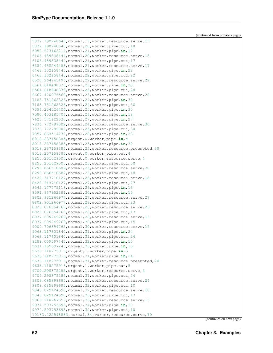| 5837.190248640, normal, 19, worker, resource.serve, 15                                                     |  |  |
|------------------------------------------------------------------------------------------------------------|--|--|
| 5837.190248640, normal, 20, worker, pipe.out, 18                                                           |  |  |
| 5950.673162214, normal, 21, worker, pipe.in, 17                                                            |  |  |
| 6106.489838444, normal, 20, worker, resource.serve, 18                                                     |  |  |
| 6106.489838444, normal, 21, worker, pipe.out, 17                                                           |  |  |
| 6384.438244483, normal, 21, worker, resource.serve, 17                                                     |  |  |
| 6468.132158445, normal, 22, worker, pipe.in, 22                                                            |  |  |
| 6468.132158445, normal, 22, worker, pipe.out, 22                                                           |  |  |
| 6520.264945496, normal, 22, worker, resource.serve, 22                                                     |  |  |
| 6561.618408373, normal, 23, worker, pipe.in, 28                                                            |  |  |
| 6561.618408373, normal, 23, worker, pipe.out, 28                                                           |  |  |
| 6667.420973560, normal, 23, worker, resource.serve, 28                                                     |  |  |
| 7188.751262326, normal, 24, worker, pipe.in, 30                                                            |  |  |
| 7188.751262326, normal, 24, worker, pipe.out, 30                                                           |  |  |
| 7396.234526404, normal, 25, worker, pipe.in, 30                                                            |  |  |
| 7580.453185706, normal, 26, worker, pipe.in, 18                                                            |  |  |
| 7625.571122030, normal, 27, worker, pipe.in, 27                                                            |  |  |
| 7836.772789002, normal, 24, worker, resource.serve, 30                                                     |  |  |
| 7836.772789002, normal, 25, worker, pipe.out, 30                                                           |  |  |
| 7857.863514232, normal, 28, worker, pipe.in, 23                                                            |  |  |
| 8018.237158385, urgent, 0, worker, pipe.in, 4                                                              |  |  |
| 8018.237158385, normal, 25, worker, pipe.in, 30                                                            |  |  |
| 8018.237158385, normal, 25, worker, resource. preempted, 30                                                |  |  |
| 8018.237158385, urgent, 0, worker, pipe.out, 4                                                             |  |  |
| 8255.201029505, urgent, 0, worker, resource.serve, 4                                                       |  |  |
| 8255.201029505, normal, 25, worker, pipe.out, 30                                                           |  |  |
| 8299.866510682, normal, 25, worker, resource.serve, 30                                                     |  |  |
| 8299.866510682, normal, 26, worker, pipe.out, 18                                                           |  |  |
| 8422.313710127, normal, 26, worker, resource.serve, 18                                                     |  |  |
| 8422.313710127, normal, 27, worker, pipe.out, 27                                                           |  |  |
| 8542.177775118, normal, 29, worker, pipe.in, 13                                                            |  |  |
| 8591.937952381, normal, 30, worker, pipe.in, 15                                                            |  |  |
| 8802.931266977, normal, 27, worker, resource.serve, 27                                                     |  |  |
| 8802.931266977, normal, 28, worker, pipe.out, 23                                                           |  |  |
| 8929.076654768, normal, 28, worker, resource.serve, 23                                                     |  |  |
| 8929.076654768, normal, 29, worker, pipe.out, 13                                                           |  |  |
| 8937.609249269, normal, 29, worker, resource.serve, 13<br>8937.609249269, normal, 30, worker, pipe.out, 15 |  |  |
| 9009.706894762, normal, 30, worker, resource.serve, 15                                                     |  |  |
| 9063.117601840, normal, 31, worker, pipe.in, 24                                                            |  |  |
| 9063.117601840, normal, 31, worker, pipe.out, 24                                                           |  |  |
| 9289.059597445, normal, 32, worker, pipe.in, 10                                                            |  |  |
| 9631.155697245, normal, 33, worker, pipe.in, 13                                                            |  |  |
| 9636.118275916, urgent, 1, worker, pipe.in, 5                                                              |  |  |
| 9636.118275916, normal, 31, worker, pipe.in, 24                                                            |  |  |
| 9636.118275916, normal, 31, worker, resource.preempted, 24                                                 |  |  |
| 9636.118275916, urgent, 1, worker, pipe.out, 5                                                             |  |  |
| 9709.298375285, urgent, 1, worker, resource.serve, 5                                                       |  |  |
| 9709.298375285, normal, 31, worker, pipe.out, 24                                                           |  |  |
| 9809.085898695, normal, 31, worker, resource.serve, 24                                                     |  |  |
| 9809.085898695, normal, 32, worker, pipe.out, 10                                                           |  |  |
| 9843.829124590, normal, 32, worker, resource.serve, 10                                                     |  |  |
| 9843.829124590, normal, 33, worker, pipe.out, 13                                                           |  |  |
| 9866.210267659, normal, 33, worker, resource.serve, 13                                                     |  |  |
| 9974.593753693, normal, 34, worker, pipe.in, 10                                                            |  |  |
| 9974.593753693, normal, 34, worker, pipe.out, 10                                                           |  |  |
| 10183.222598832, normal, 34, worker, resource.serve, 10                                                    |  |  |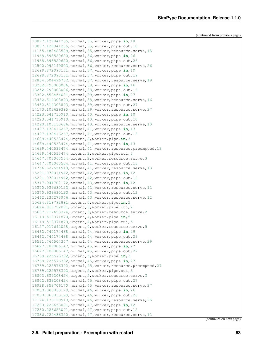| 10897.129841255, normal, 35, worker, pipe.in, 18                                                         |
|----------------------------------------------------------------------------------------------------------|
| 10897.129841255, normal, 35, worker, pipe.out, 18                                                        |
| 11155.488483529, normal, 35, worker, resource.serve, 18                                                  |
| 11968.598520620, normal, 36, worker, pipe.in, 26                                                         |
| 11968.598520620, normal, 36, worker, pipe.out, 26                                                        |
| 12500.095149803, normal, 36, worker, resource.serve, 26                                                  |
| 12699.872093131, normal, 37, worker, pipe.in, 19                                                         |
| 12699.872093131, normal, 37, worker, pipe.out, 19                                                        |
| 12834.504496732, normal, 37, worker, resource.serve, 19                                                  |
| 13252.793003006, normal, 38, worker, pipe.in, 16                                                         |
| 13252.793003006, normal, 38, worker, pipe.out, 16                                                        |
| 13302.552454031, normal, 39, worker, pipe.in, 27                                                         |
| 13482.814303893, normal, 38, worker, resource.serve, 16                                                  |
| 13482.814303893, normal, 39, worker, pipe.out, 27                                                        |
| 14173.103629395, normal, 39, worker, resource.serve, 27                                                  |
| 14223.041715910, normal, 40, worker, pipe.in, 10                                                         |
| 14223.041715910, normal, 40, worker, pipe.out, 10                                                        |
| 14290.103153686, normal, 40, worker, resource.serve, 10                                                  |
| 14497.138416267, normal, 41, worker, pipe.in, 13                                                         |
| 14497.138416267, normal, 41, worker, pipe.out, 13                                                        |
| 14639.440533474, urgent, 2, worker, pipe.in, 3                                                           |
| 14639.440533474, normal, 41, worker, pipe.in, 13                                                         |
|                                                                                                          |
| 14639.440533474, normal, 41, worker, resource. preempted, 13                                             |
| 14639.440533474, urgent, 2, worker, pipe.out, 3<br>14647.708063554, urgent, 2, worker, resource.serve, 3 |
|                                                                                                          |
| 14647.708063554, normal, 41, worker, pipe.out, 13                                                        |
| 14756.627554918, normal, 41, worker, resource.serve, 13                                                  |
| 15291.078014942, normal, 42, worker, pipe.in, 12                                                         |
| 15291.078014942, normal, 42, worker, pipe.out, 12                                                        |
| 15317.941702172, normal, 43, worker, pipe.in, 12                                                         |
| 15370.939630123, normal, 42, worker, resource.serve, 12                                                  |
| 15370.939630123, normal, 43, worker, pipe.out, 12                                                        |
| 15462.235273946, normal, 43, worker, resource.serve, 12                                                  |
| 15624.819792891, urgent, 3, worker, pipe.in, 2                                                           |
| 15624.819792891, urgent, 3, worker, pipe.out, 2                                                          |
| 15637.717693374, urgent, 3, worker, resource.serve, 2                                                    |
| 16119.513371870, urgent, 4, worker, pipe.in, 5                                                           |
| 16119.513371870, urgent, 4, worker, pipe.out, 5                                                          |
| 16157.017642058, urgent, 4, worker, resource.serve, 5                                                    |
| 16462.744174488, normal, 44, worker, pipe.in, 29<br>16462.744174488, normal, 44, worker, pipe.out, 29    |
| 16531.764504347, normal, 44, worker, resource.serve, 29                                                  |
| 16627.789806147, normal, 45, worker, pipe.in, 27                                                         |
| 16627.789806147, normal, 45, worker, pipe.out, 27                                                        |
| 16769.225576392, urgent, 5, worker, pipe.in, 3                                                           |
| 16769.225576392, normal, 45, worker, pipe.in, 27                                                         |
| 16769.225576392, normal, 45, worker, resource.preempted, 27                                              |
| 16769.225576392, urgent, 5, worker, pipe.out, 3                                                          |
| 16802.639208424, urgent, 5, worker, resource.serve, 3                                                    |
| 16802.639208424, normal, 45, worker, pipe.out, 27                                                        |
| 16928.858706170, normal, 45, worker, resource.serve, 27                                                  |
| 17050.063833129, normal, 46, worker, pipe.in, 26                                                         |
| 17050.063833129, normal, 46, worker, pipe.out, 26                                                        |
| 17124.136129913, normal, 46, worker, resource.serve, 26                                                  |
| 17230.226653091, normal, 47, worker, pipe.in, 12                                                         |
| 17230.226653091, normal, 47, worker, pipe.out, 12                                                        |
| 17336.724436350, normal, 47, worker, resource.serve, 12                                                  |
|                                                                                                          |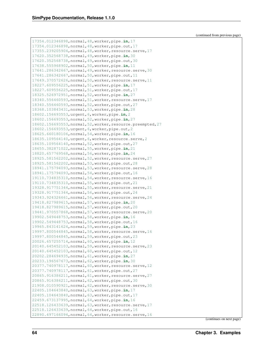| 17354.012346898, normal, 48, worker, pipe.in, 17                                                             |  |
|--------------------------------------------------------------------------------------------------------------|--|
| 17354.012346898, normal, 48, worker, pipe.out, 17                                                            |  |
| 17355.239205904, normal, 48, worker, resource.serve, 17                                                      |  |
| 17620.352568738, normal, 49, worker, pipe.in, 30                                                             |  |
| 17620.352568738, normal, 49, worker, pipe.out, 30                                                            |  |
| 17638.555968902, normal, 50, worker, pipe.in, 11                                                             |  |
| 17641.286342667, normal, 49, worker, resource.serve, 30                                                      |  |
| 17641.286342667, normal, 50, worker, pipe.out, 11                                                            |  |
| 17649.370572626, normal, 50, worker, resource.serve, 11                                                      |  |
| 18227.609556225, normal, 51, worker, pipe.in, 17                                                             |  |
| 18227.609556225, normal, 51, worker, pipe.out, 17                                                            |  |
| 18325.526972951, normal, 52, worker, pipe.in, 27                                                             |  |
| 18340.556460593, normal, 51, worker, resource.serve, 17                                                      |  |
| 18340.556460593, normal, 52, worker, pipe.out, 27                                                            |  |
| 18368.103843431, normal, 53, worker, pipe.in, 28                                                             |  |
| 18602.156693553, urgent, 6, worker, pipe.in, 2                                                               |  |
| 18602.156693553, normal, 52, worker, pipe.in, 27                                                             |  |
| 18602.156693553, normal, 52, worker, resource.preempted, 27                                                  |  |
| 18602.156693553, urgent, 6, worker, pipe.out, 2                                                              |  |
| 18625.660180106, normal, 54, worker, pipe.in, 16<br>18635.109564140, urgent, 6, worker, resource.serve, 2    |  |
| 18635.109564140, normal, 52, worker, pipe.out, 27                                                            |  |
| 18655.382871022, normal, 55, worker, pipe.in, 21                                                             |  |
| 18820.657769568, normal, 56, worker, pipe.in, 24                                                             |  |
| 18925.581562202, normal, 52, worker, resource.serve, 27                                                      |  |
| 18925.581562202, normal, 53, worker, pipe.out, 28                                                            |  |
| 18941.175794093, normal, 53, worker, resource.serve, 28                                                      |  |
| 18941.175794093, normal, 54, worker, pipe.out, 16                                                            |  |
| 19110.734835310, normal, 54, worker, resource.serve, 16                                                      |  |
| 19110.734835310, normal, 55, worker, pipe.out, 21                                                            |  |
| 19328.917751344, normal, 55, worker, resource.serve, 21                                                      |  |
| 19328.917751344, normal, 56, worker, pipe.out, 24                                                            |  |
| 19343.924326661, normal, 56, worker, resource.serve, 24                                                      |  |
| 19418.827989615, normal, 57, worker, pipe.in, 20                                                             |  |
| 19418.827989615, normal, 57, worker, pipe.out, 20                                                            |  |
| 19441.970557868, normal, 57, worker, resource.serve, 20                                                      |  |
| 19902.549448753, normal, 58, worker, pipe.in, 16                                                             |  |
| 19902.549448753, normal, 58, worker, pipe.out, 16                                                            |  |
| 19965.843141624, normal, 59, worker, pipe.in, 23                                                             |  |
| 19997.800544845, normal, 58, worker, resource.serve, 16                                                      |  |
| 19997.800544845, normal, 59, worker, pipe.out, 23                                                            |  |
| 20026.657255714, normal, 60, worker, pipe.in, 12                                                             |  |
| 20140.645452103, normal, 59, worker, resource.serve, 23<br>20140.645452103, normal, 60, worker, pipe.out, 12 |  |
| 20202.284694935, normal, 61, worker, pipe.in, 27                                                             |  |
| 20233.196567673, normal, 62, worker, pipe.in, 30                                                             |  |
| 20377.740978117, normal, 60, worker, resource.serve, 12                                                      |  |
| 20377.740978117, normal, 61, worker, pipe.out, 27                                                            |  |
| 20865.916386211, normal, 61, worker, resource.serve, 27                                                      |  |
| 20865.916386211, normal, 62, worker, pipe.out, 30                                                            |  |
| 21908.010590921, normal, 62, worker, resource.serve, 30                                                      |  |
| 22405.104643840, normal, 63, worker, pipe.in, 17                                                             |  |
| 22405.104643840, normal, 63, worker, pipe.out, 17                                                            |  |
| 22459.673137995, normal, 64, worker, pipe.in, 16                                                             |  |
| 22518.126433639, normal, 63, worker, resource.serve, 17                                                      |  |
| 22518.126433639, normal, 64, worker, pipe.out, 16                                                            |  |
| 22890.497166094, normal, 64, worker, resource.serve, 16                                                      |  |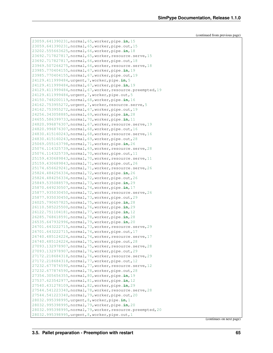| 23059.641390231, normal, 65, worker, pipe.in, 15                                                      |
|-------------------------------------------------------------------------------------------------------|
| 23059.641390231, normal, 65, worker, pipe.out, 15                                                     |
| 23202.555663625, normal, 66, worker, pipe.in, 18                                                      |
| 23692.717827817, normal, 65, worker, resource.serve, 15                                               |
| 23692.717827817, normal, 66, worker, pipe.out, 18                                                     |
| 23969.507264275, normal, 66, worker, resource.serve, 18                                               |
| 23985.770404155, normal, 67, worker, pipe.in, 19                                                      |
| 23985.770404155, normal, 67, worker, pipe.out, 19                                                     |
| 24129.411999484, urgent, 7, worker, pipe.in, 5                                                        |
| 24129.411999484, normal, 67, worker, pipe.in, 19                                                      |
| 24129.411999484, normal, 67, worker, resource.preempted, 19                                           |
| 24129.411999484, urgent, 7, worker, pipe.out, 5                                                       |
| 24150.748200119, normal, 68, worker, pipe.in, 16                                                      |
| 24162.753955272, urgent, 7, worker, resource.serve, 5                                                 |
| 24162.753955272, normal, 67, worker, pipe.out, 19                                                     |
| 24256.343058885, normal, 69, worker, pipe.in, 28                                                      |
| 24655.586399733, normal, 70, worker, pipe.in, 11                                                      |
| 24820.996876307, normal, 67, worker, resource.serve, 19                                               |
| 24820.996876307, normal, 68, worker, pipe.out, 16                                                     |
| 24830.415160243, normal, 68, worker, resource.serve, 16                                               |
| 24830.415160243, normal, 69, worker, pipe.out, 28                                                     |
| 25069.055163798, normal, 71, worker, pipe.in, 26                                                      |
| 25076.114325739, normal, 69, worker, resource.serve, 28                                               |
| 25076.114325739, normal, 70, worker, pipe.out, 11                                                     |
| 25159.430689843, normal, 70, worker, resource.serve, 11                                               |
| 25159.430689843, normal, 71, worker, pipe.out, 26                                                     |
| 25174.656629241, normal, 71, worker, resource.serve, 26                                               |
| 25824.484256334, normal, 72, worker, pipe.in, 26                                                      |
| 25824.484256334, normal, 72, worker, pipe.out, 26<br>25849.535088579, normal, 73, worker, pipe.in, 29 |
| 25870.649230507, normal, 74, worker, pipe.in, 17                                                      |
| 25877.935030450, normal, 72, worker, resource.serve, 26                                               |
| 25877.935030450, normal, 73, worker, pipe.out, 29                                                     |
| 26025.790657825, normal, 75, worker, pipe.in, 28                                                      |
| 26110.585225500, normal, 76, worker, pipe.in, 29                                                      |
| 26122.751104181, normal, 77, worker, pipe.in, 12                                                      |
| 26285.768618591, normal, 78, worker, pipe.in, 28                                                      |
| 26535.647932996, normal, 79, worker, pipe.in, 20                                                      |
| 26701.643222715, normal, 73, worker, resource.serve, 29                                               |
| 26701.643222715, normal, 74, worker, pipe.out, 17                                                     |
| 26740.485124224, normal, 74, worker, resource.serve, 17                                               |
| 26740.485124224, normal, 75, worker, pipe.out, 28                                                     |
| 27093.132978907, normal, 75, worker, resource.serve, 28                                               |
| 27093.132978907, normal, 76, worker, pipe.out, 29                                                     |
| 27172.218684318, normal, 76, worker, resource.serve, 29                                               |
| 27172.218684318, normal, 77, worker, pipe.out, 12                                                     |
| 27232.677874590, normal, 77, worker, resource.serve, 12                                               |
| 27232.677874590, normal, 78, worker, pipe.out, 28                                                     |
| 27354.305656355, normal, 80, worker, pipe.in, 19                                                      |
| 27537.623542977, normal, 81, worker, pipe.in, 12                                                      |
| 27540.431278109, normal, 82, worker, pipe.in, 29                                                      |
| 27544.541223340, normal, 78, worker, resource.serve, 28                                               |
| 27544.541223340, normal, 79, worker, pipe.out, 20                                                     |
| 28032.995398995, urgent, 8, worker, pipe.in, 1                                                        |
| 28032.995398995, normal, 79, worker, pipe.in, 20                                                      |
| 28032.995398995, normal, 79, worker, resource.preempted, 20                                           |
| 28032.995398995, urgent, 8, worker, pipe.out, 1                                                       |

(continues on next page)

 $\overline{1}$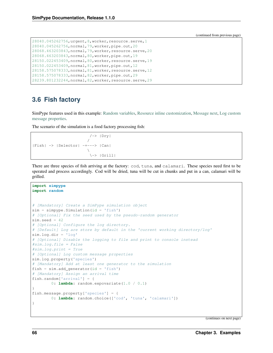```
28040.045262756,urgent,8,worker,resource.serve,1
28040.045262756,normal,79,worker,pipe.out,20
28068.463203843,normal,79,worker,resource.serve,20
28068.463203843,normal,80,worker,pipe.out,19
28150.022453409,normal,80,worker,resource.serve,19
28150.022453409,normal,81,worker,pipe.out,12
28158.575078333,normal,81,worker,resource.serve,12
28158.575078333,normal,82,worker,pipe.out,29
28239.801232244,normal,82,worker,resource.serve,29
```
## **3.6 Fish factory**

SimPype features used in this example: [Random variables,](../tutorial/random.html) [Resource inline customization,](../tutorial/resource.html#inline-customization) [Message next,](../tutorial/message.html#next) [Log custom](../tutorial/logging.html#log-custom-message-properties) [message properties.](../tutorial/logging.html#log-custom-message-properties)

The scenario of the simulation is a food factory processing fish:

```
/-> |Dry|
                                        /
|Fish| -> |Selector| -+---> |Can|
                                        \setminus\left\langle \rightarrow \right| | Grill|
```
There are three species of fish arriving at the factory: cod, tuna, and calamari. These species need first to be sperated and process accordingly. Cod will be dried, tuna will be cut in chunks and put in a can, calamari will be grilled.

```
import simpype
import random
# [Mandatory] Create a SimPype simulation object
sim = simpype.Simulation(id = 'fish')
# [Optional] Fix the seed used by the pseudo-random generator
sim.seed = 42# [Optional] Configure the log directory.
# [Default] Log are store by default in the 'current working directory/log'
sim.log.dir = 'log'
# [Optional] Disable the logging to file and print to console instead
#sim.log.file = False
#sim.log.print = True
# [Optional] Log custom message properties
sim.log.property('species')
# [Mandatory] Add at least one generator to the simulation
fish = sim.add\_generator(id = 'fish')# [Mandatory] Assign an arrival time
fish.random['arrival'] = {
        0: lambda: random.expovariate(1.0 / 0.1)
}
fish.message.property['species'] = {
        0: lambda: random.choice(['cod', 'tuna', 'calamari'])
}
```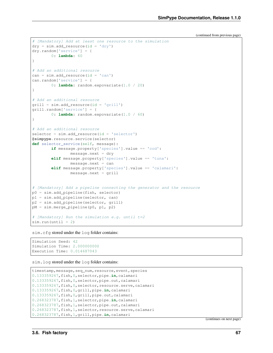```
(continued from previous page)
```

```
# [Mandatory] Add at least one resource to the simulation
dry = sim.add\_resource(id = 'dry')dry.random['service'] = {
       0: lambda: 60
}
# Add an additional resource
can = sim.add\_resource(id = 'can')can.random['service'] = {
       0: lambda: random.expovariate(1.0 / 20)
}
# Add an additional resource
qrill = sim.add resource(id = 'qrill')
grill.random['service'] = {
        0: lambda: random.expovariate(1.0 / 60)
}
# Add an additional resource
selector = sim.add\_resource(id = 'selector')@simpype.resource.service(selector)
def selector_service(self, message):
        if message.property['species'].value == 'cod':
                message.next = dry
        elif message.property['species'].value == 'tuna':
               message.next = can
        elif message.property['species'].value == 'calamari':
                message.next = grill
# [Mandatory] Add a pipeline connecting the generator and the resource
p0 = sim.add_pipeline(fish, selector)
p1 = sim.add pipeline(selectron, can)p2 = sim.add_pipeline(selector, grill)
pM = sim.merge_pipeline(p0, p1, p2)
# [Mandatory] Run the simulation e.g. until t=2
sim.run(until = 2)
```
sim.cfg stored under the log folder contains:

```
Simulation Seed: 42
Simulation Time: 2.000000000
Execution Time: 0.014687043
```
sim.log stored under the log folder contains:

```
timestamp, message, seq_num, resource, event, species
0.133359267,fish,0,selector,pipe.in,calamari
0.133359267, fish, 0, selector, pipe.out, calamari
0.133359267, fish, 0, selector, resource.serve, calamari
0.133359267,fish,0,grill,pipe.in,calamari
0.133359267, fish, 0, grill, pipe.out, calamari
0.268323787,fish,1,selector,pipe.in,calamari
0.268323787, fish, 1, selector, pipe.out, calamari
0.268323787, fish, 1, selector, resource.serve, calamari
0.268323787,fish,1,grill,pipe.in,calamari
```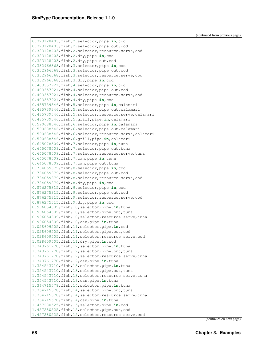0.323128403,fish,2,selector,pipe.**in**,cod 0.323128403, fish, 2, selector, pipe.out, cod 0.323128403, fish, 2, selector, resource.serve, cod 0.323128403,fish,2,dry,pipe.**in**,cod 0.323128403,fish,2,dry,pipe.out,cod 0.332966368,fish,3,selector,pipe.**in**,cod 0.332966368,fish,3,selector,pipe.out,cod 0.332966368, fish, 3, selector, resource.serve, cod 0.332966368,fish,3,dry,pipe.**in**,cod 0.403357921,fish,4,selector,pipe.**in**,cod 0.403357921,fish,4,selector,pipe.out,cod 0.403357921, fish, 4, selector, resource.serve, cod 0.403357921,fish,4,dry,pipe.**in**,cod 0.485739346,fish,5,selector,pipe.**in**,calamari 0.485739346,fish,5,selector,pipe.out,calamari 0.485739346, fish, 5, selector, resource.serve, calamari 0.485739346,fish,5,grill,pipe.**in**,calamari 0.590688546,fish,6,selector,pipe.**in**,calamari 0.590688546, fish, 6, selector, pipe.out, calamari 0.590688546, fish, 6, selector, resource.serve, calamari 0.590688546,fish,6,grill,pipe.**in**,calamari 0.645078509,fish,7,selector,pipe.**in**,tuna 0.645078509, fish, 7, selector, pipe.out, tuna 0.645078509, fish, 7, selector, resource.serve, tuna 0.645078509,fish,7,can,pipe.**in**,tuna 0.645078509, fish, 7, can, pipe.out, tuna 0.734059379,fish,8,selector,pipe.**in**,cod 0.734059379,fish,8,selector,pipe.out,cod 0.734059379, fish, 8, selector, resource.serve, cod 0.734059379,fish,8,dry,pipe.**in**,cod 0.876275315,fish,9,selector,pipe.**in**,cod 0.876275315, fish, 9, selector, pipe.out, cod 0.876275315, fish, 9, selector, resource.serve, cod 0.876275315,fish,9,dry,pipe.**in**,cod 0.996054309,fish,10,selector,pipe.**in**,tuna 0.996054309, fish, 10, selector, pipe.out, tuna 0.996054309, fish, 10, selector, resource.serve, tuna 0.996054309,fish,10,can,pipe.**in**,tuna 1.028609505,fish,11,selector,pipe.**in**,cod 1.028609505,fish,11,selector,pipe.out,cod 1.028609505,fish,11,selector,resource.serve,cod 1.028609505,fish,11,dry,pipe.**in**,cod 1.343761770,fish,12,selector,pipe.**in**,tuna 1.343761770,fish,12,selector,pipe.out,tuna 1.343761770, fish, 12, selector, resource.serve, tuna 1.343761770,fish,12,can,pipe.**in**,tuna 1.354543710,fish,13,selector,pipe.**in**,tuna 1.354543710, fish, 13, selector, pipe.out, tuna 1.354543710, fish, 13, selector, resource.serve, tuna 1.354543710,fish,13,can,pipe.**in**,tuna 1.364715578,fish,14,selector,pipe.**in**,tuna 1.364715578, fish, 14, selector, pipe.out, tuna 1.364715578, fish, 14, selector, resource.serve, tuna 1.364715578,fish,14,can,pipe.**in**,tuna 1.457280525,fish,15,selector,pipe.**in**,cod 1.457280525,fish,15,selector,pipe.out,cod 1.457280525,fish,15,selector,resource.serve,cod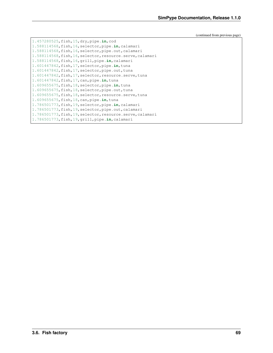1.457280525,fish,15,dry,pipe.**in**,cod 1.588114568,fish,16,selector,pipe.**in**,calamari 1.588114568,fish,16,selector,pipe.out,calamari 1.588114568,fish,16,selector,resource.serve,calamari 1.588114568,fish,16,grill,pipe.**in**,calamari 1.601447842,fish,17,selector,pipe.**in**,tuna 1.601447842,fish,17,selector,pipe.out,tuna 1.601447842,fish,17,selector,resource.serve,tuna 1.601447842,fish,17,can,pipe.**in**,tuna 1.609655675,fish,18,selector,pipe.**in**,tuna 1.609655675,fish,18,selector,pipe.out,tuna 1.609655675,fish,18,selector,resource.serve,tuna 1.609655675,fish,18,can,pipe.**in**,tuna 1.786501773,fish,19,selector,pipe.**in**,calamari 1.786501773,fish,19,selector,pipe.out,calamari 1.786501773,fish,19,selector,resource.serve,calamari 1.786501773,fish,19,grill,pipe.**in**,calamari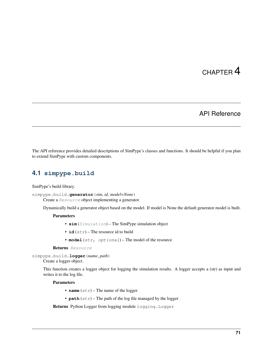# CHAPTER 4

# API Reference

<span id="page-74-1"></span>The API reference provides detailed descriptions of SimPype's classes and functions. It should be helpful if you plan to extend SimPype with custom components.

### <span id="page-74-0"></span>**4.1 simpype.build**

SimPype's build library.

simpype.build.**generator**(*sim*, *id*, *model=None*) Create a [Resource](#page-86-0) object implementing a generator.

Dynamically build a generator object based on the model. If model is None the default generator model is built.

#### Parameters

- **sim** ([Simulation](#page-91-0)) The SimPype simulation object
- **id**  $(str)$  The resource id to build
- **model** (str, optional) The model of the resource

#### Returns [Resource](#page-86-0)

```
simpype.build.logger(name, path)
```
Create a logger object.

This function creates a logger object for logging the simulation results. A logger accepts a (str) as input and writes it to the log file.

#### **Parameters**

- **name**  $(str)$  The name of the logger
- **path**  $(str)$  The path of the log file managed by the logger

Returns Python Logger from logging module logging. Logger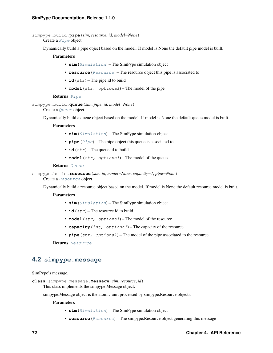```
simpype.build.pipe(sim, resource, id, model=None)
```
Create a [Pipe](#page-80-0) object.

Dynamically build a pipe object based on the model. If model is None the default pipe model is built.

#### **Parameters**

- **sim** ([Simulation](#page-91-0)) The SimPype simulation object
- **resource** ([Resource](#page-86-0)) The resource object this pipe is associated to
- **id**  $(str)$  The pipe id to build
- **model** (str, optional) The model of the pipe

#### Returns [Pipe](#page-80-0)

simpype.build.**queue**(*sim*, *pipe*, *id*, *model=None*)

Create a [Queue](#page-82-0) object.

Dynamically build a queue object based on the model. If model is None the default queue model is built.

#### Parameters

- **sim** ([Simulation](#page-91-0)) The SimPype simulation object
- **pipe** ([Pipe](#page-80-0)) The pipe object this queue is associated to
- **id**  $(str)$  The queue id to build
- **model** (str, optional) The model of the queue

#### Returns [Queue](#page-82-0)

```
simpype.build.resource(sim, id, model=None, capacity=1, pipe=None)
```
Create a [Resource](#page-86-0) object.

Dynamically build a resource object based on the model. If model is None the default resource model is built.

#### **Parameters**

- **sim** ([Simulation](#page-91-0)) The SimPype simulation object
- **id** (str) The resource id to build
- **model** (str, optional) The model of the resource
- **capacity** (int, optional) The capacity of the resource
- **pipe** (str, optional) The model of the pipe associated to the resource

Returns [Resource](#page-86-0)

### <span id="page-75-1"></span>**4.2 simpype.message**

#### SimPype's message.

```
class simpype.message.Message(sim, resource, id)
     This class implements the simpype.Message object.
```
simpype.Message object is the atomic unit processed by simpype.Resource objects.

- **sim** ([Simulation](#page-91-0)) The SimPype simulation object
- **resource** ([Resource](#page-86-0)) The simpype.Resource object generating this message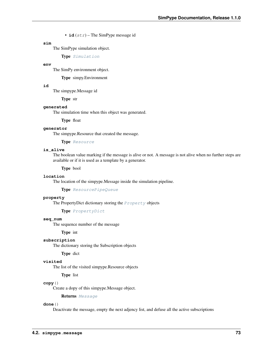• **id**  $(str)$  – The SimPype message id

#### <span id="page-76-0"></span>**sim**

The SimPype simulation object.

Type [Simulation](#page-91-0)

#### **env**

The SimPy environment object.

Type simpy.Environment

#### **id**

The simpype.Message id

Type str

#### **generated**

The simulation time when this object was generated.

Type float

#### **generator**

The simpype.Resource that created the message.

Type [Resource](#page-86-0)

#### **is\_alive**

The boolean value marking if the message is alive or not. A message is not alive when no further steps are available or if it is used as a template by a generator.

Type bool

#### **location**

The location of the simpype.Message inside the simulation pipeline.

Type [Resource](#page-86-0)[Pipe](#page-80-0)[Queue](#page-82-0)

#### **property**

The PropertyDict dictionary storing the [Property](#page-77-0) objects

Type [PropertyDict](#page-78-0)

#### **seq\_num**

The sequence number of the message

Type int

#### **subscription**

The dictionary storing the Subscription objects

Type dict

#### **visited**

The list of the visited simpype.Resource objects

Type list

#### **copy**()

Create a dopy of this simpype.Message object.

#### Returns [Message](#page-75-0)

#### **done**()

Deactivate the message, empty the next adjency list, and defuse all the active subscriptions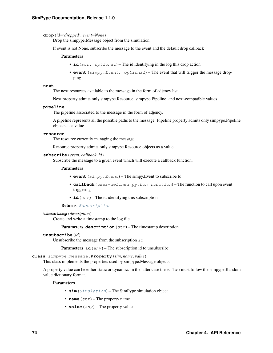#### <span id="page-77-1"></span>**drop**(*id='dropped'*, *event=None*)

Drop the simpype.Message object from the simulation.

If event is not None, subscribe the message to the event and the default drop callback

#### Parameters

- **id** (str, optional) The id identifying in the log this drop action
- **event** (simpy. Event, optional) The event that will trigger the message dropping

#### **next**

The next resources available to the message in the form of adjency list

Next property admits only simpype.Resource, simpype.Pipeline, and next-compatible values

#### **pipeline**

The pipeline associated to the message in the form of adjency.

A pipeline represents all the possible paths to the message. Pipeline property admits only simpype.Pipeline objects as a value

#### **resource**

The resource currently managing the message.

Resource property admits only simpype.Resource objects as a value

#### **subscribe**(*event*, *callback*, *id*)

Subscribe the message to a given event which will execute a callback function.

#### **Parameters**

- **event**  $(s \text{impy}. \text{Event})$  The simpy. Event to subscribe to
- **callback** (user-defined python function) The function to call upon event triggering
- **id**  $(str)$  The id identifying this subscription

Returns [Subscription](#page-78-1)

#### **timestamp**(*description*)

Create and write a timestamp to the log file

#### Parameters description  $(str)$  – The timestamp description

#### **unsubscribe**(*id*)

Unsubscribe the message from the subscription id

**Parameters**  $id$  (any) – The subscription id to unsubscribe

#### <span id="page-77-0"></span>**class** simpype.message.**Property**(*sim*, *name*, *value*)

This class implements the properties used by simpype.Message objects.

A property value can be either static or dynamic. In the latter case the value must follow the simpype.Random value dictionary format.

- **sim** ([Simulation](#page-91-0)) The SimPype simulation object
- **name**  $(str)$  The property name
- **value** (any) The property value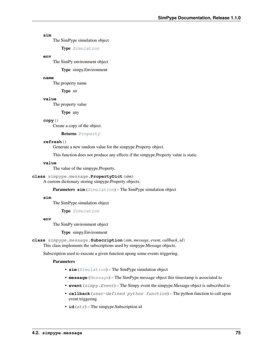#### <span id="page-78-2"></span>**sim**

The SimPype simulation object

Type [Simulation](#page-91-0)

#### **env**

The SimPy environment object

Type simpy.Environment

#### **name**

The property name

Type str

#### **value**

The property value

Type any

#### **copy**()

Create a copy of the object.

#### Returns [Property](#page-77-0)

#### **refresh**()

Generate a new random value for the simpype.Property object.

This function does not produce any effects if the simpype.Property value is static.

#### **value**

The value of the simpype.Property.

#### <span id="page-78-0"></span>**class** simpype.message.**PropertyDict**(*sim*)

A custom dictionary storing simpype.Property objects.

#### Parameters  $\sin(Simulation)$  $\sin(Simulation)$  $\sin(Simulation)$  – The SimPype simulation object

#### **sim**

The SimPype simulation object

Type [Simulation](#page-91-0)

#### **env**

The SimPy environment object

Type simpy.Environment

<span id="page-78-1"></span>**class** simpype.message.**Subscription**(*sim*, *message*, *event*, *callback*, *id*) This class implements the subscriptions used by simpype.Message objects.

Subscription used to execute a given function upong some events triggering.

- **sim** ([Simulation](#page-91-0)) The SimPype simulation object
- **message** ([Message](#page-75-0)) The SimPype message object this timestamp is associated to
- **event** (simpy.Event) The Simpy event the simpype.Message object is subscribed to
- **callback** (user-defined python function) The python function to call upon event triggering
- **id**  $(str)$  The simpype. Subscription id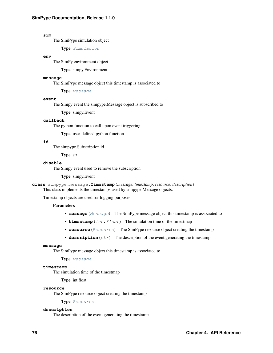#### <span id="page-79-1"></span>**sim**

The SimPype simulation object

Type [Simulation](#page-91-0)

#### **env**

The SimPy environment object

Type simpy.Environment

#### **message**

The SimPype message object this timestamp is associated to

Type [Message](#page-75-0)

#### **event**

The Simpy event the simpype.Message object is subscribed to

Type simpy.Event

#### **callback**

The python function to call upon event triggering

Type user-defined python function

#### **id**

The simpype.Subscription id

Type str

#### **disable**

The Simpy event used to remove the subscription

Type simpy.Event

<span id="page-79-0"></span>**class** simpype.message.**Timestamp**(*message*, *timestamp*, *resource*, *description*) This class implements the timestamps used by simpype.Message objects.

Timestamp objects are used for logging purposes.

#### **Parameters**

- **message** ([Message](#page-75-0)) The SimPype message object this timestamp is associated to
- $\cdot$  **timestamp** (int, float) The simulation time of the timestmap
- **resource** ([Resource](#page-86-0)) The SimPype resource object creating the timestamp
- **description**  $(str)$  The description of the event generating the timestamp

#### **message**

The SimPype message object this timestamp is associated to

#### Type [Message](#page-75-0)

#### **timestamp**

The simulation time of the timestmap

Type int,float

#### **resource**

The SimPype resource object creating the timestamp

Type [Resource](#page-86-0)

#### **description**

The description of the event generating the timestamp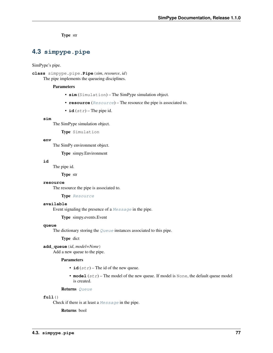Type str

### <span id="page-80-2"></span><span id="page-80-1"></span>**4.3 simpype.pipe**

SimPype's pipe.

<span id="page-80-0"></span>**class** simpype.pipe.**Pipe**(*sim*, *resource*, *id*) The pipe implements the queueing disciplines.

#### Parameters

- **sim** (Simulation) The SimPype simulation object.
- **resource** ([Resource](#page-86-0)) The resource the pipe is associated to.

• **id**  $(str)$  – The pipe id.

#### **sim**

The SimPype simulation object.

Type Simulation

#### **env**

The SimPy environment object.

Type simpy.Environment

**id**

The pipe id.

Type str

#### **resource**

The resource the pipe is associated to.

Type [Resource](#page-86-0)

#### **available**

Event signaling the presence of a [Message](#page-75-0) in the pipe.

Type simpy.events.Event

#### **queue**

The dictionary storing the [Queue](#page-82-0) instances associated to this pipe.

Type dict

**add\_queue**(*id*, *model=None*)

Add a new queue to the pipe.

#### Parameters

- **id**  $(str)$  The id of the new queue.
- $\bullet$  **model** (str) The model of the new queue. If model is None, the default queue model is created.

#### Returns Oueue

#### **full**()

Check if there is at least a [Message](#page-75-0) in the pipe.

Returns bool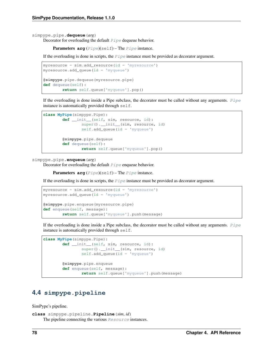<span id="page-81-2"></span>simpype.pipe.**dequeue**(*arg*)

Decorator for overloading the default  $Pip$ e dequeue behavior.

**Parameters**  $arg(Pipe)(self)$  $arg(Pipe)(self)$  $arg(Pipe)(self)$  **– The Pipe instance.** 

If the overloading is done in scripts, the  $Pipe$  instance must be provided as decorator argument.

```
myresource = sim.add_resource(id = 'myresource')
myresource.add_queue(id = 'myqueue')
@simpype.pipe.dequeue(myresource.pipe)
def dequeue(self):
        return self.queue['myqueue'].pop()
```
If the overloading is done inside a [Pipe](#page-80-0) subclass, the decorator must be called without any arguments.  $Pipe$ instance is automatically provided through self.

```
class MyPipe(simpype.Pipe):
        def __init__(self, sim, resource, id):
                super(). __init__(sim, resource, id)
                self.add_queue(id = 'myqueue')
        @simpype.pipe.dequeue
        def dequeue(self):
                return self.queue['myqueue'].pop()
```
simpype.pipe.**enqueue**(*arg*)

Decorator for overloading the default  $Pip$ e enqueue behavior.

**Parameters**  $arg(Pipe)(self)$  $arg(Pipe)(self)$  $arg(Pipe)(self)$  **– The Pipe instance.** 

If the overloading is done in scripts, the  $Pipe$  instance must be provided as decorator argument.

```
myresource = sim.add resource(id = 'myresource')myresource.add_queue(id = 'myqueue')
@simpype.pipe.enqueue(myresource.pipe)
def enqueue(self, message):
        return self.queue['myqueue'].push(message)
```
If the overloading is done inside a [Pipe](#page-80-0) subclass, the decorator must be called without any arguments. Pipe instance is automatically provided through self.

```
class MyPipe(simpype.Pipe):
        def __init__(self, sim, resource, id):
                super(). __init_(sim, resource, id)
                self.add_queue(id = 'myqueue')
        @simpype.pipe.enqueue
        def enqueue(self, message):
                return self.queue['myqueue'].push(message)
```
### <span id="page-81-1"></span>**4.4 simpype.pipeline**

SimPype's pipeline.

<span id="page-81-0"></span>**class** simpype.pipeline.**Pipeline**(*sim*, *id*) The pipeline connecting the various [Resource](#page-86-0) instances.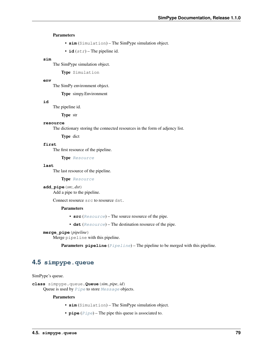#### <span id="page-82-2"></span>**Parameters**

- **sim** (Simulation) The SimPype simulation object.
- **id** (str) The pipeline id.

#### **sim**

The SimPype simulation object.

Type Simulation

#### **env**

The SimPy environment object.

Type simpy.Environment

#### **id**

The pipeline id.

Type str

#### **resource**

The dictionary storing the connected resources in the form of adjency list.

Type dict

#### **first**

The first resource of the pipeline.

Type [Resource](#page-86-0)

#### **last**

The last resource of the pipeline.

Type [Resource](#page-86-0)

#### **add\_pipe**(*src*, *dst*)

Add a pipe to the pipeline.

Connect resource src to resource dst.

#### Parameters

- **src** ([Resource](#page-86-0)) The source resource of the pipe.
- **dst** ([Resource](#page-86-0)) The destination resource of the pipe.

#### **merge\_pipe**(*pipeline*)

Merge pipeline with this pipeline.

Parameters **pipeline** (*[Pipeline](#page-81-0)*) – The pipeline to be merged with this pipeline.

### <span id="page-82-1"></span>**4.5 simpype.queue**

SimPype's queue.

```
class simpype.queue.Queue(sim, pipe, id)
     Queue is used by Pipe to store Message objects.
```
- **sim** (Simulation) The SimPype simulation object.
- **pipe** ([Pipe](#page-80-0)) The pipe this queue is associated to.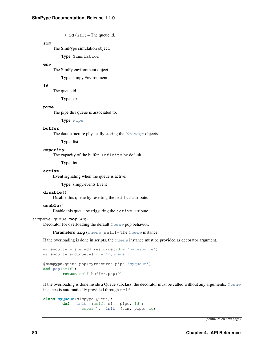• **id**  $(str)$  – The queue id.

#### <span id="page-83-0"></span>**sim**

The SimPype simulation object.

Type Simulation

#### **env**

The SimPy environment object.

Type simpy.Environment

#### **id**

The queue id.

Type str

#### **pipe**

The pipe this queue is associated to.

Type [Pipe](#page-80-0)

#### **buffer**

The data structure physically storing the [Message](#page-75-0) objects.

#### Type list

#### **capacity**

The capacity of the buffer. Infinite by default.

Type int

#### **active**

Event signaling when the queue is active.

Type simpy.events.Event

#### **disable**()

Disable this queue by resetting the active attribute.

#### **enable**()

Enable this queue by triggering the active attribute.

#### simpype.queue.**pop**(*arg*)

Decorator for overloading the default [Queue](#page-82-0) pop behavior.

**Parameters**  $arg(Queue)(self)$  $arg(Queue)(self)$  $arg(Queue)(self)$  **– The Queue instance.** 

If the overloading is done in scripts, the  $Queue$  instance must be provided as decorator argument.

```
myresource = sim.add\_resource(id = 'myresource')myresource.add_queue(id = 'myqueue')
@simpype.queue.pop(myresource.pipe['myqueue'])
def pop(self):
        return self.buffer.pop(0)
```
If the overloading is done inside a Queue subclass, the decorator must be called without any arguments. [Queue](#page-82-0) instance is automatically provided through self.

```
class MyQueue(simpype.Queue):
       def __init__(self, sim, pipe, id):
                super().__init_(sim, pipe, id)
```
(continues on next page)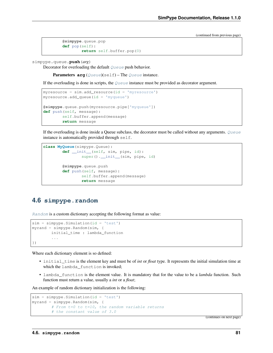```
@simpype.queue.pop
def pop(self):
        return self.buffer.pop(0)
```
simpype.queue.**push**(*arg*)

Decorator for overloading the default [Queue](#page-82-0) push behavior.

**Parameters**  $arg(Queue)(self)$  $arg(Queue)(self)$  $arg(Queue)(self)$  **– The Queue instance.** 

If the overloading is done in scripts, the [Queue](#page-82-0) instance must be provided as decorator argument.

```
myresource = sim.add resource(id = 'myresource')myresource.add_queue(id = 'myqueue')
@simpype.queue.push(myresource.pipe['myqueue'])
def push(self, message):
        self.buffer.append(message)
        return message
```
If the overloading is done inside a Queue subclass, the decorator must be called without any arguments. [Queue](#page-82-0) instance is automatically provided through self.

```
class MyQueue(simpype.Queue):
        def __init__(self, sim, pipe, id):
                super(). __init__(sim, pipe, id)
        @simpype.queue.push
        def push(self, message):
                self.buffer.append(message)
                return message
```
### <span id="page-84-0"></span>**4.6 simpype.random**

[Random](#page-85-0) is a custom dictionary accepting the following format as value:

```
sim = simpype.Simulation(id = 'test')
myrand = simpype.Random(sim, {
        initial_time : lambda_function
        ...
})
```
Where each dictionary element is so defined:

- initial time is the element key and must be of *int* or *float* type. It represents the initial simulation time at which the lambda\_function is invoked;
- lambda\_function is the element value. It is mandatory that for the value to be a *lambda* function. Such function must return a value, usually a *int* or a *float*;

An example of random dictionary initialization is the following:

```
sim = simpype.Simulation(id = 'test')
myrand = simpype.Random(sim, {
       # From t=0 to t=10, the random variable returns
        # the constant value of 3.0
```
(continues on next page)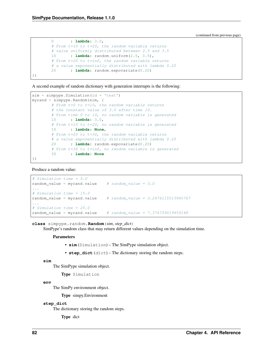```
0 : lambda: 3.0,
# From t=10 to t=20, the random variable returns
# value uniformly distributed between 2.5 and 3.5
10 : lambda: random.uniform(2.5, 3.5),
# From t=20 to t=inf, the random variable returns
# a value exponentially distributed with lambda 0.20
20 : lambda: random.expovariate(0.20)
```
A second example of random dictionary with generation interrupts is the following:

```
sim = simpype.Simulation(id = 'test')
myrand = simpype.Random(sim, {
       # From t=0 to t=10, the random variable returns
        # the constant value of 3.0 after time 10.
        # From time 0 to 10, no random variable is generated
       10 : lambda: 3.0,
        # From t=10 to t=20, no random variable is generated
       10 : lambda: None,
        # From t=20 to t=30, the random variable returns
       # a value exponentially distributed with lambda 0.20
       20 : lambda: random.expovariate(0.20)
        # From t=30 to t=inf, no random variable is generated
       30 : lambda: None
})
```
Produce a random value:

})

```
# Simulation time = 5.0
random_value = myrand.value # random_value = 3.0
...
# Simulation time = 15.0
random_value = myrand.value # random_value = 3.2476115513945767
...
# Simulation time = 25.0
random_value = myrand.value # random_value = 7.374759019459148
```
<span id="page-85-0"></span>**class** simpype.random.**Random**(*sim*, *step\_dict*)

SimPype's random class that may return different values depending on the simulation time.

#### Parameters

- **sim** (Simulation) The SimPype simulation object.
- **step\_dict** (dict) The dictionary storing the random steps.

#### **sim**

The SimPype simulation object.

Type Simulation

#### **env**

The SimPy environment object.

Type simpy.Environment

#### **step\_dict**

The dictionary storing the random steps.

Type dict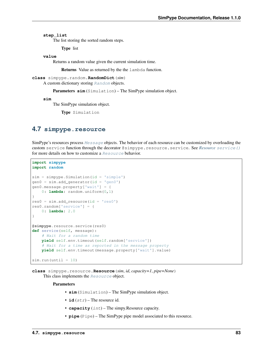#### <span id="page-86-2"></span>**step\_list**

The list storing the sorted random steps.

Type list

#### **value**

Returns a random value given the current simulation time.

Returns Value as returned by the the lambda function.

**class** simpype.random.**RandomDict**(*sim*)

A custom dictionary storing [Random](#page-85-0) objects.

Parameters **sim** (Simulation) – The SimPype simulation object.

**sim**

The SimPype simulation object.

Type Simulation

### <span id="page-86-1"></span>**4.7 simpype.resource**

SimPype's resources process [Message](#page-75-0) objects. The behavior of each resource can be customized by overloading the custom service function through the decorator @simpype.resource.service. See *[Resource](#page-22-0)* [service\(\)](#page-88-0) for more details on how to customize a [Resource](#page-86-0) behavior.

```
import simpype
import random
sim = simpype.Simulation(id = 'simple')
gen0 = sim.add_generator(id = 'gen0')
gen0.message.property['wait'] = {
    0: lambda: random.uniform(0,1)
}
res0 = sim.add\_resource(id = 'res0')res0.random['service'] = {
    0: lambda: 2.0
}
@simpype.resource.service(res0)
def service(self, message):
    # Wait for a random time
   yield self.env.timeout(self.random['service'])
    # Wait for a time as reported in the message property
    yield self.env.timeout(message.property['wait'].value)
sim.run(until = 10)
```
<span id="page-86-0"></span>**class** simpype.resource.**Resource**(*sim*, *id*, *capacity=1*, *pipe=None*) This class implements the [Resource](#page-86-0) object.

- **sim** (Simulation) The SimPype simulation object.
- **id**  $(str)$  The resource id.
- **capacity** (int) The simpy.Resource capacity.
- **pipe** (Pipe) The SimPype pipe model associated to this resource.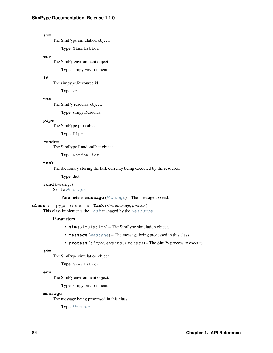#### <span id="page-87-1"></span>**sim**

The SimPype simulation object.

Type Simulation

#### **env**

The SimPy environment object.

Type simpy.Environment

#### **id**

The simpype.Resource id.

Type str

#### **use**

The SimPy resource object.

Type simpy.Resource

#### **pipe**

The SimPype pipe object.

Type Pipe

#### **random**

The SimPype RandomDict object.

Type RandomDict

#### **task**

The dictionary storing the task currenty being executed by the resource.

#### Type dict

**send**(*message*)

Send a [Message](#page-75-0).

Parameters message ([Message](#page-75-0)) – The message to send.

<span id="page-87-0"></span>**class** simpype.resource.**Task**(*sim*, *message*, *process*)

This class implements the [Task](#page-87-0) managed by the [Resource](#page-86-0).

#### Parameters

- **sim** (Simulation) The SimPype simulation object.
- **message** ([Message](#page-75-0)) The message being processed in this class
- **process** (simpy.events.Process) The SimPy process to execute

#### **sim**

The SimPype simulation object.

Type Simulation

#### **env**

The SimPy environment object.

Type simpy.Environment

#### **message**

The message being processed in this class

Type [Message](#page-75-0)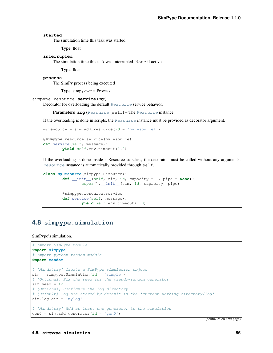#### <span id="page-88-2"></span>**started**

The simulation time this task was started

Type float

#### **interrupted**

The simulation time this task was interrupted. None if active.

Type float

#### **process**

The SimPy process being executed

Type simpy.events.Process

#### <span id="page-88-0"></span>simpype.resource.**service**(*arg*)

Decorator for overloading the default [Resource](#page-86-0) service behavior.

Parameters  $arg(Resource)(self)$  $arg(Resource)(self)$  $arg(Resource)(self)$  – The Resource instance.

If the overloading is done in scripts, the [Resource](#page-86-0) instance must be provided as decorator argument.

```
myresource = sim.add\_resource(id = 'myresource1')@simpype.resource.service(myresource)
def service(self, message):
       yield self.env.timeout(1.0)
```
If the overloading is done inside a Resource subclass, the decorator must be called without any arguments. [Resource](#page-86-0) instance is automatically provided through self.

```
class MyResource(simpype.Resource):
       def __init__(self, sim, id, capacity = 1, pipe = None):
                super(). __init__(sim, id, capacity, pipe)
       @simpype.resource.service
       def service(self, message):
               yield self.env.timeout(1.0)
```
### <span id="page-88-1"></span>**4.8 simpype.simulation**

SimPype's simulation.

```
# Import SimPype module
import simpype
# Import python random module
import random
# [Mandatory] Create a SimPype simulation object
sim = simpype.Simulation(id = 'simple')
# [Optional] Fix the seed for the pseudo-random generator
sim.seed = 42
# [Optional] Configure the log directory.
# [Default] Log are stored by default in the 'current working directory/log'
sim.log.dir = 'mylog'
# [Mandatory] Add at least one generator to the simulation
gen0 = sim.add_generator(id = 'gen0')
```
(continues on next page)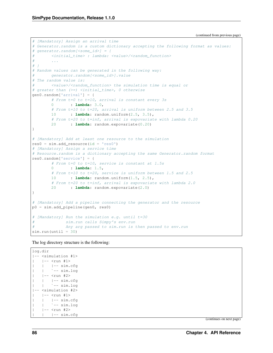```
# [Mandatory] Assign an arrival time
# Generator.random is a custom dictionary accepting the following format as values:
# generator.random[<some_id>] = {
       <initial_time> : lambda: <value>/<random_function>
\# ...
# }
# Random values can be generated in the following way:
# generator.random[<some_id>].value
# The random value is:
# <value>/<random_function> the simulation time is equal or
# greater than (>=) <initial_time>, 0 otherwise
gen0.random['arrival'] = {
       # From t=0 to t=10, arrival is constant every 3s
       0 : lambda: 3.0,
       # From t=10 to t=20, arrival is uniform between 2.5 and 3.5
       10 : lambda: random.uniform(2.5, 3.5),
       # From t=20 to t=inf, arrival is expovariate with lambda 0.20
       20 : lambda: random.expovariate(0.20)
}
# [Mandatory] Add at least one resource to the simulation
res0 = sim.add\_resource(id = 'res0')# [Mandatory] Assign a service time
# Resource.random is a dictionary accepting the same Generator.random format
res0.random['service'] = {
       # From t=0 to t=10, service is constant at 1.5s
       0 : lambda: 1.5,
       # From t=10 to t=20, service is uniform between 1.5 and 2.5
       10 : lambda: random.uniform(1.5, 2.5),
       # From t=20 to t=inf, arrival is expovariate with lambda 2.0
       20 : lambda: random.expovariate(2.0)
}
# [Mandatory] Add a pipeline connecting the generator and the resource
p0 = sim.add_pipeline(gen0, res0)
# [Mandatory] Run the simulation e.g. until t=30
# sim.run calls Simpy's env.run
# Any arg passed to sim.run is then passed to env.run
sim.run(until = 30)
```
The log directory structure is the following:

log.dir |-- <simulation #1> | |-- <run #1> | | |-- sim.cfg | | `-- sim.log  $|- - - <$ run #2> | | |-- sim.cfg | | `-- sim.log |-- <simulation #2>  $| -- |$  <run #1> | | |-- sim.cfg | | `-- sim.log  $| -- <$   $<$ run #2> | | |-- sim.cfg

(continues on next page)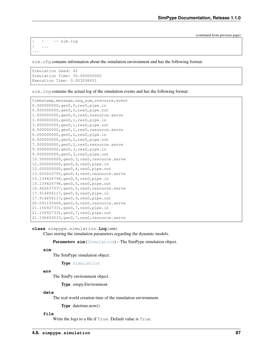```
| \rightarrow - sim.log
| ...
...
```
sim.cfg contains information about the simulation environment and has the following format:

Simulation Seed: 42 Simulation Time: 30.000000000 Execution Time: 0.003298451

sim.log contains the actual log of the simulation events and has the following format:

```
timestamp, message, seq_num, resource, event
0.000000000,gen0,0,res0,pipe.in
0.000000000,gen0,0,res0,pipe.out
1.500000000,gen0,0,res0,resource.serve
3.000000000,gen0,1,res0,pipe.in
3.000000000,gen0,1,res0,pipe.out
4.500000000,gen0,1,res0,resource.serve
6.000000000,gen0,2,res0,pipe.in
6.000000000,gen0,2,res0,pipe.out
7.500000000,gen0,2,res0,resource.serve
9.000000000,gen0,3,res0,pipe.in
9.000000000,gen0,3,res0,pipe.out
10.500000000,gen0,3,res0,resource.serve
12.000000000,gen0,4,res0,pipe.in
12.000000000,gen0,4,res0,pipe.out
13.525010755,gen0,4,res0,resource.serve
15.139426798,gen0,5,res0,pipe.in
15.139426798,gen0,5,res0,pipe.out
16.862637537,gen0,5,res0,resource.serve
17.914456117,gen0,6,res0,pipe.in
17.914456117,gen0,6,res0,pipe.out
20.091155604,gen0,6,res0,resource.serve
21.150927331,gen0,7,res0,pipe.in
21.150927331,gen0,7,res0,pipe.out
21.196403533,gen0,7,res0,resource.serve
```
<span id="page-90-0"></span>**class** simpype.simulation.**Log**(*sim*)

Class storing the simulation parameters regarding the dynamic models.

Parameters  $\sin(Simulation)$  $\sin(Simulation)$  $\sin(Simulation)$  – The SimPype simulation object.

#### **sim**

The SimPype simulation object.

#### Type [Simulation](#page-91-0)

#### **env**

The SimPy environment object.

Type simpy.Environment

#### **date**

The real world creation time of the simulation environment.

Type datetime.now()

#### **file**

Write the logs to a file if True. Default value is True.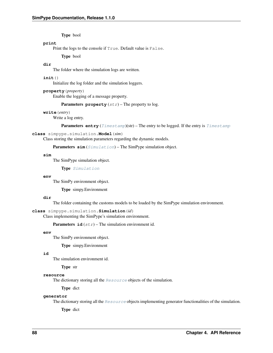Type bool

#### <span id="page-91-2"></span>**print**

Print the logs to the console if True. Default value is False.

#### Type bool

#### **dir**

The folder where the simulation logs are written.

#### **init**()

Initialize the log folder and the simulation loggers.

#### **property**(*property*)

Enable the logging of a message property.

#### **Parameters property**  $(str)$  – The property to log.

**write**(*entry*)

Write a log entry.

Parameters entry ([Timestamp](#page-79-0))(str) – The entry to be logged. If the entry is Timestamp

#### <span id="page-91-1"></span>**class** simpype.simulation.**Model**(*sim*)

Class storing the simulation parameters regarding the dynamic models.

Parameters  $\sin(Simulation)$  $\sin(Simulation)$  $\sin(Simulation)$  – The SimPype simulation object.

#### **sim**

The SimPype simulation object.

Type [Simulation](#page-91-0)

#### **env**

The SimPy environment object.

#### Type simpy.Environment

#### **dir**

The folder containing the customs models to be loaded by the SimPype simulation environment.

#### <span id="page-91-0"></span>**class** simpype.simulation.**Simulation**(*id*)

Class implementing the SimPype's simulation environment.

**Parameters**  $id(str)$  **– The simulation environment id.** 

#### **env**

The SimPy environment object.

Type simpy.Environment

#### **id**

The simulation environment id.

Type str

#### **resource**

The dictionary storing all the [Resource](#page-86-0) objects of the simulation.

Type dict

#### **generator**

The dictionary storing all the [Resource](#page-86-0) objects implementing generator functionalities of the simulation.

Type dict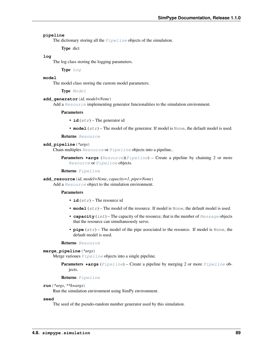#### <span id="page-92-0"></span>**pipeline**

The dictionary storing all the  $Pipeline$  objects of the simulation.

Type dict

#### **log**

The log class storing the logging parameters.

Type [Log](#page-90-0)

#### **model**

The model class storing the custom model parameters.

Type [Model](#page-91-1)

#### **add\_generator**(*id*, *model=None*)

Add a [Resource](#page-86-0) implementing generator funcionalities to the simulation environment.

#### **Parameters**

- **id**  $(str)$  The generator id
- **model** (str) The model of the generator. If model is None, the default model is used.

Returns [Resource](#page-86-0)

#### **add\_pipeline**(*\*args*)

Chain multiples [Resource](#page-86-0) or [Pipeline](#page-81-0) objects into a pipeline..

**Parameters**  $\star \text{args}$  (*[Resource](#page-86-0)*)(*[Pipeline](#page-81-0)*) – Create a pipeline by chaining 2 or more [Resource](#page-86-0) or [Pipeline](#page-81-0) objects.

Returns [Pipeline](#page-81-0)

**add\_resource**(*id*, *model=None*, *capacity=1*, *pipe=None*) Add a [Resource](#page-86-0) object to the simulation environment.

#### Parameters

- **id**  $(str)$  The resource id
- **model** (str) The model of the resource. If model is None, the default model is used.
- **capacity**  $(int)$  The capacity of the resource, that is the number of [Message](#page-75-0) objects that the resource can simultaneously serve.
- **pipe** (str) The model of the pipe associated to the resource. If model is None, the default model is used.

#### Returns [Resource](#page-86-0)

#### **merge\_pipeline**(*\*args*)

Merge varioues *[Pipeline](#page-81-0)* objects into a single pipeline.

**Parameters \*args** ([Pipeline](#page-81-0)) – Create a pipeline by merging 2 or more Pipeline objects.

#### Returns [Pipeline](#page-81-0)

#### **run**(*\*args*, *\*\*kwargs*)

Run the simulation environment using SimPy environment.

#### **seed**

The seed of the pseudo-random number generator used by this simulation.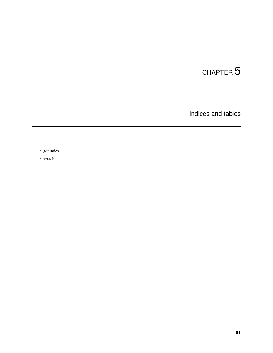# CHAPTER 5

Indices and tables

- genindex
- search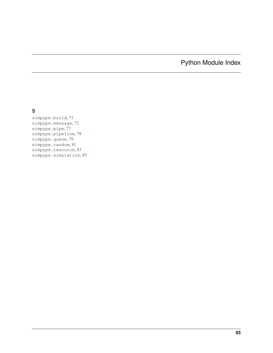# Python Module Index

### s

simpype.build, [71](#page-74-0) simpype.message, [72](#page-75-1) simpype.pipe, [77](#page-80-1) simpype.pipeline, [78](#page-81-1) simpype.queue, [79](#page-82-1) simpype.random, [81](#page-84-0) simpype.resource, [83](#page-86-1) simpype.simulation, [85](#page-88-1)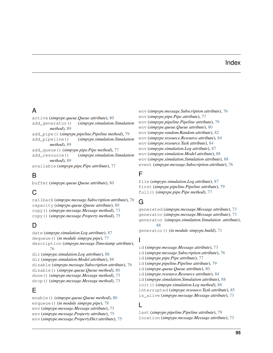### Index

# A

active (*simpype.queue.Queue attribute*), [80](#page-83-0) add\_generator() (*simpype.simulation.Simulation method*), [89](#page-92-0) add\_pipe() (*simpype.pipeline.Pipeline method*), [79](#page-82-2) add\_pipeline() (*simpype.simulation.Simulation method*), [89](#page-92-0) add\_queue() (*simpype.pipe.Pipe method*), [77](#page-80-2) add\_resource() (*simpype.simulation.Simulation method*), [89](#page-92-0) available (*simpype.pipe.Pipe attribute*), [77](#page-80-2)

# B

buffer (*simpype.queue.Queue attribute*), [80](#page-83-0)

# C

callback (*simpype.message.Subscription attribute*), [76](#page-79-1) capacity (*simpype.queue.Queue attribute*), [80](#page-83-0) copy() (*simpype.message.Message method*), [73](#page-76-0) copy() (*simpype.message.Property method*), [75](#page-78-2)

# D

date (*simpype.simulation.Log attribute*), [87](#page-90-1) dequeue() (*in module simpype.pipe*), [77](#page-80-2) description (*simpype.message.Timestamp attribute*), [76](#page-79-1) dir (*simpype.simulation.Log attribute*), [88](#page-91-2) dir (*simpype.simulation.Model attribute*), [88](#page-91-2) disable (*simpype.message.Subscription attribute*), [76](#page-79-1) disable() (*simpype.queue.Queue method*), [80](#page-83-0) done() (*simpype.message.Message method*), [73](#page-76-0) drop() (*simpype.message.Message method*), [73](#page-76-0)

# E

enable() (*simpype.queue.Queue method*), [80](#page-83-0) enqueue() (*in module simpype.pipe*), [78](#page-81-2) env (*simpype.message.Message attribute*), [73](#page-76-0) env (*simpype.message.Property attribute*), [75](#page-78-2) env (*simpype.message.PropertyDict attribute*), [75](#page-78-2)

env (*simpype.message.Subscription attribute*), [76](#page-79-1) env (*simpype.pipe.Pipe attribute*), [77](#page-80-2) env (*simpype.pipeline.Pipeline attribute*), [79](#page-82-2) env (*simpype.queue.Queue attribute*), [80](#page-83-0) env (*simpype.random.Random attribute*), [82](#page-85-1) env (*simpype.resource.Resource attribute*), [84](#page-87-1) env (*simpype.resource.Task attribute*), [84](#page-87-1) env (*simpype.simulation.Log attribute*), [87](#page-90-1) env (*simpype.simulation.Model attribute*), [88](#page-91-2) env (*simpype.simulation.Simulation attribute*), [88](#page-91-2) event (*simpype.message.Subscription attribute*), [76](#page-79-1)

# F

file (*simpype.simulation.Log attribute*), [87](#page-90-1) first (*simpype.pipeline.Pipeline attribute*), [79](#page-82-2) full() (*simpype.pipe.Pipe method*), [77](#page-80-2)

# G

```
generated (simpype.message.Message attribute), 73
generator (simpype.message.Message attribute), 73
generator (simpype.simulation.Simulation attribute),
         88
```
generator() (*in module simpype.build*), [71](#page-74-1)

### I

id (*simpype.message.Message attribute*), [73](#page-76-0) id (*simpype.message.Subscription attribute*), [76](#page-79-1) id (*simpype.pipe.Pipe attribute*), [77](#page-80-2) id (*simpype.pipeline.Pipeline attribute*), [79](#page-82-2) id (*simpype.queue.Queue attribute*), [80](#page-83-0) id (*simpype.resource.Resource attribute*), [84](#page-87-1) id (*simpype.simulation.Simulation attribute*), [88](#page-91-2) init() (*simpype.simulation.Log method*), [88](#page-91-2) interrupted (*simpype.resource.Task attribute*), [85](#page-88-2) is\_alive (*simpype.message.Message attribute*), [73](#page-76-0)

### L

last (*simpype.pipeline.Pipeline attribute*), [79](#page-82-2) location (*simpype.message.Message attribute*), [73](#page-76-0)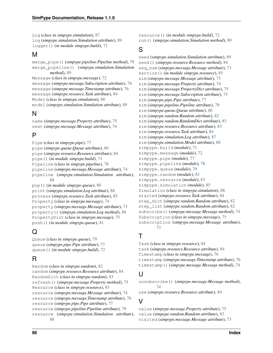Log (*class in simpype.simulation*), [87](#page-90-1) log (*simpype.simulation.Simulation attribute*), [89](#page-92-0) logger() (*in module simpype.build*), [71](#page-74-1)

### M

merge\_pipe() (*simpype.pipeline.Pipeline method*), [79](#page-82-2) merge\_pipeline() (*simpype.simulation.Simulation method*), [89](#page-92-0) Message (*class in simpype.message*), [72](#page-75-2) message (*simpype.message.Subscription attribute*), [76](#page-79-1) message (*simpype.message.Timestamp attribute*), [76](#page-79-1) message (*simpype.resource.Task attribute*), [84](#page-87-1) Model (*class in simpype.simulation*), [88](#page-91-2) model (*simpype.simulation.Simulation attribute*), [89](#page-92-0)

# N

name (*simpype.message.Property attribute*), [75](#page-78-2) next (*simpype.message.Message attribute*), [74](#page-77-1)

# P

Pipe (*class in simpype.pipe*), [77](#page-80-2) pipe (*simpype.queue.Queue attribute*), [80](#page-83-0) pipe (*simpype.resource.Resource attribute*), [84](#page-87-1) pipe() (*in module simpype.build*), [71](#page-74-1) Pipeline (*class in simpype.pipeline*), [78](#page-81-2) pipeline (*simpype.message.Message attribute*), [74](#page-77-1) pipeline (*simpype.simulation.Simulation attribute*), [88](#page-91-2) pop() (*in module simpype.queue*), [80](#page-83-0) print (*simpype.simulation.Log attribute*), [88](#page-91-2) process (*simpype.resource.Task attribute*), [85](#page-88-2) Property (*class in simpype.message*), [74](#page-77-1) property (*simpype.message.Message attribute*), [73](#page-76-0) property() (*simpype.simulation.Log method*), [88](#page-91-2) PropertyDict (*class in simpype.message*), [75](#page-78-2) push() (*in module simpype.queue*), [81](#page-84-1)

# Q

Queue (*class in simpype.queue*), [79](#page-82-2) queue (*simpype.pipe.Pipe attribute*), [77](#page-80-2) queue() (*in module simpype.build*), [72](#page-75-2)

# R

Random (*class in simpype.random*), [82](#page-85-1) random (*simpype.resource.Resource attribute*), [84](#page-87-1) RandomDict (*class in simpype.random*), [83](#page-86-2) refresh() (*simpype.message.Property method*), [75](#page-78-2) Resource (*class in simpype.resource*), [83](#page-86-2) resource (*simpype.message.Message attribute*), [74](#page-77-1) resource (*simpype.message.Timestamp attribute*), [76](#page-79-1) resource (*simpype.pipe.Pipe attribute*), [77](#page-80-2) resource (*simpype.pipeline.Pipeline attribute*), [79](#page-82-2) resource (*simpype.simulation.Simulation attribute*), [88](#page-91-2)

resource() (*in module simpype.build*), [72](#page-75-2) run() (*simpype.simulation.Simulation method*), [89](#page-92-0)

### S

seed (*simpype.simulation.Simulation attribute*), [89](#page-92-0) send() (*simpype.resource.Resource method*), [84](#page-87-1) seq\_num (*simpype.message.Message attribute*), [73](#page-76-0) service() (*in module simpype.resource*), [85](#page-88-2) sim (*simpype.message.Message attribute*), [73](#page-76-0) sim (*simpype.message.Property attribute*), [74](#page-77-1) sim (*simpype.message.PropertyDict attribute*), [75](#page-78-2) sim (*simpype.message.Subscription attribute*), [75](#page-78-2) sim (*simpype.pipe.Pipe attribute*), [77](#page-80-2) sim (*simpype.pipeline.Pipeline attribute*), [79](#page-82-2) sim (*simpype.queue.Queue attribute*), [80](#page-83-0) sim (*simpype.random.Random attribute*), [82](#page-85-1) sim (*simpype.random.RandomDict attribute*), [83](#page-86-2) sim (*simpype.resource.Resource attribute*), [83](#page-86-2) sim (*simpype.resource.Task attribute*), [84](#page-87-1) sim (*simpype.simulation.Log attribute*), [87](#page-90-1) sim (*simpype.simulation.Model attribute*), [88](#page-91-2) simpype.build (*module*), [71](#page-74-1) simpype.message (*module*), [72](#page-75-2) simpype.pipe (*module*), [77](#page-80-2) simpype.pipeline (*module*), [78](#page-81-2) simpype.queue (*module*), [79](#page-82-2) simpype.random (*module*), [81](#page-84-1) simpype.resource (*module*), [83](#page-86-2) simpype.simulation (*module*), [85](#page-88-2) Simulation (*class in simpype.simulation*), [88](#page-91-2) started (*simpype.resource.Task attribute*), [84](#page-87-1) step\_dict (*simpype.random.Random attribute*), [82](#page-85-1) step\_list (*simpype.random.Random attribute*), [82](#page-85-1) subscribe() (*simpype.message.Message method*), [74](#page-77-1) Subscription (*class in simpype.message*), [75](#page-78-2) subscription (*simpype.message.Message attribute*), [73](#page-76-0)

# T

Task (*class in simpype.resource*), [84](#page-87-1) task (*simpype.resource.Resource attribute*), [84](#page-87-1) Timestamp (*class in simpype.message*), [76](#page-79-1) timestamp (*simpype.message.Timestamp attribute*), [76](#page-79-1) timestamp() (*simpype.message.Message method*), [74](#page-77-1)

# U

unsubscribe() (*simpype.message.Message method*), [74](#page-77-1) use (*simpype.resource.Resource attribute*), [84](#page-87-1)

### $\mathsf{V}$

value (*simpype.message.Property attribute*), [75](#page-78-2) value (*simpype.random.Random attribute*), [83](#page-86-2) visited (*simpype.message.Message attribute*), [73](#page-76-0)